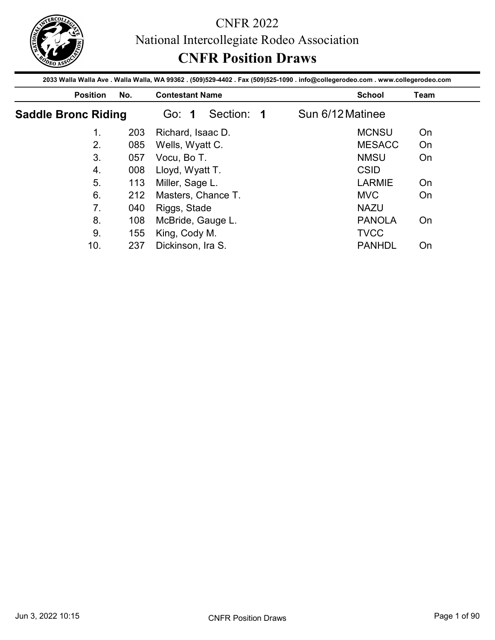

|                            |            | <b>CNFR Position Draws</b>                                                                                                                                |                  |                                    |
|----------------------------|------------|-----------------------------------------------------------------------------------------------------------------------------------------------------------|------------------|------------------------------------|
| <b>Position</b>            | No.        | 2033 Walla Walla Ave . Walla Walla, WA 99362 . (509)529-4402 . Fax (509)525-1090 . info@collegerodeo.com . www.collegerodeo.com<br><b>Contestant Name</b> |                  | <b>School</b><br>Team              |
| <b>Saddle Bronc Riding</b> |            | Section: 1<br>Go: 1                                                                                                                                       | Sun 6/12 Matinee |                                    |
| 1.                         | 203        | Richard, Isaac D.                                                                                                                                         |                  | <b>MCNSU</b><br>On                 |
|                            | 085        | Wells, Wyatt C.                                                                                                                                           |                  | <b>MESACC</b><br>On                |
|                            |            |                                                                                                                                                           |                  |                                    |
| 2.<br>3 <sub>1</sub>       |            |                                                                                                                                                           |                  |                                    |
|                            | 057        | Vocu, Bo T.                                                                                                                                               |                  | <b>NMSU</b><br>On                  |
| $\overline{4}$ .           | 008        | Lloyd, Wyatt T.                                                                                                                                           |                  | <b>CSID</b>                        |
| 5.                         | 113        | Miller, Sage L.                                                                                                                                           |                  | <b>LARMIE</b><br>On                |
| 6.                         | 212        | Masters, Chance T.                                                                                                                                        | <b>MVC</b>       | On                                 |
| 7 <sub>1</sub>             | 040        | Riggs, Stade                                                                                                                                              |                  | <b>NAZU</b>                        |
| 8.<br>9.                   | 108<br>155 | McBride, Gauge L.<br>King, Cody M.                                                                                                                        |                  | <b>PANOLA</b><br>On<br><b>TVCC</b> |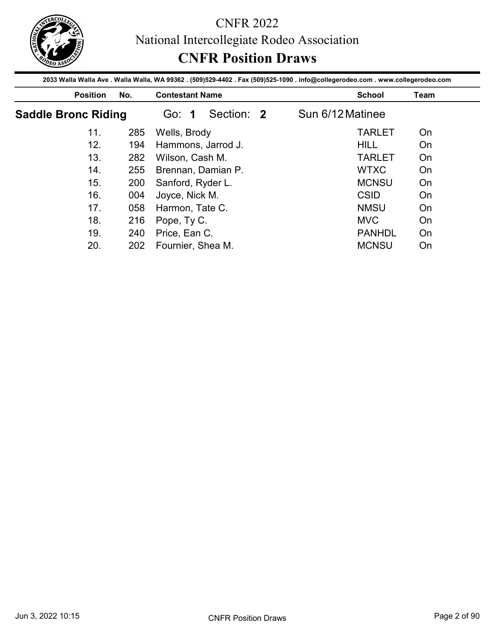

|                            |            | <b>CNFR Position Draws</b><br>2033 Walla Walla Ave . Walla Walla, WA 99362 . (509)529-4402 . Fax (509)525-1090 . info@collegerodeo.com . www.collegerodeo.com |                  |             |
|----------------------------|------------|---------------------------------------------------------------------------------------------------------------------------------------------------------------|------------------|-------------|
| <b>Position</b>            | No.        | <b>Contestant Name</b>                                                                                                                                        | <b>School</b>    | <b>Team</b> |
| <b>Saddle Bronc Riding</b> |            | Section: 2<br>Go: 1                                                                                                                                           | Sun 6/12 Matinee |             |
| 11.                        | 285        | Wells, Brody                                                                                                                                                  | <b>TARLET</b>    | On          |
| 12.                        | 194        | Hammons, Jarrod J.                                                                                                                                            | <b>HILL</b>      | On          |
|                            | 282        | Wilson, Cash M.                                                                                                                                               | <b>TARLET</b>    | On          |
| 13.                        |            |                                                                                                                                                               |                  |             |
| 14.                        | 255        |                                                                                                                                                               | <b>WTXC</b>      | On          |
| 15.                        | 200        | Brennan, Damian P.                                                                                                                                            | <b>MCNSU</b>     | On          |
| 16.                        | 004        | Sanford, Ryder L.                                                                                                                                             | <b>CSID</b>      | On          |
| 17.                        | 058        | Joyce, Nick M.                                                                                                                                                | <b>NMSU</b>      | On          |
| 18.                        |            | Harmon, Tate C.                                                                                                                                               | <b>MVC</b>       | On          |
| 19.                        | 216<br>240 | Pope, Ty C.<br>Price, Ean C.                                                                                                                                  | <b>PANHDL</b>    | On          |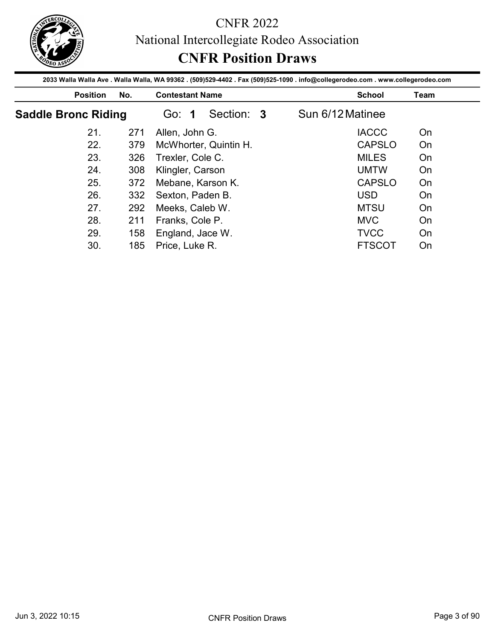

|                            |            | 2033 Walla Walla Ave . Walla Walla, WA 99362 . (509)529-4402 . Fax (509)525-1090 . info@collegerodeo.com . www.collegerodeo.com |                           |             |
|----------------------------|------------|---------------------------------------------------------------------------------------------------------------------------------|---------------------------|-------------|
| <b>Position</b>            | No.        | <b>Contestant Name</b>                                                                                                          | <b>School</b>             | <b>Team</b> |
| <b>Saddle Bronc Riding</b> |            | Section: 3<br>Go: 1                                                                                                             | Sun 6/12 Matinee          |             |
| 21.                        | 271        | Allen, John G.                                                                                                                  | <b>IACCC</b>              | On          |
| 22.                        | 379        | McWhorter, Quintin H.                                                                                                           | <b>CAPSLO</b>             | On          |
|                            | 326        | Trexler, Cole C.                                                                                                                | <b>MILES</b>              | On          |
|                            |            |                                                                                                                                 |                           |             |
| 23.                        |            |                                                                                                                                 |                           |             |
| 24.                        | 308        | Klingler, Carson                                                                                                                | <b>UMTW</b>               | On          |
| 25.                        | 372        | Mebane, Karson K.                                                                                                               | <b>CAPSLO</b>             | On          |
| 26.<br>27.                 | 332        | Sexton, Paden B.                                                                                                                | <b>USD</b>                | On          |
|                            | 292        | Meeks, Caleb W.                                                                                                                 | <b>MTSU</b>               | On          |
| 28.<br>29.                 | 211<br>158 | Franks, Cole P.<br>England, Jace W.                                                                                             | <b>MVC</b><br><b>TVCC</b> | On<br>On    |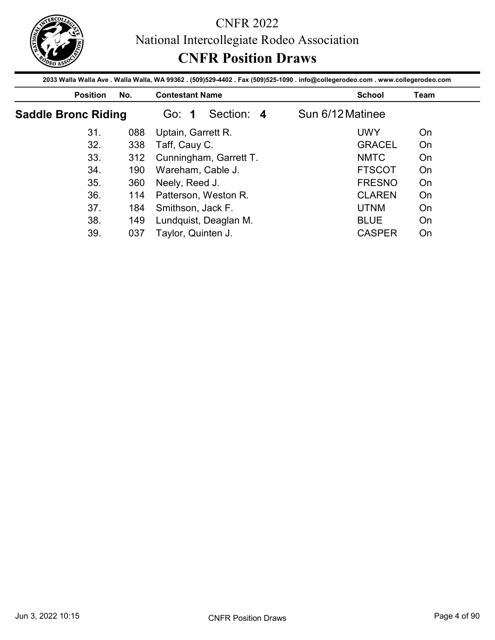

|                            |     | National Intercollegiate Rodeo Association                                                                                      |                  |      |
|----------------------------|-----|---------------------------------------------------------------------------------------------------------------------------------|------------------|------|
|                            |     |                                                                                                                                 |                  |      |
|                            |     | <b>CNFR Position Draws</b>                                                                                                      |                  |      |
|                            |     | 2033 Walla Walla Ave . Walla Walla, WA 99362 . (509)529-4402 . Fax (509)525-1090 . info@collegerodeo.com . www.collegerodeo.com |                  |      |
| <b>Position</b>            | No. | <b>Contestant Name</b>                                                                                                          | <b>School</b>    | Team |
| <b>Saddle Bronc Riding</b> |     | Section: 4<br>Go: 1                                                                                                             | Sun 6/12 Matinee |      |
| 31.                        | 088 | Uptain, Garrett R.                                                                                                              | <b>UWY</b>       | On   |
| 32.                        | 338 | Taff, Cauy C.                                                                                                                   | <b>GRACEL</b>    | On   |
|                            | 312 | Cunningham, Garrett T.                                                                                                          | <b>NMTC</b>      | On   |
| 33.                        |     |                                                                                                                                 |                  |      |
| 34.                        | 190 | Wareham, Cable J.                                                                                                               | <b>FTSCOT</b>    | On   |
| 35.                        | 360 | Neely, Reed J.                                                                                                                  | <b>FRESNO</b>    | On   |
| 36.                        | 114 | Patterson, Weston R.                                                                                                            | <b>CLAREN</b>    | On   |
| 37.                        | 184 | Smithson, Jack F.                                                                                                               | <b>UTNM</b>      | On   |
| 38.                        | 149 | Lundquist, Deaglan M.                                                                                                           | <b>BLUE</b>      | On   |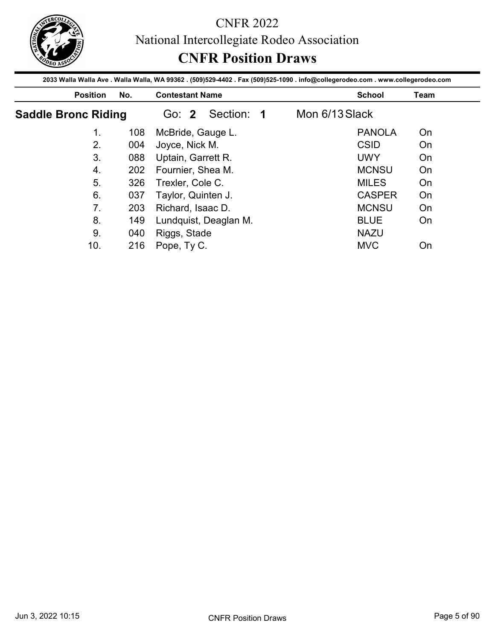

|                            |            | <b>CNFR Position Draws</b>                                                                                                                                |                |                            |      |
|----------------------------|------------|-----------------------------------------------------------------------------------------------------------------------------------------------------------|----------------|----------------------------|------|
| <b>Position</b>            | No.        | 2033 Walla Walla Ave . Walla Walla, WA 99362 . (509)529-4402 . Fax (509)525-1090 . info@collegerodeo.com . www.collegerodeo.com<br><b>Contestant Name</b> |                | <b>School</b>              | Team |
| <b>Saddle Bronc Riding</b> |            | Section: 1<br>Go: 2                                                                                                                                       | Mon 6/13 Slack |                            |      |
| 1.                         | 108        | McBride, Gauge L.                                                                                                                                         |                | <b>PANOLA</b>              | On   |
| 2.                         | 004        | Joyce, Nick M.                                                                                                                                            |                | <b>CSID</b>                | On   |
|                            | 088        | Uptain, Garrett R.                                                                                                                                        |                | <b>UWY</b>                 | On   |
| 3 <sub>1</sub>             |            |                                                                                                                                                           |                |                            |      |
| $\overline{4}$ .           | 202        |                                                                                                                                                           |                | <b>MCNSU</b>               | On   |
| 5.                         | 326        | Fournier, Shea M.<br>Trexler, Cole C.                                                                                                                     |                | <b>MILES</b>               | On   |
| 6.                         | 037        |                                                                                                                                                           |                | <b>CASPER</b>              | On   |
| 7 <sub>1</sub>             | 203        | Taylor, Quinten J.                                                                                                                                        |                | <b>MCNSU</b>               | On   |
|                            |            | Richard, Isaac D.                                                                                                                                         |                |                            |      |
| 8.<br>9.                   | 149<br>040 | Lundquist, Deaglan M.<br>Riggs, Stade                                                                                                                     |                | <b>BLUE</b><br><b>NAZU</b> | On   |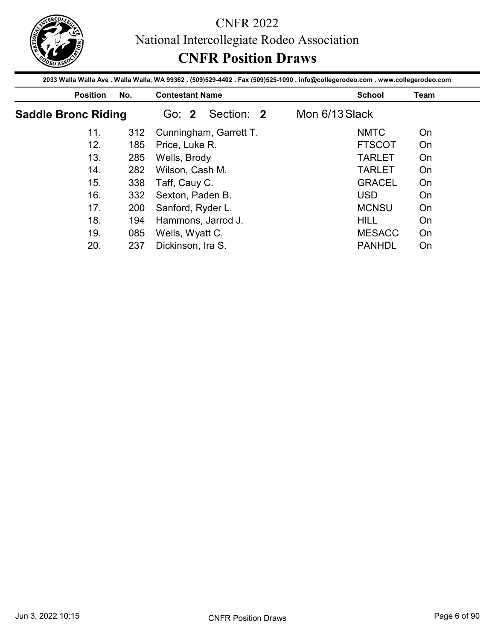

|                            |            | <b>CNFR Position Draws</b>                                                                                                                                |                                |             |
|----------------------------|------------|-----------------------------------------------------------------------------------------------------------------------------------------------------------|--------------------------------|-------------|
| <b>Position</b>            | No.        | 2033 Walla Walla Ave . Walla Walla, WA 99362 . (509)529-4402 . Fax (509)525-1090 . info@collegerodeo.com . www.collegerodeo.com<br><b>Contestant Name</b> | <b>School</b>                  | <b>Team</b> |
| <b>Saddle Bronc Riding</b> |            | Section: 2<br>Go: 2                                                                                                                                       | Mon 6/13 Slack                 |             |
| 11.                        | 312        | Cunningham, Garrett T.                                                                                                                                    | <b>NMTC</b>                    | On          |
| 12.                        | 185        | Price, Luke R.                                                                                                                                            | <b>FTSCOT</b>                  | On          |
|                            |            | Wells, Brody                                                                                                                                              | <b>TARLET</b>                  | On          |
|                            |            |                                                                                                                                                           |                                |             |
| 13.<br>14.                 | 285        |                                                                                                                                                           |                                |             |
| 15.                        | 282        | Wilson, Cash M.                                                                                                                                           | <b>TARLET</b><br><b>GRACEL</b> | On<br>On    |
| 16.                        | 338        | Taff, Cauy C.                                                                                                                                             | <b>USD</b>                     | On          |
| 17.                        | 332        | Sexton, Paden B.                                                                                                                                          |                                |             |
|                            | 200        | Sanford, Ryder L.                                                                                                                                         | <b>MCNSU</b>                   | On          |
| 18.<br>19.                 | 194<br>085 | Hammons, Jarrod J.<br>Wells, Wyatt C.                                                                                                                     | <b>HILL</b><br><b>MESACC</b>   | On<br>On    |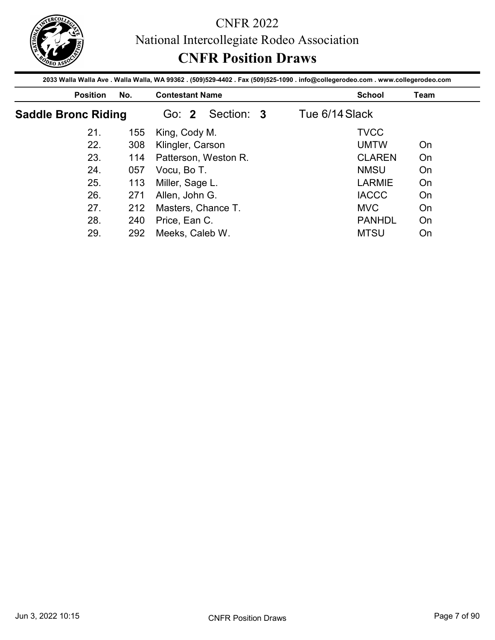

|                            |     | National Intercollegiate Rodeo Association                                                                                      |                |      |
|----------------------------|-----|---------------------------------------------------------------------------------------------------------------------------------|----------------|------|
|                            |     |                                                                                                                                 |                |      |
|                            |     | <b>CNFR Position Draws</b>                                                                                                      |                |      |
|                            |     | 2033 Walla Walla Ave . Walla Walla, WA 99362 . (509)529-4402 . Fax (509)525-1090 . info@collegerodeo.com . www.collegerodeo.com |                |      |
| <b>Position</b>            | No. | <b>Contestant Name</b>                                                                                                          | <b>School</b>  | Team |
| <b>Saddle Bronc Riding</b> |     | Section: 3<br>Go: 2                                                                                                             | Tue 6/14 Slack |      |
| 21.                        | 155 | King, Cody M.                                                                                                                   | <b>TVCC</b>    |      |
|                            | 308 | Klingler, Carson                                                                                                                | <b>UMTW</b>    | On   |
| 22.                        |     |                                                                                                                                 |                |      |
| 23.                        | 114 | Patterson, Weston R.                                                                                                            | <b>CLAREN</b>  | On   |
| 24.                        | 057 | Vocu, Bo T.                                                                                                                     | <b>NMSU</b>    | On   |
| 25.                        | 113 | Miller, Sage L.                                                                                                                 | <b>LARMIE</b>  | On   |
| 26.                        | 271 | Allen, John G.                                                                                                                  | <b>IACCC</b>   | On   |
| 27.                        | 212 |                                                                                                                                 | <b>MVC</b>     | On   |
| 28.                        | 240 | Masters, Chance T.<br>Price, Ean C.                                                                                             | <b>PANHDL</b>  | On   |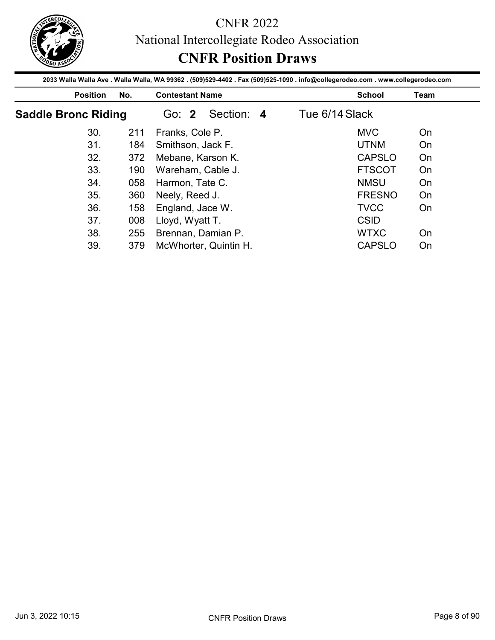

|                            |            | 2033 Walla Walla Ave . Walla Walla, WA 99362 . (509)529-4402 . Fax (509)525-1090 . info@collegerodeo.com . www.collegerodeo.com |                            |             |
|----------------------------|------------|---------------------------------------------------------------------------------------------------------------------------------|----------------------------|-------------|
| <b>Position</b>            | No.        | <b>Contestant Name</b>                                                                                                          | <b>School</b>              | <b>Team</b> |
| <b>Saddle Bronc Riding</b> |            | Section: 4<br>Go: 2                                                                                                             | Tue 6/14 Slack             |             |
| 30.                        | 211        | Franks, Cole P.                                                                                                                 | <b>MVC</b>                 | On          |
| 31.                        | 184        | Smithson, Jack F.                                                                                                               | <b>UTNM</b>                | On          |
|                            | 372        | Mebane, Karson K.                                                                                                               | <b>CAPSLO</b>              | On          |
|                            |            |                                                                                                                                 |                            |             |
| 32.<br>33.                 |            |                                                                                                                                 | <b>FTSCOT</b>              | On          |
| 34.                        | 190<br>058 | Wareham, Cable J.                                                                                                               | <b>NMSU</b>                | On          |
| 35.                        |            | Harmon, Tate C.                                                                                                                 | <b>FRESNO</b>              | On          |
|                            | 360        | Neely, Reed J.                                                                                                                  |                            |             |
| 36.                        | 158        | England, Jace W.                                                                                                                | <b>TVCC</b>                | On          |
| 37.<br>38.                 | 008<br>255 | Lloyd, Wyatt T.<br>Brennan, Damian P.                                                                                           | <b>CSID</b><br><b>WTXC</b> | On          |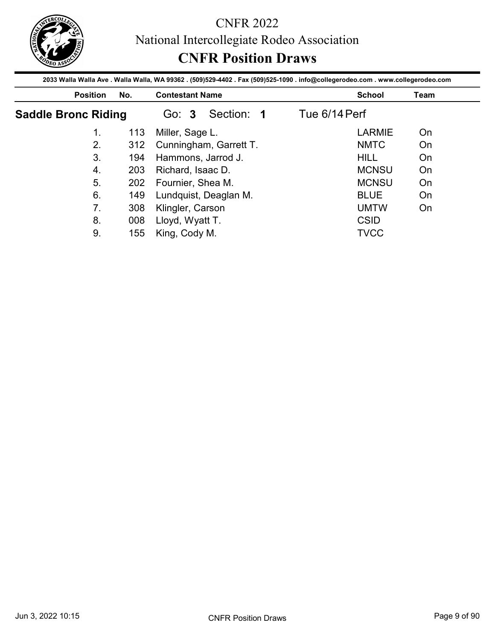

|                            |     | National Intercollegiate Rodeo Association                                                                                      |               |               |      |
|----------------------------|-----|---------------------------------------------------------------------------------------------------------------------------------|---------------|---------------|------|
|                            |     |                                                                                                                                 |               |               |      |
|                            |     | <b>CNFR Position Draws</b>                                                                                                      |               |               |      |
|                            |     | 2033 Walla Walla Ave . Walla Walla, WA 99362 . (509)529-4402 . Fax (509)525-1090 . info@collegerodeo.com . www.collegerodeo.com |               |               |      |
| <b>Position</b>            | No. | <b>Contestant Name</b>                                                                                                          |               | <b>School</b> | Team |
| <b>Saddle Bronc Riding</b> |     | Section: 1<br>Go: 3                                                                                                             | Tue 6/14 Perf |               |      |
| 1.                         | 113 | Miller, Sage L.                                                                                                                 |               | <b>LARMIE</b> | On   |
|                            | 312 | Cunningham, Garrett T.                                                                                                          |               | <b>NMTC</b>   | On   |
| 2.                         |     |                                                                                                                                 |               |               |      |
| 3.                         | 194 | Hammons, Jarrod J.                                                                                                              |               | <b>HILL</b>   | On   |
| $\overline{4}$ .           | 203 | Richard, Isaac D.                                                                                                               |               | <b>MCNSU</b>  | On   |
| 5.                         | 202 | Fournier, Shea M.                                                                                                               |               | <b>MCNSU</b>  | On   |
| 6.                         | 149 |                                                                                                                                 |               | <b>BLUE</b>   | On   |
| 7.                         | 308 | Lundquist, Deaglan M.                                                                                                           |               | <b>UMTW</b>   | On   |
| 8.                         | 008 | Klingler, Carson<br>Lloyd, Wyatt T.                                                                                             |               | <b>CSID</b>   |      |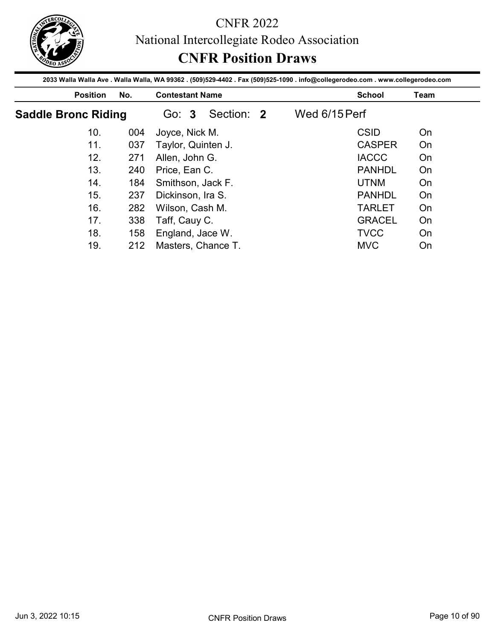

|                            |            | <b>CNFR Position Draws</b><br>2033 Walla Walla Ave . Walla Walla, WA 99362 . (509)529-4402 . Fax (509)525-1090 . info@collegerodeo.com . www.collegerodeo.com |                              |             |
|----------------------------|------------|---------------------------------------------------------------------------------------------------------------------------------------------------------------|------------------------------|-------------|
| <b>Position</b>            | No.        | <b>Contestant Name</b>                                                                                                                                        | <b>School</b>                | <b>Team</b> |
| <b>Saddle Bronc Riding</b> |            | Section: 2<br>Go: 3                                                                                                                                           | Wed 6/15 Perf                |             |
| 10.                        | 004        | Joyce, Nick M.                                                                                                                                                | <b>CSID</b>                  | On          |
| 11.                        | 037        | Taylor, Quinten J.                                                                                                                                            | <b>CASPER</b>                | On          |
|                            | 271        | Allen, John G.                                                                                                                                                | <b>IACCC</b>                 | On          |
| 12.                        |            |                                                                                                                                                               |                              |             |
| 13.                        | 240        | Price, Ean C.                                                                                                                                                 | <b>PANHDL</b>                | On          |
| 14.                        | 184        | Smithson, Jack F.                                                                                                                                             | <b>UTNM</b>                  | On          |
| 15.                        | 237        |                                                                                                                                                               | <b>PANHDL</b>                | On          |
| 16.                        | 282        | Dickinson, Ira S.                                                                                                                                             | <b>TARLET</b>                | On          |
| 17.                        |            | Wilson, Cash M.                                                                                                                                               |                              |             |
| 18.                        | 338<br>158 | Taff, Cauy C.<br>England, Jace W.                                                                                                                             | <b>GRACEL</b><br><b>TVCC</b> | On<br>On    |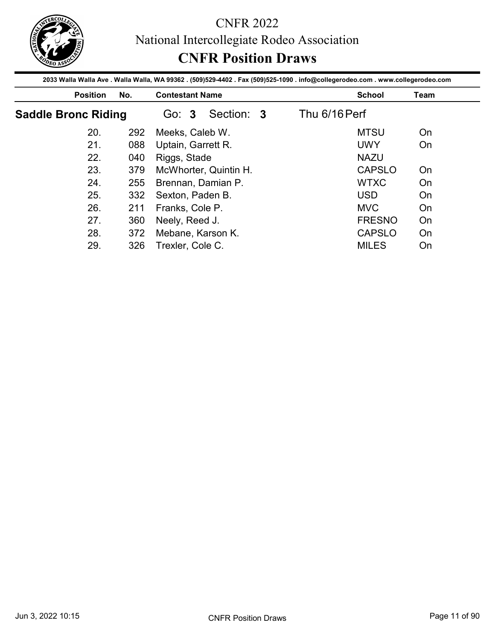

|                            |            | <b>CNFR Position Draws</b>                                                                                                                                |                                |             |
|----------------------------|------------|-----------------------------------------------------------------------------------------------------------------------------------------------------------|--------------------------------|-------------|
| <b>Position</b>            | No.        | 2033 Walla Walla Ave . Walla Walla, WA 99362 . (509)529-4402 . Fax (509)525-1090 . info@collegerodeo.com . www.collegerodeo.com<br><b>Contestant Name</b> | <b>School</b>                  | <b>Team</b> |
| <b>Saddle Bronc Riding</b> |            | Section: 3<br>Go: 3                                                                                                                                       | Thu 6/16 Perf                  |             |
| 20.                        | 292        | Meeks, Caleb W.                                                                                                                                           | <b>MTSU</b>                    | On          |
| 21.                        | 088        | Uptain, Garrett R.                                                                                                                                        | <b>UWY</b>                     | On          |
|                            |            | Riggs, Stade                                                                                                                                              |                                |             |
| 22.                        |            |                                                                                                                                                           | <b>NAZU</b>                    |             |
| 23.                        | 040<br>379 |                                                                                                                                                           | <b>CAPSLO</b>                  | On          |
| 24.                        | 255        | McWhorter, Quintin H.                                                                                                                                     | <b>WTXC</b>                    | On          |
| 25.                        | 332        | Brennan, Damian P.                                                                                                                                        | <b>USD</b>                     | On          |
| 26.                        | 211        | Sexton, Paden B.                                                                                                                                          | <b>MVC</b>                     | On          |
| 27.                        |            | Franks, Cole P.                                                                                                                                           |                                |             |
| 28.                        | 360<br>372 | Neely, Reed J.<br>Mebane, Karson K.                                                                                                                       | <b>FRESNO</b><br><b>CAPSLO</b> | On<br>On    |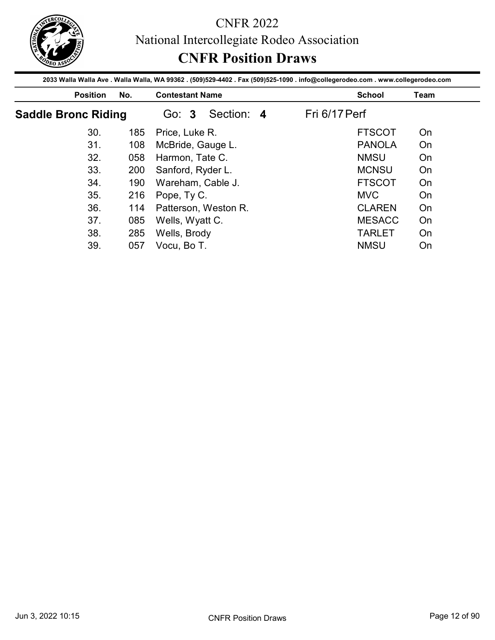

| <b>Position</b>            | No.        | 2033 Walla Walla Ave . Walla Walla, WA 99362 . (509)529-4402 . Fax (509)525-1090 . info@collegerodeo.com . www.collegerodeo.com<br><b>Contestant Name</b> | <b>School</b>                  | <b>Team</b> |
|----------------------------|------------|-----------------------------------------------------------------------------------------------------------------------------------------------------------|--------------------------------|-------------|
| <b>Saddle Bronc Riding</b> |            | Section: 4<br>Go: 3                                                                                                                                       | Fri 6/17 Perf                  |             |
| 30.                        | 185        | Price, Luke R.                                                                                                                                            | <b>FTSCOT</b>                  | On          |
| 31.                        | 108        | McBride, Gauge L.                                                                                                                                         | <b>PANOLA</b>                  | On          |
|                            | 058        | Harmon, Tate C.                                                                                                                                           | <b>NMSU</b>                    | On          |
| 32.                        |            |                                                                                                                                                           |                                |             |
| 33.                        | 200        |                                                                                                                                                           | <b>MCNSU</b>                   | On          |
| 34.                        | 190        | Sanford, Ryder L.                                                                                                                                         | <b>FTSCOT</b>                  | On          |
| 35.                        |            | Wareham, Cable J.                                                                                                                                         | <b>MVC</b>                     | On          |
| 36.                        | 216        | Pope, Ty C.                                                                                                                                               |                                |             |
| 37.                        | 114        | Patterson, Weston R.                                                                                                                                      | <b>CLAREN</b>                  | On          |
| 38.                        | 085<br>285 | Wells, Wyatt C.<br>Wells, Brody                                                                                                                           | <b>MESACC</b><br><b>TARLET</b> | On<br>On    |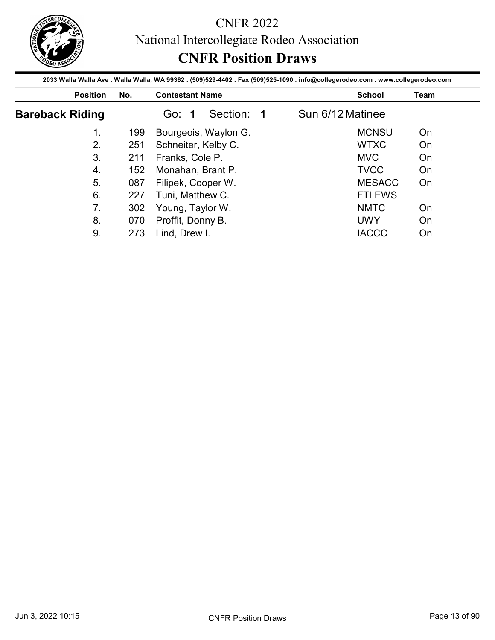

|                        |     | National Intercollegiate Rodeo Association                                                                                      |                  |                     |
|------------------------|-----|---------------------------------------------------------------------------------------------------------------------------------|------------------|---------------------|
|                        |     | <b>CNFR Position Draws</b>                                                                                                      |                  |                     |
|                        |     | 2033 Walla Walla Ave . Walla Walla, WA 99362 . (509)529-4402 . Fax (509)525-1090 . info@collegerodeo.com . www.collegerodeo.com |                  |                     |
| <b>Position</b>        | No. | <b>Contestant Name</b>                                                                                                          | <b>School</b>    | Team                |
| <b>Bareback Riding</b> |     | Section: 1<br>Go: 1                                                                                                             | Sun 6/12 Matinee |                     |
| 1.                     | 199 | Bourgeois, Waylon G.                                                                                                            |                  | <b>MCNSU</b><br>On  |
| 2.                     | 251 | Schneiter, Kelby C.                                                                                                             | <b>WTXC</b>      | On                  |
|                        | 211 | Franks, Cole P.                                                                                                                 | <b>MVC</b>       | On                  |
| 3.                     |     |                                                                                                                                 |                  |                     |
| $\overline{4}$ .       | 152 | Monahan, Brant P.                                                                                                               | <b>TVCC</b>      | On                  |
| 5.                     | 087 | Filipek, Cooper W.                                                                                                              |                  | <b>MESACC</b><br>On |
| 6.                     | 227 | Tuni, Matthew C.                                                                                                                |                  | <b>FTLEWS</b>       |
| 7.                     | 302 |                                                                                                                                 | <b>NMTC</b>      | On                  |
| 8.                     | 070 | Young, Taylor W.<br>Proffit, Donny B.                                                                                           | <b>UWY</b>       | On                  |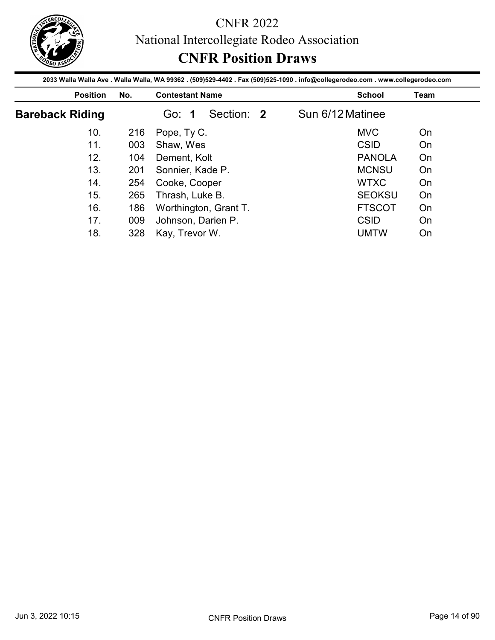

|                        |            |                                                                                                                                                           |                  | National Intercollegiate Rodeo Association |          |
|------------------------|------------|-----------------------------------------------------------------------------------------------------------------------------------------------------------|------------------|--------------------------------------------|----------|
|                        |            | <b>CNFR Position Draws</b>                                                                                                                                |                  |                                            |          |
| <b>Position</b>        | No.        | 2033 Walla Walla Ave . Walla Walla, WA 99362 . (509)529-4402 . Fax (509)525-1090 . info@collegerodeo.com . www.collegerodeo.com<br><b>Contestant Name</b> |                  | <b>School</b>                              | Team     |
| <b>Bareback Riding</b> |            | Section: 2<br>Go: 1                                                                                                                                       | Sun 6/12 Matinee |                                            |          |
| 10.                    | 216        | Pope, Ty C.                                                                                                                                               |                  | <b>MVC</b>                                 | On       |
|                        | 003        | Shaw, Wes                                                                                                                                                 |                  | <b>CSID</b>                                | On       |
|                        |            |                                                                                                                                                           |                  | <b>PANOLA</b>                              | On       |
| 11.                    |            |                                                                                                                                                           |                  |                                            |          |
| 12.<br>13.             | 104        | Dement, Kolt                                                                                                                                              |                  | <b>MCNSU</b>                               | On       |
| 14.                    | 201<br>254 | Sonnier, Kade P.                                                                                                                                          |                  | <b>WTXC</b>                                | On       |
| 15.                    |            | Cooke, Cooper                                                                                                                                             |                  |                                            |          |
| 16.                    | 265<br>186 | Thrash, Luke B.                                                                                                                                           |                  | <b>SEOKSU</b><br><b>FTSCOT</b>             | On<br>On |
| 17.                    | 009        | Worthington, Grant T.<br>Johnson, Darien P.                                                                                                               |                  | <b>CSID</b>                                | On       |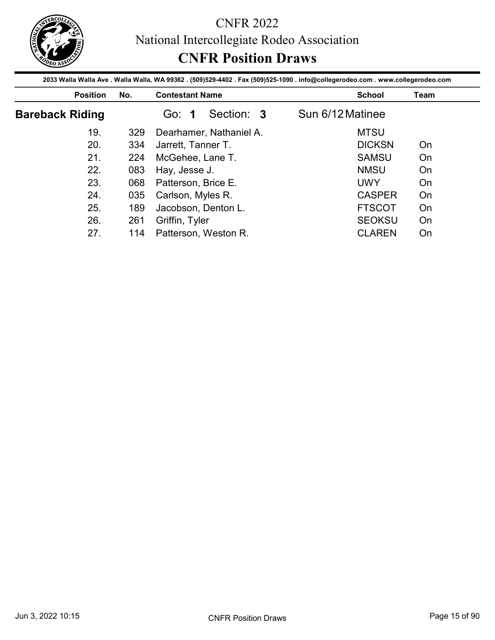

|                        |     | National Intercollegiate Rodeo Association                                                                                      |                  |      |
|------------------------|-----|---------------------------------------------------------------------------------------------------------------------------------|------------------|------|
|                        |     | <b>CNFR Position Draws</b>                                                                                                      |                  |      |
|                        |     | 2033 Walla Walla Ave . Walla Walla, WA 99362 . (509)529-4402 . Fax (509)525-1090 . info@collegerodeo.com . www.collegerodeo.com |                  |      |
| <b>Position</b>        | No. | <b>Contestant Name</b>                                                                                                          | <b>School</b>    | Team |
| <b>Bareback Riding</b> |     | Section: 3<br>Go: 1                                                                                                             | Sun 6/12 Matinee |      |
| 19.                    | 329 | Dearhamer, Nathaniel A.                                                                                                         | <b>MTSU</b>      |      |
|                        | 334 | Jarrett, Tanner T.                                                                                                              | <b>DICKSN</b>    | On   |
| 20.                    |     | McGehee, Lane T.                                                                                                                | <b>SAMSU</b>     | On   |
| 21.                    | 224 |                                                                                                                                 |                  |      |
| 22.                    | 083 | Hay, Jesse J.                                                                                                                   | <b>NMSU</b>      | On   |
| 23.                    | 068 | Patterson, Brice E.                                                                                                             | <b>UWY</b>       | On   |
| 24.                    | 035 |                                                                                                                                 | <b>CASPER</b>    | On   |
| 25.                    | 189 | Carlson, Myles R.<br>Jacobson, Denton L.                                                                                        | <b>FTSCOT</b>    | On   |
| 26.                    | 261 | Griffin, Tyler                                                                                                                  | <b>SEOKSU</b>    | On   |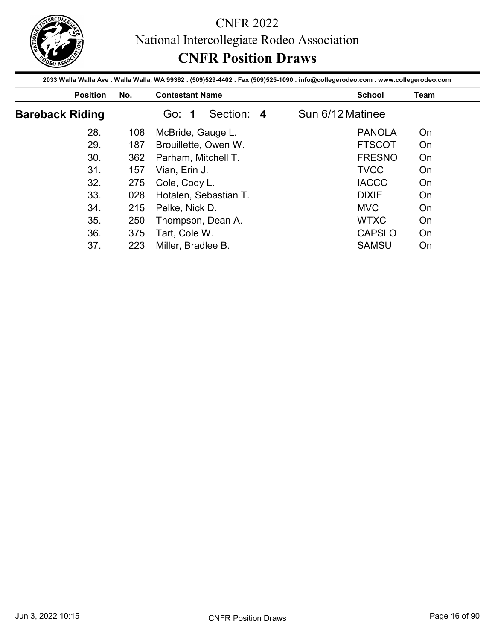

|                        |            | 2033 Walla Walla Ave . Walla Walla, WA 99362 . (509)529-4402 . Fax (509)525-1090 . info@collegerodeo.com . www.collegerodeo.com | <b>CNFR Position Draws</b>   |             |
|------------------------|------------|---------------------------------------------------------------------------------------------------------------------------------|------------------------------|-------------|
| <b>Position</b>        | No.        | <b>Contestant Name</b>                                                                                                          | <b>School</b>                | <b>Team</b> |
| <b>Bareback Riding</b> |            | Section: 4<br>Go: 1                                                                                                             | Sun 6/12 Matinee             |             |
| 28.                    | 108        | McBride, Gauge L.                                                                                                               | <b>PANOLA</b>                | On          |
| 29.                    | 187        | Brouillette, Owen W.                                                                                                            | <b>FTSCOT</b>                | On          |
|                        | 362        | Parham, Mitchell T.                                                                                                             | <b>FRESNO</b>                | On          |
|                        |            |                                                                                                                                 |                              |             |
| 30.                    |            |                                                                                                                                 |                              |             |
| 31.<br>32.             | 157<br>275 | Vian, Erin J.                                                                                                                   | <b>TVCC</b><br><b>IACCC</b>  | On<br>On    |
| 33.                    |            | Cole, Cody L.                                                                                                                   | <b>DIXIE</b>                 | On          |
|                        | 028        | Hotalen, Sebastian T.                                                                                                           |                              |             |
| 34.<br>35.             | 215        | Pelke, Nick D.                                                                                                                  | <b>MVC</b>                   | On          |
| 36.                    | 250<br>375 | Thompson, Dean A.<br>Tart, Cole W.                                                                                              | <b>WTXC</b><br><b>CAPSLO</b> | On<br>On    |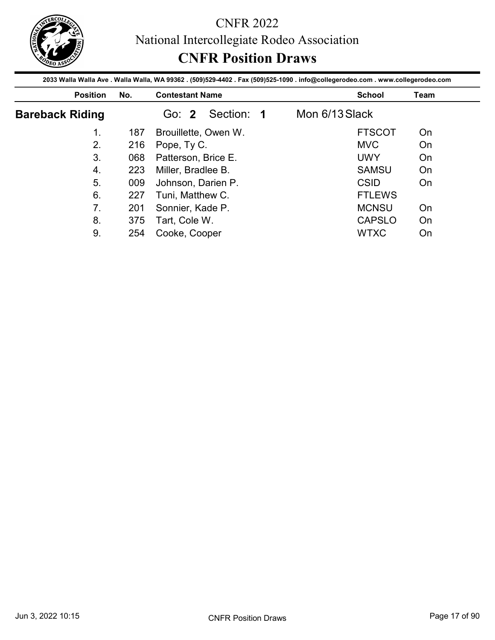

|                        |     | National Intercollegiate Rodeo Association                                                                                      |                |               |      |
|------------------------|-----|---------------------------------------------------------------------------------------------------------------------------------|----------------|---------------|------|
|                        |     | <b>CNFR Position Draws</b>                                                                                                      |                |               |      |
|                        |     | 2033 Walla Walla Ave . Walla Walla, WA 99362 . (509)529-4402 . Fax (509)525-1090 . info@collegerodeo.com . www.collegerodeo.com |                |               |      |
| <b>Position</b>        | No. | <b>Contestant Name</b>                                                                                                          |                | <b>School</b> | Team |
| <b>Bareback Riding</b> |     | Section: 1<br>Go: 2                                                                                                             | Mon 6/13 Slack |               |      |
| 1.                     | 187 | Brouillette, Owen W.                                                                                                            |                | <b>FTSCOT</b> | On   |
|                        |     |                                                                                                                                 |                | <b>MVC</b>    | On   |
| 2.                     | 216 | Pope, Ty C.                                                                                                                     |                |               |      |
| 3.                     | 068 | Patterson, Brice E.                                                                                                             |                | <b>UWY</b>    | On   |
| $\overline{4}$ .       | 223 | Miller, Bradlee B.                                                                                                              |                | <b>SAMSU</b>  | On   |
| 5.                     | 009 | Johnson, Darien P.                                                                                                              |                | <b>CSID</b>   | On   |
| 6.                     | 227 |                                                                                                                                 |                | <b>FTLEWS</b> |      |
| 7.                     | 201 | Tuni, Matthew C.                                                                                                                |                | <b>MCNSU</b>  | On   |
| 8.                     | 375 | Sonnier, Kade P.<br>Tart, Cole W.                                                                                               |                | <b>CAPSLO</b> | On   |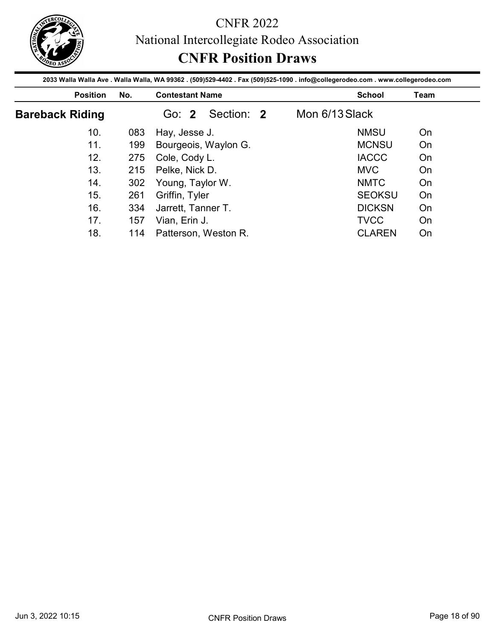

|                        |     | <b>CNFR Position Draws</b>                                                                                                      |                |               |      |
|------------------------|-----|---------------------------------------------------------------------------------------------------------------------------------|----------------|---------------|------|
|                        |     | 2033 Walla Walla Ave . Walla Walla, WA 99362 . (509)529-4402 . Fax (509)525-1090 . info@collegerodeo.com . www.collegerodeo.com |                |               |      |
| <b>Position</b>        | No. | <b>Contestant Name</b>                                                                                                          |                | <b>School</b> | Team |
| <b>Bareback Riding</b> |     | Section: 2<br>Go: 2                                                                                                             | Mon 6/13 Slack |               |      |
| 10.                    | 083 | Hay, Jesse J.                                                                                                                   |                | <b>NMSU</b>   | On   |
| 11.                    | 199 | Bourgeois, Waylon G.                                                                                                            |                | <b>MCNSU</b>  | On   |
|                        |     |                                                                                                                                 |                |               |      |
| 12.                    | 275 | Cole, Cody L.                                                                                                                   |                | <b>IACCC</b>  | On   |
| 13.                    | 215 | Pelke, Nick D.                                                                                                                  |                | <b>MVC</b>    | On   |
| 14.                    | 302 |                                                                                                                                 |                | <b>NMTC</b>   | On   |
| 15.                    | 261 | Young, Taylor W.<br>Griffin, Tyler                                                                                              |                | <b>SEOKSU</b> | On   |
| 16.                    | 334 | Jarrett, Tanner T.                                                                                                              |                | <b>DICKSN</b> | On   |
| 17.                    | 157 | Vian, Erin J.                                                                                                                   |                | <b>TVCC</b>   | On   |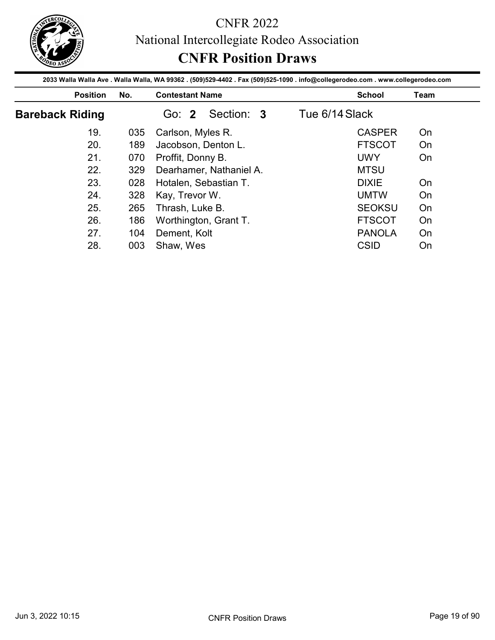

|                        |            | <b>CNFR Position Draws</b>                                                                                                                                |                |                                |             |
|------------------------|------------|-----------------------------------------------------------------------------------------------------------------------------------------------------------|----------------|--------------------------------|-------------|
| <b>Position</b>        | No.        | 2033 Walla Walla Ave . Walla Walla, WA 99362 . (509)529-4402 . Fax (509)525-1090 . info@collegerodeo.com . www.collegerodeo.com<br><b>Contestant Name</b> |                | <b>School</b>                  | <b>Team</b> |
| <b>Bareback Riding</b> |            | Section: 3<br>Go: 2                                                                                                                                       | Tue 6/14 Slack |                                |             |
| 19.                    | 035        | Carlson, Myles R.                                                                                                                                         |                | <b>CASPER</b>                  | On          |
| 20.                    | 189        | Jacobson, Denton L.                                                                                                                                       |                | <b>FTSCOT</b>                  | On          |
|                        | 070        | Proffit, Donny B.                                                                                                                                         |                | <b>UWY</b>                     | On          |
|                        |            |                                                                                                                                                           |                |                                |             |
| 21.                    |            |                                                                                                                                                           |                |                                |             |
| 22.                    | 329        | Dearhamer, Nathaniel A.                                                                                                                                   |                | <b>MTSU</b>                    |             |
| 23.                    | 028        | Hotalen, Sebastian T.                                                                                                                                     |                | <b>DIXIE</b>                   | On          |
| 24.                    | 328        | Kay, Trevor W.                                                                                                                                            |                | <b>UMTW</b>                    | On          |
| 25.                    | 265        | Thrash, Luke B.                                                                                                                                           |                | <b>SEOKSU</b>                  | On          |
| 26.<br>27.             | 186<br>104 | Worthington, Grant T.<br>Dement, Kolt                                                                                                                     |                | <b>FTSCOT</b><br><b>PANOLA</b> | On<br>On    |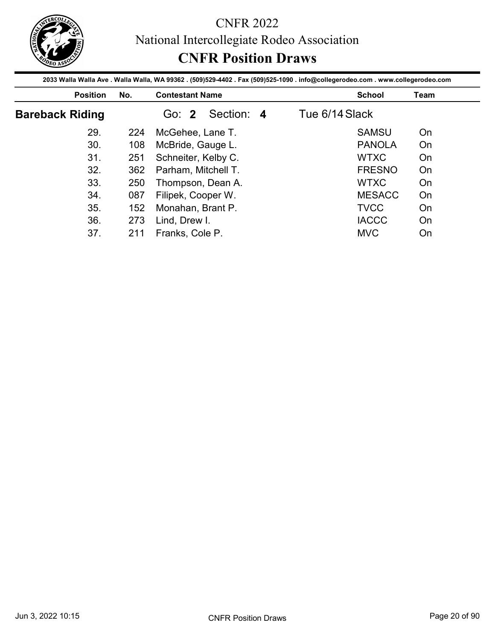

|                        |            | National Intercollegiate Rodeo Association                                                                                      |                |          |
|------------------------|------------|---------------------------------------------------------------------------------------------------------------------------------|----------------|----------|
|                        |            | <b>CNFR Position Draws</b>                                                                                                      |                |          |
|                        |            | 2033 Walla Walla Ave . Walla Walla, WA 99362 . (509)529-4402 . Fax (509)525-1090 . info@collegerodeo.com . www.collegerodeo.com |                |          |
| <b>Position</b>        | No.        | <b>Contestant Name</b>                                                                                                          | <b>School</b>  | Team     |
| <b>Bareback Riding</b> |            | Section: 4<br>Go: 2                                                                                                             | Tue 6/14 Slack |          |
| 29.                    | 224        | McGehee, Lane T.                                                                                                                | <b>SAMSU</b>   | On       |
|                        |            | McBride, Gauge L.                                                                                                               | <b>PANOLA</b>  | On       |
| 30.                    | 108        |                                                                                                                                 |                |          |
| 31.                    | 251        |                                                                                                                                 | <b>WTXC</b>    | On       |
| 32.                    | 362        | Schneiter, Kelby C.<br>Parham, Mitchell T.                                                                                      | <b>FRESNO</b>  | On       |
| 33.                    | 250        |                                                                                                                                 | <b>WTXC</b>    | On       |
| 34.                    |            | Thompson, Dean A.                                                                                                               | <b>MESACC</b>  |          |
| 35.                    | 087        | Filipek, Cooper W.                                                                                                              | <b>TVCC</b>    | On<br>On |
| 36.                    | 152<br>273 | Monahan, Brant P.<br>Lind, Drew I.                                                                                              | <b>IACCC</b>   | On       |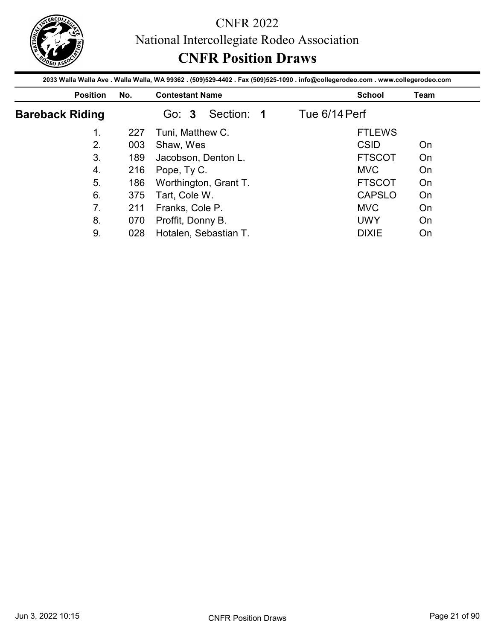

|                        |     | National Intercollegiate Rodeo Association                                                                                      |               |      |
|------------------------|-----|---------------------------------------------------------------------------------------------------------------------------------|---------------|------|
|                        |     | <b>CNFR Position Draws</b>                                                                                                      |               |      |
|                        |     | 2033 Walla Walla Ave . Walla Walla, WA 99362 . (509)529-4402 . Fax (509)525-1090 . info@collegerodeo.com . www.collegerodeo.com |               |      |
| <b>Position</b>        | No. | <b>Contestant Name</b>                                                                                                          | <b>School</b> | Team |
| <b>Bareback Riding</b> |     | Section: 1<br>Go: 3                                                                                                             | Tue 6/14 Perf |      |
| 1.                     | 227 | Tuni, Matthew C.                                                                                                                | <b>FTLEWS</b> |      |
| 2.                     | 003 | Shaw, Wes                                                                                                                       | <b>CSID</b>   | On   |
|                        |     | Jacobson, Denton L.                                                                                                             | <b>FTSCOT</b> | On   |
| 3.                     | 189 |                                                                                                                                 |               |      |
| $\overline{4}$ .       | 216 | Pope, Ty C.                                                                                                                     | <b>MVC</b>    | On   |
| 5.                     | 186 | Worthington, Grant T.                                                                                                           | <b>FTSCOT</b> | On   |
| 6.                     | 375 | Tart, Cole W.                                                                                                                   | <b>CAPSLO</b> | On   |
| 7.                     | 211 |                                                                                                                                 | <b>MVC</b>    | On   |
| 8.                     | 070 | Franks, Cole P.<br>Proffit, Donny B.                                                                                            | <b>UWY</b>    | On   |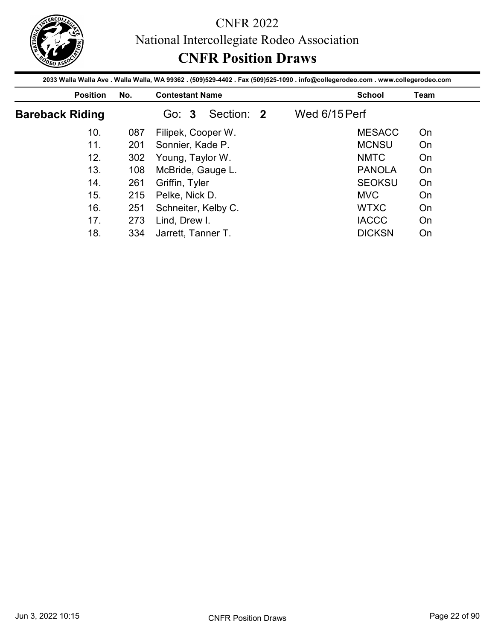

|                        |     | <b>CNFR Position Draws</b>                                                                                                      |               |      |
|------------------------|-----|---------------------------------------------------------------------------------------------------------------------------------|---------------|------|
|                        |     | 2033 Walla Walla Ave . Walla Walla, WA 99362 . (509)529-4402 . Fax (509)525-1090 . info@collegerodeo.com . www.collegerodeo.com |               |      |
| <b>Position</b>        | No. | <b>Contestant Name</b>                                                                                                          | <b>School</b> | Team |
| <b>Bareback Riding</b> |     | Section: 2<br>Go: 3                                                                                                             | Wed 6/15 Perf |      |
| 10.                    | 087 | Filipek, Cooper W.                                                                                                              | <b>MESACC</b> | On   |
|                        | 201 | Sonnier, Kade P.                                                                                                                | <b>MCNSU</b>  | On   |
| 11.                    |     |                                                                                                                                 |               |      |
| 12.                    | 302 | Young, Taylor W.                                                                                                                | <b>NMTC</b>   | On   |
| 13.                    | 108 | McBride, Gauge L.                                                                                                               | <b>PANOLA</b> | On   |
| 14.                    | 261 | Griffin, Tyler                                                                                                                  | <b>SEOKSU</b> | On   |
| 15.                    | 215 | Pelke, Nick D.                                                                                                                  | <b>MVC</b>    | On   |
| 16.                    | 251 | Schneiter, Kelby C.                                                                                                             | <b>WTXC</b>   | On   |
| 17.                    | 273 | Lind, Drew I.                                                                                                                   | <b>IACCC</b>  | On   |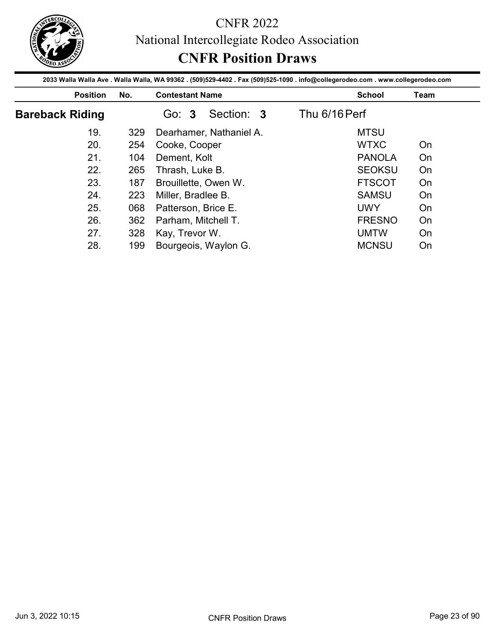

|                        |            | <b>CNFR Position Draws</b>                                                                                                                                |                              |             |
|------------------------|------------|-----------------------------------------------------------------------------------------------------------------------------------------------------------|------------------------------|-------------|
| <b>Position</b>        | No.        | 2033 Walla Walla Ave . Walla Walla, WA 99362 . (509)529-4402 . Fax (509)525-1090 . info@collegerodeo.com . www.collegerodeo.com<br><b>Contestant Name</b> | <b>School</b>                | <b>Team</b> |
| <b>Bareback Riding</b> |            | Go: 3<br>Section: 3                                                                                                                                       | Thu 6/16 Perf                |             |
| 19.                    | 329        | Dearhamer, Nathaniel A.                                                                                                                                   | <b>MTSU</b>                  |             |
| 20.                    | 254        | Cooke, Cooper                                                                                                                                             | <b>WTXC</b>                  | On          |
|                        | 104        | Dement, Kolt                                                                                                                                              | <b>PANOLA</b>                | On          |
|                        |            |                                                                                                                                                           |                              |             |
| 21.                    |            |                                                                                                                                                           |                              |             |
| 22.                    | 265        | Thrash, Luke B.                                                                                                                                           | <b>SEOKSU</b>                | On          |
| 23.                    | 187        | Brouillette, Owen W.                                                                                                                                      | <b>FTSCOT</b>                | On          |
| 24.                    | 223        | Miller, Bradlee B.                                                                                                                                        | <b>SAMSU</b>                 | On          |
| 25.<br>26.             | 068        | Patterson, Brice E.                                                                                                                                       | <b>UWY</b>                   | On          |
| 27.                    | 362<br>328 | Parham, Mitchell T.<br>Kay, Trevor W.                                                                                                                     | <b>FRESNO</b><br><b>UMTW</b> | On<br>On    |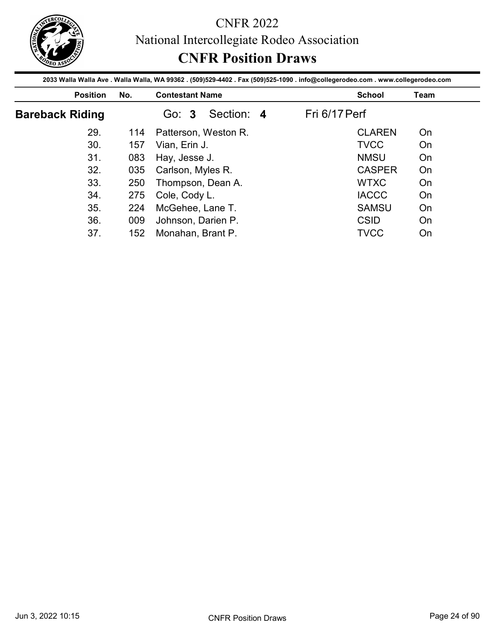

|                        |     | National Intercollegiate Rodeo Association                                                                                      |               |      |
|------------------------|-----|---------------------------------------------------------------------------------------------------------------------------------|---------------|------|
|                        |     | <b>CNFR Position Draws</b>                                                                                                      |               |      |
|                        |     | 2033 Walla Walla Ave . Walla Walla, WA 99362 . (509)529-4402 . Fax (509)525-1090 . info@collegerodeo.com . www.collegerodeo.com |               |      |
| <b>Position</b>        | No. | <b>Contestant Name</b>                                                                                                          | <b>School</b> | Team |
| <b>Bareback Riding</b> |     | Section: 4<br>Go: 3                                                                                                             | Fri 6/17 Perf |      |
| 29.                    | 114 | Patterson, Weston R.                                                                                                            | <b>CLAREN</b> | On   |
| 30.                    | 157 | Vian, Erin J.                                                                                                                   | <b>TVCC</b>   | On   |
|                        | 083 | Hay, Jesse J.                                                                                                                   | <b>NMSU</b>   | On   |
| 31.                    |     |                                                                                                                                 | <b>CASPER</b> | On   |
| 32.                    | 035 | Carlson, Myles R.                                                                                                               |               |      |
| 33.                    | 250 | Thompson, Dean A.                                                                                                               | <b>WTXC</b>   | On   |
| 34.                    | 275 |                                                                                                                                 | <b>IACCC</b>  | On   |
| 35.                    | 224 | Cole, Cody L.                                                                                                                   | <b>SAMSU</b>  | On   |
| 36.                    | 009 | McGehee, Lane T.<br>Johnson, Darien P.                                                                                          | <b>CSID</b>   | On   |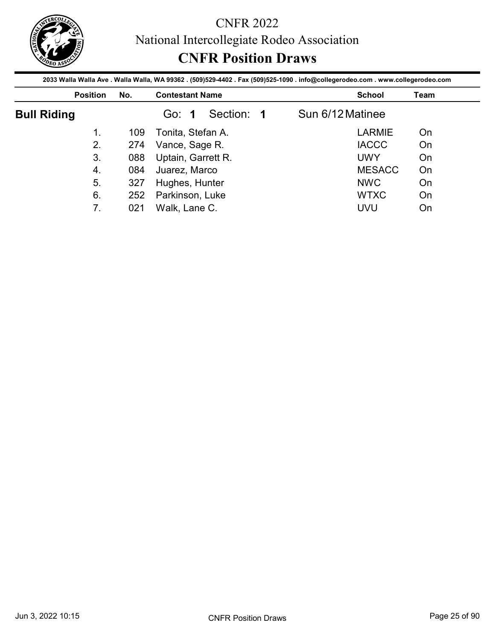

|                          |            | National Intercollegiate Rodeo Association<br><b>CNFR Position Draws</b>                                                                                  |                            |          |
|--------------------------|------------|-----------------------------------------------------------------------------------------------------------------------------------------------------------|----------------------------|----------|
| <b>Position</b>          | No.        | 2033 Walla Walla Ave . Walla Walla, WA 99362 . (509)529-4402 . Fax (509)525-1090 . info@collegerodeo.com . www.collegerodeo.com<br><b>Contestant Name</b> | <b>School</b>              | Team     |
|                          |            | Section: 1<br>Go: 1                                                                                                                                       | Sun 6/12 Matinee           |          |
|                          |            |                                                                                                                                                           |                            |          |
| <b>Bull Riding</b><br>1. | 109        |                                                                                                                                                           | <b>LARMIE</b>              | On       |
|                          |            | Tonita, Stefan A.                                                                                                                                         |                            |          |
| 2.<br>3.                 | 274<br>088 | Vance, Sage R.                                                                                                                                            | <b>IACCC</b><br><b>UWY</b> | On<br>On |
| 4.                       | 084        | Uptain, Garrett R.                                                                                                                                        | <b>MESACC</b>              | On       |
| 5.                       | 327        | Juarez, Marco                                                                                                                                             | <b>NWC</b>                 | On       |
| 6.                       | 252        | Hughes, Hunter<br>Parkinson, Luke                                                                                                                         | <b>WTXC</b>                | On       |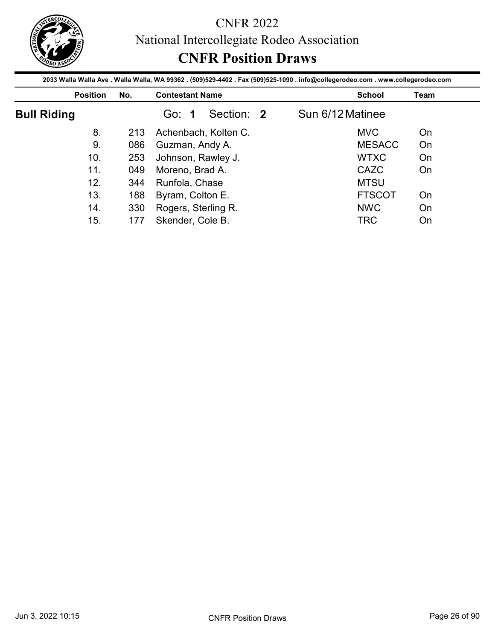

|                    |            | <b>CNFR Position Draws</b>              |            |                                                                                                                                                  |             |
|--------------------|------------|-----------------------------------------|------------|--------------------------------------------------------------------------------------------------------------------------------------------------|-------------|
| <b>Position</b>    | No.        | <b>Contestant Name</b>                  |            | 2033 Walla Walla Ave . Walla Walla, WA 99362 . (509)529-4402 . Fax (509)525-1090 . info@collegerodeo.com . www.collegerodeo.com<br><b>School</b> | <b>Team</b> |
| <b>Bull Riding</b> |            | Go: 1                                   | Section: 2 | Sun 6/12 Matinee                                                                                                                                 |             |
|                    |            |                                         |            |                                                                                                                                                  |             |
| 8.                 | 213        | Achenbach, Kolten C.                    |            | <b>MVC</b>                                                                                                                                       | On          |
| 9.                 | 086        |                                         |            | <b>MESACC</b>                                                                                                                                    | On          |
| 10.                | 253        | Guzman, Andy A.                         |            | <b>WTXC</b>                                                                                                                                      | On          |
| 11.                | 049        | Johnson, Rawley J.                      |            | CAZC                                                                                                                                             | On          |
| 12.                |            | Moreno, Brad A.                         |            | <b>MTSU</b>                                                                                                                                      |             |
| 13.                | 344        | Runfola, Chase                          |            | <b>FTSCOT</b>                                                                                                                                    | On          |
| 14.                | 188<br>330 | Byram, Colton E.<br>Rogers, Sterling R. |            | <b>NWC</b>                                                                                                                                       | On          |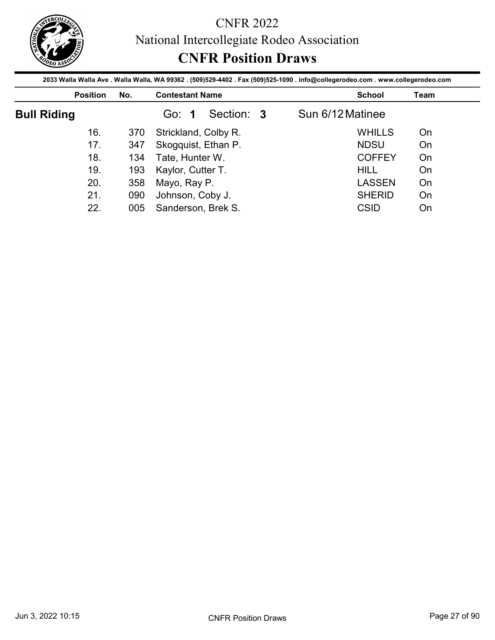

|                    |                 |            |                                        | <b>CNFR Position Draws</b> | National Intercollegiate Rodeo Association |                                                                                                                                                  |      |
|--------------------|-----------------|------------|----------------------------------------|----------------------------|--------------------------------------------|--------------------------------------------------------------------------------------------------------------------------------------------------|------|
|                    | <b>Position</b> | No.        | <b>Contestant Name</b>                 |                            |                                            | 2033 Walla Walla Ave . Walla Walla, WA 99362 . (509)529-4402 . Fax (509)525-1090 . info@collegerodeo.com . www.collegerodeo.com<br><b>School</b> | Team |
| <b>Bull Riding</b> |                 |            | Go: 1                                  | Section: 3                 | Sun 6/12 Matinee                           |                                                                                                                                                  |      |
|                    |                 | 370        |                                        | Strickland, Colby R.       |                                            | <b>WHILLS</b>                                                                                                                                    | On   |
|                    | 16.             |            |                                        |                            |                                            |                                                                                                                                                  |      |
|                    | 17.             |            |                                        |                            |                                            | <b>NDSU</b>                                                                                                                                      | On   |
|                    | 18.             | 347<br>134 | Skogquist, Ethan P.<br>Tate, Hunter W. |                            |                                            | <b>COFFEY</b>                                                                                                                                    | On   |
|                    | 19.             | 193        | Kaylor, Cutter T.                      |                            |                                            | <b>HILL</b>                                                                                                                                      | On   |
|                    | 20.             | 358        | Mayo, Ray P.                           |                            |                                            | <b>LASSEN</b>                                                                                                                                    | On   |
|                    | 21.             | 090        | Johnson, Coby J.                       |                            |                                            | <b>SHERID</b>                                                                                                                                    | On   |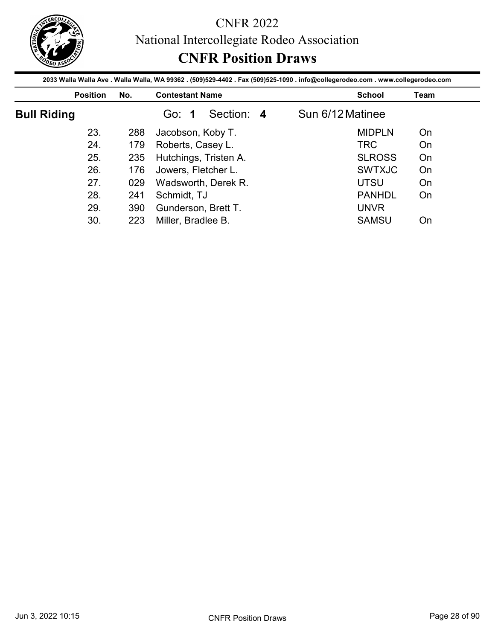

|                    |            | <b>CNFR Position Draws</b>                                                                                                                                |                  |      |
|--------------------|------------|-----------------------------------------------------------------------------------------------------------------------------------------------------------|------------------|------|
| <b>Position</b>    | No.        | 2033 Walla Walla Ave . Walla Walla, WA 99362 . (509)529-4402 . Fax (509)525-1090 . info@collegerodeo.com . www.collegerodeo.com<br><b>Contestant Name</b> | <b>School</b>    | Team |
| <b>Bull Riding</b> |            | Section: 4<br>Go: 1                                                                                                                                       | Sun 6/12 Matinee |      |
|                    | 288        | Jacobson, Koby T.                                                                                                                                         | <b>MIDPLN</b>    | On   |
| 23.                |            |                                                                                                                                                           |                  |      |
| 24.                | 179        |                                                                                                                                                           | <b>TRC</b>       | On   |
| 25.                | 235        | Roberts, Casey L.                                                                                                                                         | <b>SLROSS</b>    | On   |
| 26.                | 176        | Hutchings, Tristen A.                                                                                                                                     | <b>SWTXJC</b>    | On   |
| 27.                |            | Jowers, Fletcher L.                                                                                                                                       | <b>UTSU</b>      | On   |
| 28.                | 029<br>241 | Wadsworth, Derek R.                                                                                                                                       | <b>PANHDL</b>    |      |
| 29.                | 390        | Schmidt, TJ<br>Gunderson, Brett T.                                                                                                                        | <b>UNVR</b>      | On   |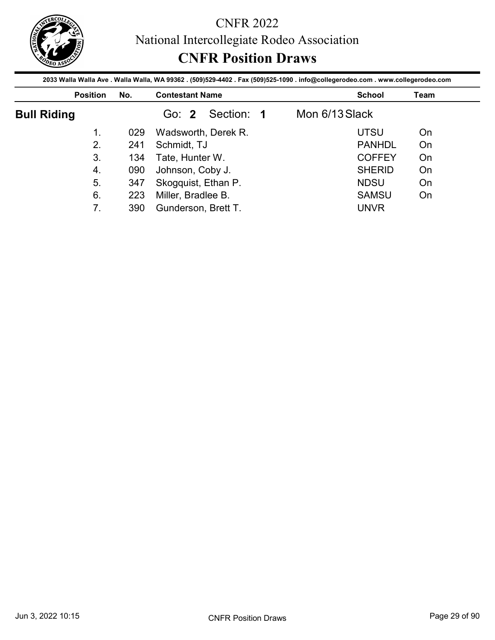

|                    |     | National Intercollegiate Rodeo Association<br><b>CNFR Position Draws</b><br>2033 Walla Walla Ave . Walla Walla, WA 99362 . (509)529-4402 . Fax (509)525-1090 . info@collegerodeo.com . www.collegerodeo.com |                |               |      |
|--------------------|-----|-------------------------------------------------------------------------------------------------------------------------------------------------------------------------------------------------------------|----------------|---------------|------|
| <b>Position</b>    | No. | <b>Contestant Name</b>                                                                                                                                                                                      |                | <b>School</b> | Team |
|                    |     | Go: 2<br>Section: 1                                                                                                                                                                                         | Mon 6/13 Slack |               |      |
| <b>Bull Riding</b> |     |                                                                                                                                                                                                             |                |               |      |
| 1.                 | 029 | Wadsworth, Derek R.                                                                                                                                                                                         |                | <b>UTSU</b>   | On   |
| 2.                 | 241 |                                                                                                                                                                                                             |                | <b>PANHDL</b> | On   |
| 3.                 | 134 | Schmidt, TJ                                                                                                                                                                                                 |                | <b>COFFEY</b> | On   |
| 4.                 | 090 | Tate, Hunter W.                                                                                                                                                                                             |                | <b>SHERID</b> | On   |
| 5.                 | 347 | Johnson, Coby J.<br>Skogquist, Ethan P.                                                                                                                                                                     |                | <b>NDSU</b>   | On   |
| 6.                 | 223 | Miller, Bradlee B.                                                                                                                                                                                          |                | <b>SAMSU</b>  | On   |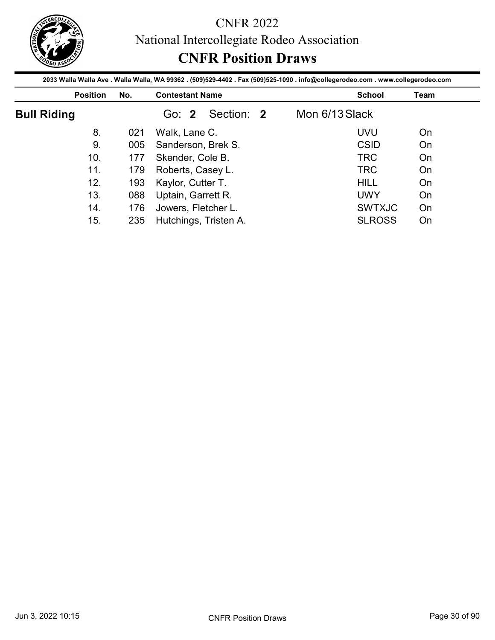

|                    |            | <b>CNFR Position Draws</b>                | 2033 Walla Walla Ave . Walla Walla, WA 99362 . (509)529-4402 . Fax (509)525-1090 . info@collegerodeo.com . www.collegerodeo.com |             |
|--------------------|------------|-------------------------------------------|---------------------------------------------------------------------------------------------------------------------------------|-------------|
| <b>Position</b>    | No.        | <b>Contestant Name</b>                    | <b>School</b>                                                                                                                   | <b>Team</b> |
| <b>Bull Riding</b> |            | Section: 2<br>Go: 2                       | Mon 6/13 Slack                                                                                                                  |             |
|                    |            |                                           |                                                                                                                                 |             |
| 8.                 | 021        |                                           | <b>UVU</b>                                                                                                                      | On          |
| 9.                 | 005        | Walk, Lane C.                             | <b>CSID</b>                                                                                                                     | On          |
| 10.                | 177        | Sanderson, Brek S.                        | <b>TRC</b>                                                                                                                      | On          |
| 11.                | 179        | Skender, Cole B.                          | <b>TRC</b>                                                                                                                      | On          |
| 12.                |            | Roberts, Casey L.                         | <b>HILL</b>                                                                                                                     | On          |
|                    | 193        | Kaylor, Cutter T.                         |                                                                                                                                 |             |
| 13.<br>14.         | 088<br>176 | Uptain, Garrett R.<br>Jowers, Fletcher L. | <b>UWY</b><br><b>SWTXJC</b>                                                                                                     | On<br>On    |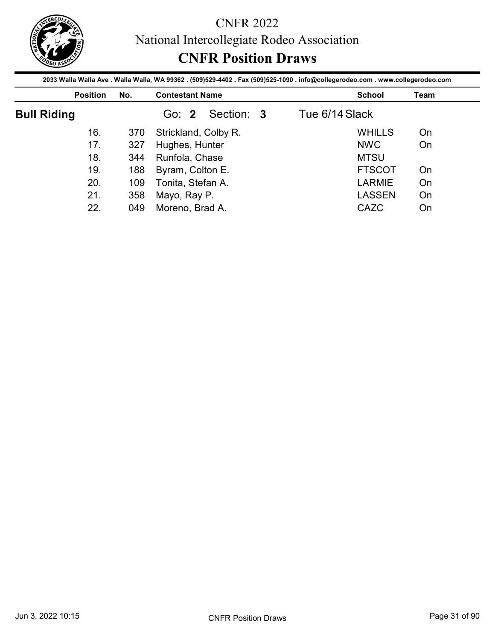

|                    |     | National Intercollegiate Rodeo Association<br><b>CNFR Position Draws</b> | 2033 Walla Walla Ave . Walla Walla, WA 99362 . (509)529-4402 . Fax (509)525-1090 . info@collegerodeo.com . www.collegerodeo.com |      |
|--------------------|-----|--------------------------------------------------------------------------|---------------------------------------------------------------------------------------------------------------------------------|------|
| <b>Position</b>    | No. | <b>Contestant Name</b>                                                   | <b>School</b>                                                                                                                   | Team |
| <b>Bull Riding</b> |     | Go: 2<br>Section: 3                                                      | Tue 6/14 Slack                                                                                                                  |      |
|                    |     |                                                                          |                                                                                                                                 |      |
| 16.                | 370 |                                                                          | <b>WHILLS</b>                                                                                                                   | On   |
| 17.                | 327 | Strickland, Colby R.                                                     | <b>NWC</b>                                                                                                                      | On   |
| 18.                | 344 | Hughes, Hunter<br>Runfola, Chase                                         | <b>MTSU</b>                                                                                                                     |      |
| 19.                | 188 | Byram, Colton E.                                                         | <b>FTSCOT</b>                                                                                                                   | On   |
| 20.                | 109 | Tonita, Stefan A.                                                        | <b>LARMIE</b>                                                                                                                   | On   |
| 21.                | 358 | Mayo, Ray P.                                                             | <b>LASSEN</b>                                                                                                                   | On   |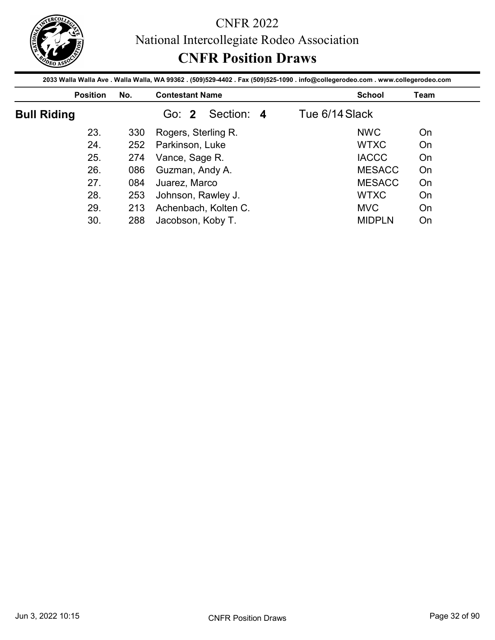

|                    |            | <b>CNFR Position Draws</b>                                                                                                                                |                |             |
|--------------------|------------|-----------------------------------------------------------------------------------------------------------------------------------------------------------|----------------|-------------|
| <b>Position</b>    | No.        | 2033 Walla Walla Ave . Walla Walla, WA 99362 . (509)529-4402 . Fax (509)525-1090 . info@collegerodeo.com . www.collegerodeo.com<br><b>Contestant Name</b> | <b>School</b>  | <b>Team</b> |
| <b>Bull Riding</b> |            | Section: 4<br>Go: 2                                                                                                                                       | Tue 6/14 Slack |             |
|                    | 330        | Rogers, Sterling R.                                                                                                                                       | <b>NWC</b>     | On          |
| 23.                |            |                                                                                                                                                           |                |             |
| 24.                | 252        |                                                                                                                                                           | <b>WTXC</b>    | On          |
| 25.                | 274        | Parkinson, Luke                                                                                                                                           | <b>IACCC</b>   | On          |
| 26.                | 086        | Vance, Sage R.                                                                                                                                            | <b>MESACC</b>  | On          |
| 27.                | 084        | Guzman, Andy A.                                                                                                                                           | <b>MESACC</b>  | On          |
| 28.                |            | Juarez, Marco                                                                                                                                             | <b>WTXC</b>    | On          |
| 29.                | 253<br>213 | Johnson, Rawley J.<br>Achenbach, Kolten C.                                                                                                                | <b>MVC</b>     | On          |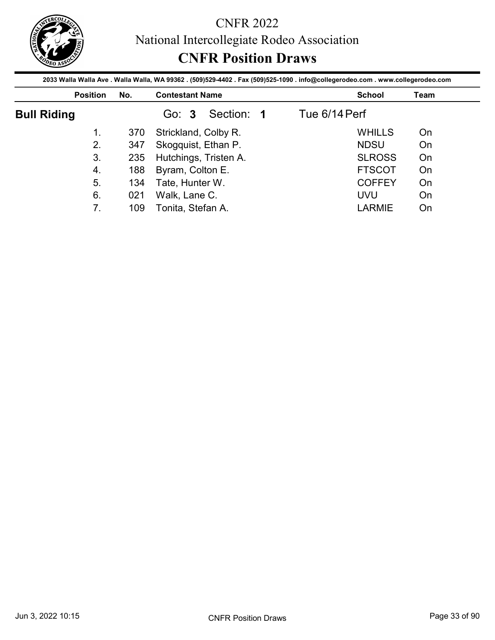

|                    |            | National Intercollegiate Rodeo Association<br><b>CNFR Position Draws</b>                                                                                  |               |      |
|--------------------|------------|-----------------------------------------------------------------------------------------------------------------------------------------------------------|---------------|------|
| <b>Position</b>    | No.        | 2033 Walla Walla Ave . Walla Walla, WA 99362 . (509)529-4402 . Fax (509)525-1090 . info@collegerodeo.com . www.collegerodeo.com<br><b>Contestant Name</b> | <b>School</b> | Team |
| <b>Bull Riding</b> |            | Go: 3<br>Section: 1                                                                                                                                       | Tue 6/14 Perf |      |
|                    |            |                                                                                                                                                           |               |      |
| 1.                 |            |                                                                                                                                                           | <b>WHILLS</b> | On   |
| 2.                 | 370        | Strickland, Colby R.                                                                                                                                      | <b>NDSU</b>   | On   |
| 3.                 | 347<br>235 | Skogquist, Ethan P.                                                                                                                                       | <b>SLROSS</b> | On   |
| 4.                 | 188        | Hutchings, Tristen A.<br>Byram, Colton E.                                                                                                                 | <b>FTSCOT</b> | On   |
| 5.                 | 134        | Tate, Hunter W.                                                                                                                                           | <b>COFFEY</b> | On   |
| 6.                 | 021        | Walk, Lane C.                                                                                                                                             | <b>UVU</b>    | On   |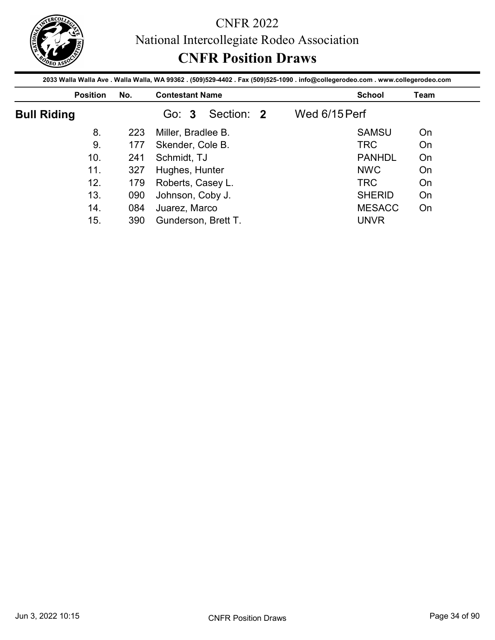

|                    |            | <b>CNFR Position Draws</b>        |                                                                                                                                                  |             |
|--------------------|------------|-----------------------------------|--------------------------------------------------------------------------------------------------------------------------------------------------|-------------|
| <b>Position</b>    | No.        | <b>Contestant Name</b>            | 2033 Walla Walla Ave . Walla Walla, WA 99362 . (509)529-4402 . Fax (509)525-1090 . info@collegerodeo.com . www.collegerodeo.com<br><b>School</b> | <b>Team</b> |
| <b>Bull Riding</b> |            | Go: 3<br>Section: 2               | Wed 6/15 Perf                                                                                                                                    |             |
|                    |            |                                   |                                                                                                                                                  |             |
| 8.                 | 223        |                                   | <b>SAMSU</b>                                                                                                                                     | On          |
| 9.                 |            | Miller, Bradlee B.                | <b>TRC</b>                                                                                                                                       | On          |
| 10.                | 177        | Skender, Cole B.                  | <b>PANHDL</b>                                                                                                                                    |             |
| 11.                | 241        | Schmidt, TJ                       |                                                                                                                                                  | On          |
| 12.                | 327        | Hughes, Hunter                    | <b>NWC</b>                                                                                                                                       | On          |
|                    | 179        | Roberts, Casey L.                 | <b>TRC</b>                                                                                                                                       | On          |
| 13.<br>14.         | 090<br>084 | Johnson, Coby J.<br>Juarez, Marco | <b>SHERID</b><br><b>MESACC</b>                                                                                                                   | On<br>On    |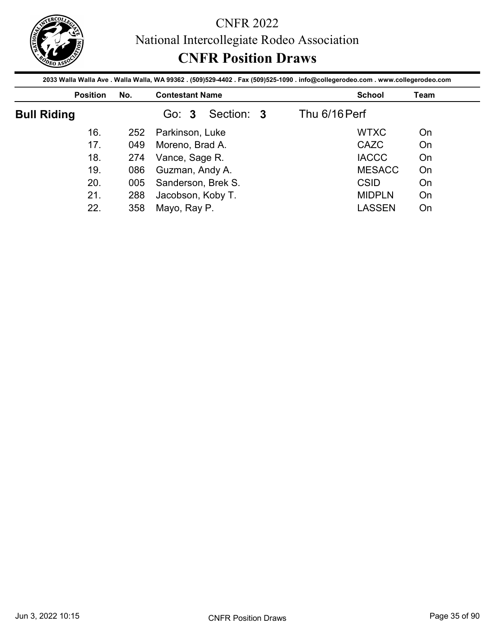

|                    |                 |     | National Intercollegiate Rodeo Association<br><b>CNFR Position Draws</b> | 2033 Walla Walla Ave . Walla Walla, WA 99362 . (509)529-4402 . Fax (509)525-1090 . info@collegerodeo.com . www.collegerodeo.com |      |
|--------------------|-----------------|-----|--------------------------------------------------------------------------|---------------------------------------------------------------------------------------------------------------------------------|------|
|                    | <b>Position</b> | No. | <b>Contestant Name</b>                                                   | <b>School</b>                                                                                                                   | Team |
| <b>Bull Riding</b> |                 |     | Go: 3<br>Section: 3                                                      | Thu 6/16 Perf                                                                                                                   |      |
|                    |                 |     |                                                                          |                                                                                                                                 |      |
|                    | 16.             | 252 |                                                                          | <b>WTXC</b>                                                                                                                     | On   |
|                    | 17.             | 049 | Parkinson, Luke                                                          | <b>CAZC</b>                                                                                                                     | On   |
|                    | 18.             | 274 | Moreno, Brad A.                                                          | <b>IACCC</b>                                                                                                                    | On   |
|                    | 19.             | 086 | Vance, Sage R.                                                           | <b>MESACC</b>                                                                                                                   | On   |
|                    | 20.             | 005 | Guzman, Andy A.                                                          | <b>CSID</b>                                                                                                                     | On   |
|                    | 21.             | 288 | Sanderson, Brek S.<br>Jacobson, Koby T.                                  | <b>MIDPLN</b>                                                                                                                   | On   |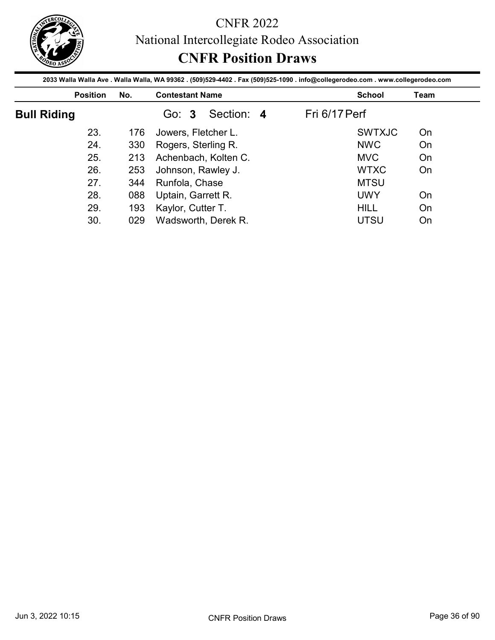

|                    |            | <b>CNFR Position Draws</b>              | 2033 Walla Walla Ave . Walla Walla, WA 99362 . (509)529-4402 . Fax (509)525-1090 . info@collegerodeo.com . www.collegerodeo.com |             |
|--------------------|------------|-----------------------------------------|---------------------------------------------------------------------------------------------------------------------------------|-------------|
| <b>Position</b>    | No.        | <b>Contestant Name</b>                  | <b>School</b>                                                                                                                   | <b>Team</b> |
| <b>Bull Riding</b> |            | Section: 4<br>Go: 3                     | Fri 6/17 Perf                                                                                                                   |             |
|                    |            |                                         |                                                                                                                                 |             |
| 23.                | 176        | Jowers, Fletcher L.                     | <b>SWTXJC</b>                                                                                                                   | On          |
| 24.                | 330        |                                         | <b>NWC</b>                                                                                                                      | On          |
| 25.                | 213        | Rogers, Sterling R.                     | <b>MVC</b>                                                                                                                      | On          |
| 26.                | 253        | Achenbach, Kolten C.                    | <b>WTXC</b>                                                                                                                     | On          |
| 27.                |            | Johnson, Rawley J.                      | <b>MTSU</b>                                                                                                                     |             |
| 28.                | 344        | Runfola, Chase                          | <b>UWY</b>                                                                                                                      | On          |
| 29.                | 088<br>193 | Uptain, Garrett R.<br>Kaylor, Cutter T. | <b>HILL</b>                                                                                                                     | On          |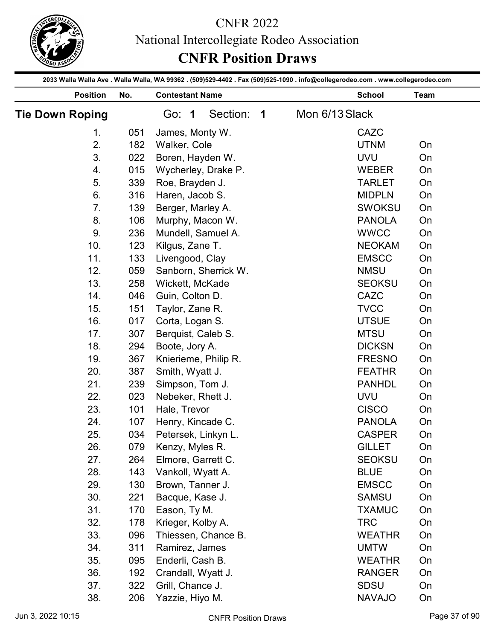

| 2033 Walla Walla Ave . Walla Walla, WA 99362 . (509)529-4402 . Fax (509)525-1090 . info@collegerodeo.com . www.collegerodeo.com<br><b>Position</b><br>No.<br><b>Contestant Name</b><br><b>School</b><br>Team<br>Section: 1<br>Mon 6/13 Slack<br><b>Tie Down Roping</b><br>Go: 1<br>CAZC<br>051<br>James, Monty W.<br>1.<br>2.<br><b>UTNM</b><br>182<br>Walker, Cole<br>On<br>3.<br>Boren, Hayden W.<br>022<br><b>UVU</b><br>On<br>015<br>Wycherley, Drake P.<br><b>WEBER</b><br>On<br>4.<br>Roe, Brayden J.<br>339<br><b>TARLET</b><br>5.<br>On<br>Haren, Jacob S.<br>316<br><b>MIDPLN</b><br>6.<br>On<br>7.<br>139<br>Berger, Marley A.<br><b>SWOKSU</b><br>On<br>8.<br>106<br>Murphy, Macon W.<br><b>PANOLA</b><br>On<br>Mundell, Samuel A.<br><b>WWCC</b><br>9.<br>236<br>On<br>10.<br>123<br><b>NEOKAM</b><br>Kilgus, Zane T.<br>On<br><b>EMSCC</b><br>11.<br>133<br>Livengood, Clay<br>On<br>12.<br><b>NMSU</b><br>059<br>On<br>Sanborn, Sherrick W.<br>13.<br>258<br><b>SEOKSU</b><br>On<br>Wickett, McKade<br>CAZC<br>14.<br>046<br>On<br>Guin, Colton D.<br><b>TVCC</b><br>15.<br>On<br>151<br>Taylor, Zane R.<br>16.<br>017<br>Corta, Logan S.<br><b>UTSUE</b><br>On<br>17.<br><b>MTSU</b><br>On<br>307<br>Berquist, Caleb S.<br>18.<br>294<br>Boote, Jory A.<br><b>DICKSN</b><br>On<br>19.<br>367<br><b>FRESNO</b><br>On<br>Knierieme, Philip R.<br>20.<br><b>FEATHR</b><br>On<br>387<br>Smith, Wyatt J.<br>21.<br>239<br>Simpson, Tom J.<br><b>PANHDL</b><br>On<br>22.<br>023<br><b>UVU</b><br>On<br>Nebeker, Rhett J.<br><b>CISCO</b><br>23.<br>101<br>On<br>Hale, Trevor<br>24.<br><b>PANOLA</b><br>On<br>Henry, Kincade C.<br>107<br>25.<br><b>CASPER</b><br>034<br>Petersek, Linkyn L.<br>On<br>26.<br>079<br><b>GILLET</b><br>Kenzy, Myles R.<br>On<br>27.<br><b>SEOKSU</b><br>264<br>Elmore, Garrett C.<br>On<br>28.<br>143<br>Vankoll, Wyatt A.<br><b>BLUE</b><br>On<br>29.<br>130<br><b>EMSCC</b><br>On<br>Brown, Tanner J.<br>30.<br><b>SAMSU</b><br>On<br>221<br>Bacque, Kase J.<br>31.<br>170<br><b>TXAMUC</b><br>On<br>Eason, Ty M.<br><b>TRC</b><br>32.<br>178<br>On<br>Krieger, Kolby A.<br>33.<br><b>WEATHR</b><br>096<br>Thiessen, Chance B.<br>On<br>34.<br><b>UMTW</b><br>On<br>311<br>Ramirez, James<br>35.<br><b>WEATHR</b><br>095<br>Enderli, Cash B.<br>On<br>36.<br><b>RANGER</b><br>192<br>Crandall, Wyatt J.<br>On<br>37.<br>322<br>Grill, Chance J.<br><b>SDSU</b><br>On<br>38.<br>Yazzie, Hiyo M.<br><b>NAVAJO</b><br>206<br>On |  | <b>CNFR Position Draws</b> | National Intercollegiate Rodeo Association |  |  |
|-----------------------------------------------------------------------------------------------------------------------------------------------------------------------------------------------------------------------------------------------------------------------------------------------------------------------------------------------------------------------------------------------------------------------------------------------------------------------------------------------------------------------------------------------------------------------------------------------------------------------------------------------------------------------------------------------------------------------------------------------------------------------------------------------------------------------------------------------------------------------------------------------------------------------------------------------------------------------------------------------------------------------------------------------------------------------------------------------------------------------------------------------------------------------------------------------------------------------------------------------------------------------------------------------------------------------------------------------------------------------------------------------------------------------------------------------------------------------------------------------------------------------------------------------------------------------------------------------------------------------------------------------------------------------------------------------------------------------------------------------------------------------------------------------------------------------------------------------------------------------------------------------------------------------------------------------------------------------------------------------------------------------------------------------------------------------------------------------------------------------------------------------------------------------------------------------------------------------------------------------------------------------------------------------------------------------------------------------------------------------------------------------------------------------------------------------------------------------|--|----------------------------|--------------------------------------------|--|--|
|                                                                                                                                                                                                                                                                                                                                                                                                                                                                                                                                                                                                                                                                                                                                                                                                                                                                                                                                                                                                                                                                                                                                                                                                                                                                                                                                                                                                                                                                                                                                                                                                                                                                                                                                                                                                                                                                                                                                                                                                                                                                                                                                                                                                                                                                                                                                                                                                                                                                       |  |                            |                                            |  |  |
|                                                                                                                                                                                                                                                                                                                                                                                                                                                                                                                                                                                                                                                                                                                                                                                                                                                                                                                                                                                                                                                                                                                                                                                                                                                                                                                                                                                                                                                                                                                                                                                                                                                                                                                                                                                                                                                                                                                                                                                                                                                                                                                                                                                                                                                                                                                                                                                                                                                                       |  |                            |                                            |  |  |
|                                                                                                                                                                                                                                                                                                                                                                                                                                                                                                                                                                                                                                                                                                                                                                                                                                                                                                                                                                                                                                                                                                                                                                                                                                                                                                                                                                                                                                                                                                                                                                                                                                                                                                                                                                                                                                                                                                                                                                                                                                                                                                                                                                                                                                                                                                                                                                                                                                                                       |  |                            |                                            |  |  |
|                                                                                                                                                                                                                                                                                                                                                                                                                                                                                                                                                                                                                                                                                                                                                                                                                                                                                                                                                                                                                                                                                                                                                                                                                                                                                                                                                                                                                                                                                                                                                                                                                                                                                                                                                                                                                                                                                                                                                                                                                                                                                                                                                                                                                                                                                                                                                                                                                                                                       |  |                            |                                            |  |  |
|                                                                                                                                                                                                                                                                                                                                                                                                                                                                                                                                                                                                                                                                                                                                                                                                                                                                                                                                                                                                                                                                                                                                                                                                                                                                                                                                                                                                                                                                                                                                                                                                                                                                                                                                                                                                                                                                                                                                                                                                                                                                                                                                                                                                                                                                                                                                                                                                                                                                       |  |                            |                                            |  |  |
|                                                                                                                                                                                                                                                                                                                                                                                                                                                                                                                                                                                                                                                                                                                                                                                                                                                                                                                                                                                                                                                                                                                                                                                                                                                                                                                                                                                                                                                                                                                                                                                                                                                                                                                                                                                                                                                                                                                                                                                                                                                                                                                                                                                                                                                                                                                                                                                                                                                                       |  |                            |                                            |  |  |
|                                                                                                                                                                                                                                                                                                                                                                                                                                                                                                                                                                                                                                                                                                                                                                                                                                                                                                                                                                                                                                                                                                                                                                                                                                                                                                                                                                                                                                                                                                                                                                                                                                                                                                                                                                                                                                                                                                                                                                                                                                                                                                                                                                                                                                                                                                                                                                                                                                                                       |  |                            |                                            |  |  |
|                                                                                                                                                                                                                                                                                                                                                                                                                                                                                                                                                                                                                                                                                                                                                                                                                                                                                                                                                                                                                                                                                                                                                                                                                                                                                                                                                                                                                                                                                                                                                                                                                                                                                                                                                                                                                                                                                                                                                                                                                                                                                                                                                                                                                                                                                                                                                                                                                                                                       |  |                            |                                            |  |  |
|                                                                                                                                                                                                                                                                                                                                                                                                                                                                                                                                                                                                                                                                                                                                                                                                                                                                                                                                                                                                                                                                                                                                                                                                                                                                                                                                                                                                                                                                                                                                                                                                                                                                                                                                                                                                                                                                                                                                                                                                                                                                                                                                                                                                                                                                                                                                                                                                                                                                       |  |                            |                                            |  |  |
|                                                                                                                                                                                                                                                                                                                                                                                                                                                                                                                                                                                                                                                                                                                                                                                                                                                                                                                                                                                                                                                                                                                                                                                                                                                                                                                                                                                                                                                                                                                                                                                                                                                                                                                                                                                                                                                                                                                                                                                                                                                                                                                                                                                                                                                                                                                                                                                                                                                                       |  |                            |                                            |  |  |
|                                                                                                                                                                                                                                                                                                                                                                                                                                                                                                                                                                                                                                                                                                                                                                                                                                                                                                                                                                                                                                                                                                                                                                                                                                                                                                                                                                                                                                                                                                                                                                                                                                                                                                                                                                                                                                                                                                                                                                                                                                                                                                                                                                                                                                                                                                                                                                                                                                                                       |  |                            |                                            |  |  |
|                                                                                                                                                                                                                                                                                                                                                                                                                                                                                                                                                                                                                                                                                                                                                                                                                                                                                                                                                                                                                                                                                                                                                                                                                                                                                                                                                                                                                                                                                                                                                                                                                                                                                                                                                                                                                                                                                                                                                                                                                                                                                                                                                                                                                                                                                                                                                                                                                                                                       |  |                            |                                            |  |  |
|                                                                                                                                                                                                                                                                                                                                                                                                                                                                                                                                                                                                                                                                                                                                                                                                                                                                                                                                                                                                                                                                                                                                                                                                                                                                                                                                                                                                                                                                                                                                                                                                                                                                                                                                                                                                                                                                                                                                                                                                                                                                                                                                                                                                                                                                                                                                                                                                                                                                       |  |                            |                                            |  |  |
|                                                                                                                                                                                                                                                                                                                                                                                                                                                                                                                                                                                                                                                                                                                                                                                                                                                                                                                                                                                                                                                                                                                                                                                                                                                                                                                                                                                                                                                                                                                                                                                                                                                                                                                                                                                                                                                                                                                                                                                                                                                                                                                                                                                                                                                                                                                                                                                                                                                                       |  |                            |                                            |  |  |
|                                                                                                                                                                                                                                                                                                                                                                                                                                                                                                                                                                                                                                                                                                                                                                                                                                                                                                                                                                                                                                                                                                                                                                                                                                                                                                                                                                                                                                                                                                                                                                                                                                                                                                                                                                                                                                                                                                                                                                                                                                                                                                                                                                                                                                                                                                                                                                                                                                                                       |  |                            |                                            |  |  |
|                                                                                                                                                                                                                                                                                                                                                                                                                                                                                                                                                                                                                                                                                                                                                                                                                                                                                                                                                                                                                                                                                                                                                                                                                                                                                                                                                                                                                                                                                                                                                                                                                                                                                                                                                                                                                                                                                                                                                                                                                                                                                                                                                                                                                                                                                                                                                                                                                                                                       |  |                            |                                            |  |  |
|                                                                                                                                                                                                                                                                                                                                                                                                                                                                                                                                                                                                                                                                                                                                                                                                                                                                                                                                                                                                                                                                                                                                                                                                                                                                                                                                                                                                                                                                                                                                                                                                                                                                                                                                                                                                                                                                                                                                                                                                                                                                                                                                                                                                                                                                                                                                                                                                                                                                       |  |                            |                                            |  |  |
|                                                                                                                                                                                                                                                                                                                                                                                                                                                                                                                                                                                                                                                                                                                                                                                                                                                                                                                                                                                                                                                                                                                                                                                                                                                                                                                                                                                                                                                                                                                                                                                                                                                                                                                                                                                                                                                                                                                                                                                                                                                                                                                                                                                                                                                                                                                                                                                                                                                                       |  |                            |                                            |  |  |
|                                                                                                                                                                                                                                                                                                                                                                                                                                                                                                                                                                                                                                                                                                                                                                                                                                                                                                                                                                                                                                                                                                                                                                                                                                                                                                                                                                                                                                                                                                                                                                                                                                                                                                                                                                                                                                                                                                                                                                                                                                                                                                                                                                                                                                                                                                                                                                                                                                                                       |  |                            |                                            |  |  |
|                                                                                                                                                                                                                                                                                                                                                                                                                                                                                                                                                                                                                                                                                                                                                                                                                                                                                                                                                                                                                                                                                                                                                                                                                                                                                                                                                                                                                                                                                                                                                                                                                                                                                                                                                                                                                                                                                                                                                                                                                                                                                                                                                                                                                                                                                                                                                                                                                                                                       |  |                            |                                            |  |  |
|                                                                                                                                                                                                                                                                                                                                                                                                                                                                                                                                                                                                                                                                                                                                                                                                                                                                                                                                                                                                                                                                                                                                                                                                                                                                                                                                                                                                                                                                                                                                                                                                                                                                                                                                                                                                                                                                                                                                                                                                                                                                                                                                                                                                                                                                                                                                                                                                                                                                       |  |                            |                                            |  |  |
|                                                                                                                                                                                                                                                                                                                                                                                                                                                                                                                                                                                                                                                                                                                                                                                                                                                                                                                                                                                                                                                                                                                                                                                                                                                                                                                                                                                                                                                                                                                                                                                                                                                                                                                                                                                                                                                                                                                                                                                                                                                                                                                                                                                                                                                                                                                                                                                                                                                                       |  |                            |                                            |  |  |
|                                                                                                                                                                                                                                                                                                                                                                                                                                                                                                                                                                                                                                                                                                                                                                                                                                                                                                                                                                                                                                                                                                                                                                                                                                                                                                                                                                                                                                                                                                                                                                                                                                                                                                                                                                                                                                                                                                                                                                                                                                                                                                                                                                                                                                                                                                                                                                                                                                                                       |  |                            |                                            |  |  |
|                                                                                                                                                                                                                                                                                                                                                                                                                                                                                                                                                                                                                                                                                                                                                                                                                                                                                                                                                                                                                                                                                                                                                                                                                                                                                                                                                                                                                                                                                                                                                                                                                                                                                                                                                                                                                                                                                                                                                                                                                                                                                                                                                                                                                                                                                                                                                                                                                                                                       |  |                            |                                            |  |  |
|                                                                                                                                                                                                                                                                                                                                                                                                                                                                                                                                                                                                                                                                                                                                                                                                                                                                                                                                                                                                                                                                                                                                                                                                                                                                                                                                                                                                                                                                                                                                                                                                                                                                                                                                                                                                                                                                                                                                                                                                                                                                                                                                                                                                                                                                                                                                                                                                                                                                       |  |                            |                                            |  |  |
|                                                                                                                                                                                                                                                                                                                                                                                                                                                                                                                                                                                                                                                                                                                                                                                                                                                                                                                                                                                                                                                                                                                                                                                                                                                                                                                                                                                                                                                                                                                                                                                                                                                                                                                                                                                                                                                                                                                                                                                                                                                                                                                                                                                                                                                                                                                                                                                                                                                                       |  |                            |                                            |  |  |
|                                                                                                                                                                                                                                                                                                                                                                                                                                                                                                                                                                                                                                                                                                                                                                                                                                                                                                                                                                                                                                                                                                                                                                                                                                                                                                                                                                                                                                                                                                                                                                                                                                                                                                                                                                                                                                                                                                                                                                                                                                                                                                                                                                                                                                                                                                                                                                                                                                                                       |  |                            |                                            |  |  |
|                                                                                                                                                                                                                                                                                                                                                                                                                                                                                                                                                                                                                                                                                                                                                                                                                                                                                                                                                                                                                                                                                                                                                                                                                                                                                                                                                                                                                                                                                                                                                                                                                                                                                                                                                                                                                                                                                                                                                                                                                                                                                                                                                                                                                                                                                                                                                                                                                                                                       |  |                            |                                            |  |  |
|                                                                                                                                                                                                                                                                                                                                                                                                                                                                                                                                                                                                                                                                                                                                                                                                                                                                                                                                                                                                                                                                                                                                                                                                                                                                                                                                                                                                                                                                                                                                                                                                                                                                                                                                                                                                                                                                                                                                                                                                                                                                                                                                                                                                                                                                                                                                                                                                                                                                       |  |                            |                                            |  |  |
|                                                                                                                                                                                                                                                                                                                                                                                                                                                                                                                                                                                                                                                                                                                                                                                                                                                                                                                                                                                                                                                                                                                                                                                                                                                                                                                                                                                                                                                                                                                                                                                                                                                                                                                                                                                                                                                                                                                                                                                                                                                                                                                                                                                                                                                                                                                                                                                                                                                                       |  |                            |                                            |  |  |
|                                                                                                                                                                                                                                                                                                                                                                                                                                                                                                                                                                                                                                                                                                                                                                                                                                                                                                                                                                                                                                                                                                                                                                                                                                                                                                                                                                                                                                                                                                                                                                                                                                                                                                                                                                                                                                                                                                                                                                                                                                                                                                                                                                                                                                                                                                                                                                                                                                                                       |  |                            |                                            |  |  |
|                                                                                                                                                                                                                                                                                                                                                                                                                                                                                                                                                                                                                                                                                                                                                                                                                                                                                                                                                                                                                                                                                                                                                                                                                                                                                                                                                                                                                                                                                                                                                                                                                                                                                                                                                                                                                                                                                                                                                                                                                                                                                                                                                                                                                                                                                                                                                                                                                                                                       |  |                            |                                            |  |  |
|                                                                                                                                                                                                                                                                                                                                                                                                                                                                                                                                                                                                                                                                                                                                                                                                                                                                                                                                                                                                                                                                                                                                                                                                                                                                                                                                                                                                                                                                                                                                                                                                                                                                                                                                                                                                                                                                                                                                                                                                                                                                                                                                                                                                                                                                                                                                                                                                                                                                       |  |                            |                                            |  |  |
|                                                                                                                                                                                                                                                                                                                                                                                                                                                                                                                                                                                                                                                                                                                                                                                                                                                                                                                                                                                                                                                                                                                                                                                                                                                                                                                                                                                                                                                                                                                                                                                                                                                                                                                                                                                                                                                                                                                                                                                                                                                                                                                                                                                                                                                                                                                                                                                                                                                                       |  |                            |                                            |  |  |
|                                                                                                                                                                                                                                                                                                                                                                                                                                                                                                                                                                                                                                                                                                                                                                                                                                                                                                                                                                                                                                                                                                                                                                                                                                                                                                                                                                                                                                                                                                                                                                                                                                                                                                                                                                                                                                                                                                                                                                                                                                                                                                                                                                                                                                                                                                                                                                                                                                                                       |  |                            |                                            |  |  |
|                                                                                                                                                                                                                                                                                                                                                                                                                                                                                                                                                                                                                                                                                                                                                                                                                                                                                                                                                                                                                                                                                                                                                                                                                                                                                                                                                                                                                                                                                                                                                                                                                                                                                                                                                                                                                                                                                                                                                                                                                                                                                                                                                                                                                                                                                                                                                                                                                                                                       |  |                            |                                            |  |  |
|                                                                                                                                                                                                                                                                                                                                                                                                                                                                                                                                                                                                                                                                                                                                                                                                                                                                                                                                                                                                                                                                                                                                                                                                                                                                                                                                                                                                                                                                                                                                                                                                                                                                                                                                                                                                                                                                                                                                                                                                                                                                                                                                                                                                                                                                                                                                                                                                                                                                       |  |                            |                                            |  |  |
|                                                                                                                                                                                                                                                                                                                                                                                                                                                                                                                                                                                                                                                                                                                                                                                                                                                                                                                                                                                                                                                                                                                                                                                                                                                                                                                                                                                                                                                                                                                                                                                                                                                                                                                                                                                                                                                                                                                                                                                                                                                                                                                                                                                                                                                                                                                                                                                                                                                                       |  |                            |                                            |  |  |
|                                                                                                                                                                                                                                                                                                                                                                                                                                                                                                                                                                                                                                                                                                                                                                                                                                                                                                                                                                                                                                                                                                                                                                                                                                                                                                                                                                                                                                                                                                                                                                                                                                                                                                                                                                                                                                                                                                                                                                                                                                                                                                                                                                                                                                                                                                                                                                                                                                                                       |  |                            |                                            |  |  |
|                                                                                                                                                                                                                                                                                                                                                                                                                                                                                                                                                                                                                                                                                                                                                                                                                                                                                                                                                                                                                                                                                                                                                                                                                                                                                                                                                                                                                                                                                                                                                                                                                                                                                                                                                                                                                                                                                                                                                                                                                                                                                                                                                                                                                                                                                                                                                                                                                                                                       |  |                            |                                            |  |  |
|                                                                                                                                                                                                                                                                                                                                                                                                                                                                                                                                                                                                                                                                                                                                                                                                                                                                                                                                                                                                                                                                                                                                                                                                                                                                                                                                                                                                                                                                                                                                                                                                                                                                                                                                                                                                                                                                                                                                                                                                                                                                                                                                                                                                                                                                                                                                                                                                                                                                       |  |                            |                                            |  |  |
|                                                                                                                                                                                                                                                                                                                                                                                                                                                                                                                                                                                                                                                                                                                                                                                                                                                                                                                                                                                                                                                                                                                                                                                                                                                                                                                                                                                                                                                                                                                                                                                                                                                                                                                                                                                                                                                                                                                                                                                                                                                                                                                                                                                                                                                                                                                                                                                                                                                                       |  |                            |                                            |  |  |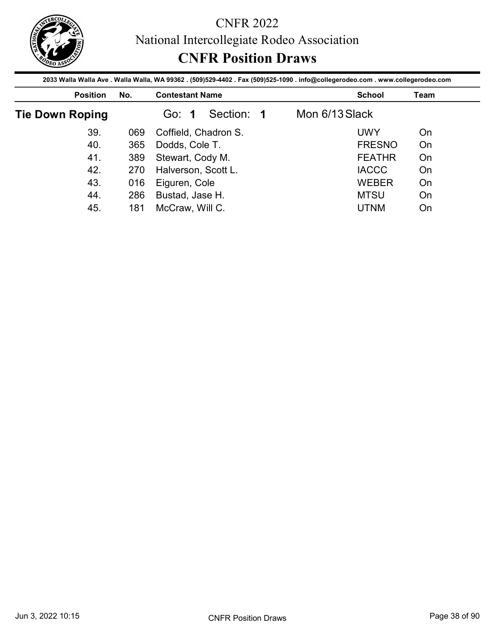

|                                                                                                                                                    |     |                                         | National Intercollegiate Rodeo Association<br><b>CNFR Position Draws</b> |                |               |      |
|----------------------------------------------------------------------------------------------------------------------------------------------------|-----|-----------------------------------------|--------------------------------------------------------------------------|----------------|---------------|------|
| 2033 Walla Walla Ave . Walla Walla, WA 99362 . (509)529-4402 . Fax (509)525-1090 . info@collegerodeo.com . www.collegerodeo.com<br><b>Position</b> | No. | <b>Contestant Name</b>                  |                                                                          |                | <b>School</b> | Team |
| <b>Tie Down Roping</b>                                                                                                                             |     | Go: 1                                   | Section: 1                                                               | Mon 6/13 Slack |               |      |
|                                                                                                                                                    |     |                                         |                                                                          |                |               |      |
| 39.                                                                                                                                                | 069 |                                         |                                                                          |                | <b>UWY</b>    | On   |
| 40.                                                                                                                                                | 365 |                                         | Coffield, Chadron S.                                                     |                | <b>FRESNO</b> | On   |
| 41.                                                                                                                                                | 389 | Dodds, Cole T.                          |                                                                          |                | <b>FEATHR</b> | On   |
| 42.                                                                                                                                                | 270 | Stewart, Cody M.<br>Halverson, Scott L. |                                                                          |                | <b>IACCC</b>  | On   |
| 43.                                                                                                                                                | 016 | Eiguren, Cole                           |                                                                          |                | <b>WEBER</b>  | On   |
| 44.                                                                                                                                                | 286 | Bustad, Jase H.                         |                                                                          |                | <b>MTSU</b>   | On   |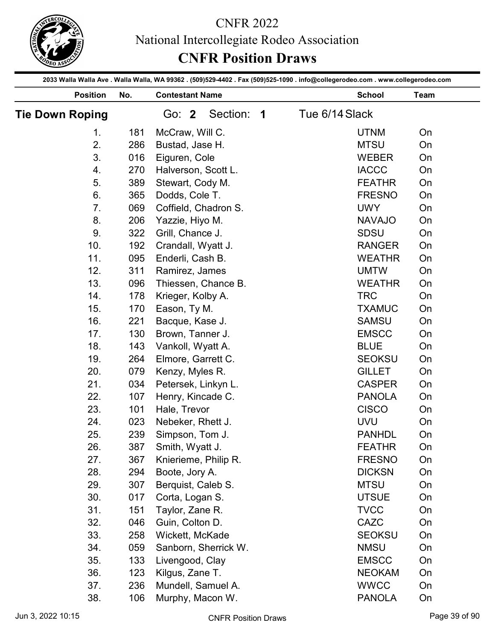

|                        |     |                        | <b>CNFR Position Draws</b> | <b>CNFR 2022</b> | National Intercollegiate Rodeo Association                                                                                      |      |               |
|------------------------|-----|------------------------|----------------------------|------------------|---------------------------------------------------------------------------------------------------------------------------------|------|---------------|
|                        |     |                        |                            |                  | 2033 Walla Walla Ave . Walla Walla, WA 99362 . (509)529-4402 . Fax (509)525-1090 . info@collegerodeo.com . www.collegerodeo.com |      |               |
| <b>Position</b>        | No. | <b>Contestant Name</b> |                            |                  | <b>School</b>                                                                                                                   | Team |               |
| <b>Tie Down Roping</b> |     | Go: 2                  | Section: 1                 |                  | Tue 6/14 Slack                                                                                                                  |      |               |
| 1 <sub>1</sub>         | 181 | McCraw, Will C.        |                            |                  | <b>UTNM</b>                                                                                                                     | On   |               |
| 2.                     | 286 | Bustad, Jase H.        |                            |                  | <b>MTSU</b>                                                                                                                     | On   |               |
| 3.                     | 016 | Eiguren, Cole          |                            |                  | <b>WEBER</b>                                                                                                                    | On   |               |
| 4.                     | 270 | Halverson, Scott L.    |                            |                  | <b>IACCC</b>                                                                                                                    | On   |               |
| 5.                     | 389 | Stewart, Cody M.       |                            |                  | <b>FEATHR</b>                                                                                                                   | On   |               |
| 6.                     | 365 | Dodds, Cole T.         |                            |                  | <b>FRESNO</b>                                                                                                                   | On   |               |
| 7.                     | 069 | Coffield, Chadron S.   |                            |                  | <b>UWY</b>                                                                                                                      | On   |               |
| 8.                     | 206 | Yazzie, Hiyo M.        |                            |                  | <b>NAVAJO</b>                                                                                                                   | On   |               |
| 9.                     | 322 | Grill, Chance J.       |                            |                  | <b>SDSU</b>                                                                                                                     | On   |               |
| 10.                    | 192 | Crandall, Wyatt J.     |                            |                  | <b>RANGER</b>                                                                                                                   | On   |               |
| 11.                    | 095 | Enderli, Cash B.       |                            |                  | <b>WEATHR</b>                                                                                                                   | On   |               |
| 12.                    | 311 | Ramirez, James         |                            |                  | <b>UMTW</b>                                                                                                                     | On   |               |
| 13.                    | 096 | Thiessen, Chance B.    |                            |                  | <b>WEATHR</b>                                                                                                                   | On   |               |
| 14.                    | 178 | Krieger, Kolby A.      |                            |                  | <b>TRC</b>                                                                                                                      | On   |               |
| 15.                    | 170 | Eason, Ty M.           |                            |                  | <b>TXAMUC</b>                                                                                                                   | On   |               |
| 16.                    | 221 | Bacque, Kase J.        |                            |                  | <b>SAMSU</b>                                                                                                                    | On   |               |
| 17.                    | 130 | Brown, Tanner J.       |                            |                  | <b>EMSCC</b>                                                                                                                    | On   |               |
| 18.                    | 143 | Vankoll, Wyatt A.      |                            |                  | <b>BLUE</b>                                                                                                                     | On   |               |
| 19.                    | 264 | Elmore, Garrett C.     |                            |                  | <b>SEOKSU</b>                                                                                                                   | On   |               |
|                        | 079 |                        |                            |                  |                                                                                                                                 | On   |               |
| 20.                    |     | Kenzy, Myles R.        |                            |                  | <b>GILLET</b>                                                                                                                   |      |               |
| 21.                    | 034 | Petersek, Linkyn L.    |                            |                  | <b>CASPER</b>                                                                                                                   | On   |               |
| 22.                    | 107 | Henry, Kincade C.      |                            |                  | <b>PANOLA</b>                                                                                                                   | On   |               |
| 23.                    | 101 | Hale, Trevor           |                            |                  | <b>CISCO</b>                                                                                                                    | On   |               |
| 24.                    | 023 | Nebeker, Rhett J.      |                            |                  | <b>UVU</b>                                                                                                                      | On   |               |
| 25.                    | 239 | Simpson, Tom J.        |                            |                  | <b>PANHDL</b>                                                                                                                   | On   |               |
| 26.                    | 387 | Smith, Wyatt J.        |                            |                  | <b>FEATHR</b>                                                                                                                   | On   |               |
| 27.                    | 367 | Knierieme, Philip R.   |                            |                  | <b>FRESNO</b>                                                                                                                   | On   |               |
| 28.                    | 294 | Boote, Jory A.         |                            |                  | <b>DICKSN</b>                                                                                                                   | On   |               |
| 29.                    | 307 | Berquist, Caleb S.     |                            |                  | <b>MTSU</b>                                                                                                                     | On   |               |
| 30.                    | 017 | Corta, Logan S.        |                            |                  | <b>UTSUE</b>                                                                                                                    | On   |               |
| 31.                    | 151 | Taylor, Zane R.        |                            |                  | <b>TVCC</b>                                                                                                                     | On   |               |
| 32.                    | 046 | Guin, Colton D.        |                            |                  | CAZC                                                                                                                            | On   |               |
| 33.                    | 258 | Wickett, McKade        |                            |                  | <b>SEOKSU</b>                                                                                                                   | On   |               |
| 34.                    | 059 |                        | Sanborn, Sherrick W.       |                  | <b>NMSU</b>                                                                                                                     | On   |               |
| 35.                    | 133 | Livengood, Clay        |                            |                  | <b>EMSCC</b>                                                                                                                    | On   |               |
| 36.                    | 123 | Kilgus, Zane T.        |                            |                  | <b>NEOKAM</b>                                                                                                                   | On   |               |
| 37.                    | 236 | Mundell, Samuel A.     |                            |                  | <b>WWCC</b>                                                                                                                     | On   |               |
| 38.                    | 106 | Murphy, Macon W.       |                            |                  | <b>PANOLA</b>                                                                                                                   | On   |               |
|                        |     |                        |                            |                  |                                                                                                                                 |      | Page 39 of 90 |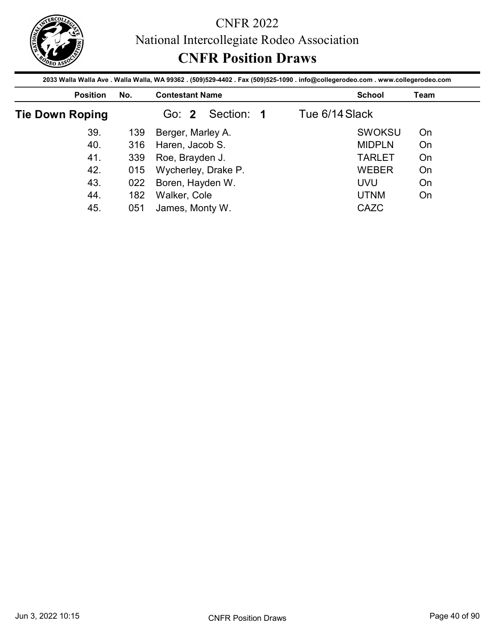

|                        |     |                                    | <b>CNFR Position Draws</b> | National Intercollegiate Rodeo Association<br>2033 Walla Walla Ave . Walla Walla, WA 99362 . (509)529-4402 . Fax (509)525-1090 . info@collegerodeo.com . www.collegerodeo.com |      |
|------------------------|-----|------------------------------------|----------------------------|-------------------------------------------------------------------------------------------------------------------------------------------------------------------------------|------|
| <b>Position</b>        | No. | <b>Contestant Name</b>             |                            | <b>School</b>                                                                                                                                                                 | Team |
| <b>Tie Down Roping</b> |     | Go: 2                              | Section: 1                 | Tue 6/14 Slack                                                                                                                                                                |      |
|                        |     |                                    |                            |                                                                                                                                                                               |      |
| 39.                    | 139 |                                    |                            | <b>SWOKSU</b>                                                                                                                                                                 | On   |
| 40.                    | 316 | Berger, Marley A.                  |                            | <b>MIDPLN</b>                                                                                                                                                                 | On   |
| 41.                    | 339 | Haren, Jacob S.<br>Roe, Brayden J. |                            | <b>TARLET</b>                                                                                                                                                                 | On   |
| 42.                    | 015 |                                    | Wycherley, Drake P.        | <b>WEBER</b>                                                                                                                                                                  | On   |
| 43.                    | 022 | Boren, Hayden W.                   |                            | <b>UVU</b>                                                                                                                                                                    | On   |
| 44.                    | 182 | Walker, Cole                       |                            | <b>UTNM</b>                                                                                                                                                                   | On   |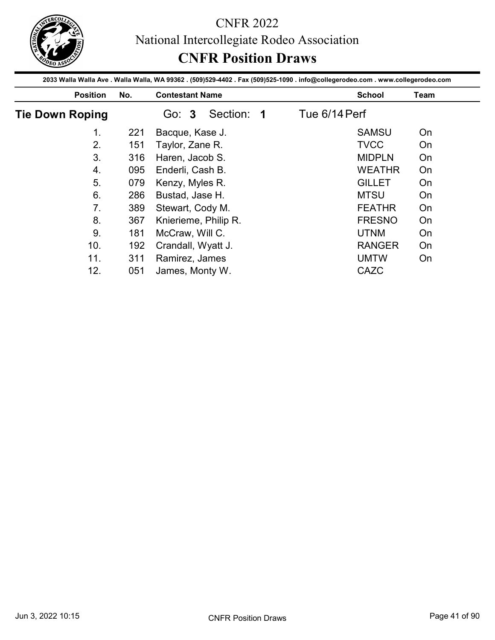

|                        |     |                                          | 2033 Walla Walla Ave . Walla Walla, WA 99362 . (509)529-4402 . Fax (509)525-1090 . info@collegerodeo.com . www.collegerodeo.com |          |
|------------------------|-----|------------------------------------------|---------------------------------------------------------------------------------------------------------------------------------|----------|
| <b>Position</b>        | No. | <b>Contestant Name</b>                   | <b>School</b>                                                                                                                   | Team     |
| <b>Tie Down Roping</b> |     | Section: 1<br>Go: 3                      | Tue 6/14 Perf                                                                                                                   |          |
| 1 <sub>1</sub>         | 221 | Bacque, Kase J.                          | <b>SAMSU</b>                                                                                                                    | On       |
| 2.                     | 151 | Taylor, Zane R.                          | <b>TVCC</b>                                                                                                                     | On       |
| 3.                     | 316 | Haren, Jacob S.                          | <b>MIDPLN</b>                                                                                                                   | On       |
|                        | 095 | Enderli, Cash B.                         | <b>WEATHR</b>                                                                                                                   | On       |
| 4.                     |     |                                          |                                                                                                                                 |          |
| 5.                     | 079 |                                          | <b>GILLET</b>                                                                                                                   | On       |
| 6.                     | 286 | Kenzy, Myles R.<br>Bustad, Jase H.       | <b>MTSU</b>                                                                                                                     | On       |
| 7.                     | 389 |                                          | <b>FEATHR</b>                                                                                                                   | On       |
| 8.                     | 367 | Stewart, Cody M.                         | <b>FRESNO</b>                                                                                                                   | On       |
| 9.                     | 181 | Knierieme, Philip R.                     | <b>UTNM</b>                                                                                                                     | On       |
|                        |     | McCraw, Will C.                          |                                                                                                                                 |          |
| 10.<br>11.             | 311 | 192 Crandall, Wyatt J.<br>Ramirez, James | <b>RANGER</b><br><b>UMTW</b>                                                                                                    | On<br>On |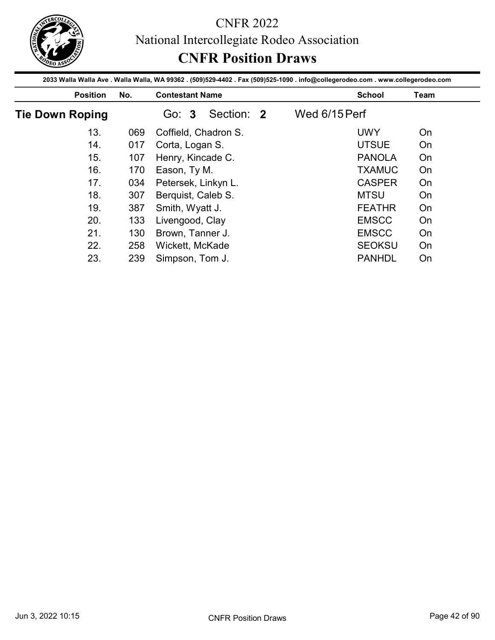

|                        |     | 2033 Walla Walla Ave . Walla Walla, WA 99362 . (509)529-4402 . Fax (509)525-1090 . info@collegerodeo.com . www.collegerodeo.com |               |               |      |
|------------------------|-----|---------------------------------------------------------------------------------------------------------------------------------|---------------|---------------|------|
| <b>Position</b>        | No. | <b>Contestant Name</b>                                                                                                          |               | <b>School</b> | Team |
| <b>Tie Down Roping</b> |     | Section: 2<br>Go: 3                                                                                                             | Wed 6/15 Perf |               |      |
| 13.                    | 069 | Coffield, Chadron S.                                                                                                            |               | <b>UWY</b>    | On   |
| 14.                    | 017 | Corta, Logan S.                                                                                                                 |               | <b>UTSUE</b>  | On   |
|                        | 107 | Henry, Kincade C.                                                                                                               |               | <b>PANOLA</b> | On   |
| 15.                    |     |                                                                                                                                 |               |               |      |
| 16.                    | 170 | Eason, Ty M.                                                                                                                    |               | <b>TXAMUC</b> | On   |
| 17.                    | 034 |                                                                                                                                 |               | <b>CASPER</b> | On   |
| 18.                    | 307 | Petersek, Linkyn L.                                                                                                             |               | <b>MTSU</b>   | On   |
| 19.                    | 387 | Berquist, Caleb S.                                                                                                              |               | <b>FEATHR</b> | On   |
| 20.                    | 133 | Smith, Wyatt J.                                                                                                                 |               | <b>EMSCC</b>  | On   |
| 21.                    | 130 | Livengood, Clay                                                                                                                 |               | <b>EMSCC</b>  | On   |
| 22.                    |     | Brown, Tanner J.<br>258 Wickett, McKade                                                                                         |               | <b>SEOKSU</b> | On   |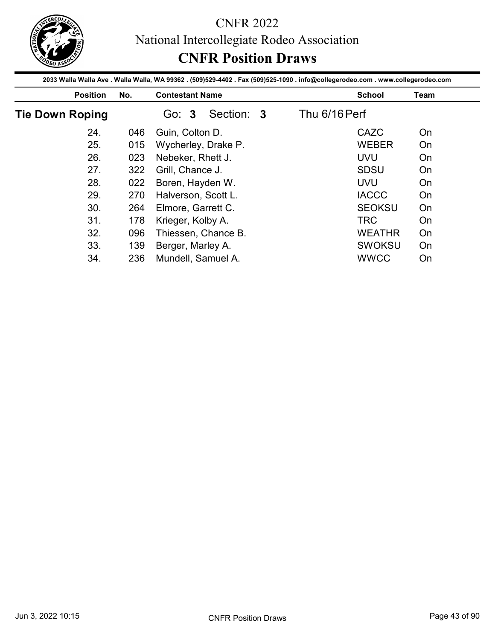

|                        |     | 2033 Walla Walla Ave . Walla Walla, WA 99362 . (509)529-4402 . Fax (509)525-1090 . info@collegerodeo.com . www.collegerodeo.com | <b>CNFR Position Draws</b> |               |      |
|------------------------|-----|---------------------------------------------------------------------------------------------------------------------------------|----------------------------|---------------|------|
| <b>Position</b>        | No. | <b>Contestant Name</b>                                                                                                          |                            | <b>School</b> | Team |
| <b>Tie Down Roping</b> |     | Section: 3<br>Go: 3                                                                                                             | Thu 6/16 Perf              |               |      |
| 24.                    | 046 | Guin, Colton D.                                                                                                                 |                            | CAZC          | On   |
| 25.                    | 015 | Wycherley, Drake P.                                                                                                             |                            | <b>WEBER</b>  | On   |
| 26.                    | 023 | Nebeker, Rhett J.                                                                                                               |                            | <b>UVU</b>    | On   |
| 27.                    | 322 | Grill, Chance J.                                                                                                                |                            | <b>SDSU</b>   | On   |
|                        |     | Boren, Hayden W.                                                                                                                |                            | <b>UVU</b>    | On   |
| 28.                    | 022 |                                                                                                                                 |                            |               |      |
| 29.                    | 270 | Halverson, Scott L.                                                                                                             |                            | <b>IACCC</b>  | On   |
| 30.                    | 264 |                                                                                                                                 |                            | <b>SEOKSU</b> | On   |
| 31.                    | 178 | Elmore, Garrett C.                                                                                                              |                            | <b>TRC</b>    | On   |
| 32.                    | 096 | Krieger, Kolby A.                                                                                                               |                            | <b>WEATHR</b> | On   |
| 33.                    |     | Thiessen, Chance B.<br>139 Berger, Marley A.                                                                                    |                            | SWOKSU        | On   |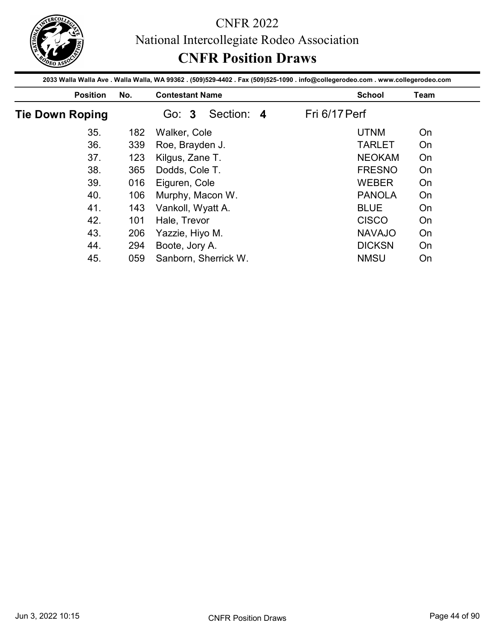

|                        |     | 2033 Walla Walla Ave . Walla Walla, WA 99362 . (509)529-4402 . Fax (509)525-1090 . info@collegerodeo.com . www.collegerodeo.com |               |      |
|------------------------|-----|---------------------------------------------------------------------------------------------------------------------------------|---------------|------|
| <b>Position</b>        | No. | <b>Contestant Name</b>                                                                                                          | <b>School</b> | Team |
| <b>Tie Down Roping</b> |     | Section: 4<br>Go: 3                                                                                                             | Fri 6/17 Perf |      |
| 35.                    | 182 | Walker, Cole                                                                                                                    | <b>UTNM</b>   | On   |
| 36.                    | 339 | Roe, Brayden J.                                                                                                                 | <b>TARLET</b> | On   |
| 37.                    | 123 | Kilgus, Zane T.                                                                                                                 | <b>NEOKAM</b> | On   |
|                        | 365 | Dodds, Cole T.                                                                                                                  | <b>FRESNO</b> | On   |
| 38.                    |     |                                                                                                                                 |               |      |
| 39.                    | 016 |                                                                                                                                 | <b>WEBER</b>  | On   |
| 40.                    | 106 | Eiguren, Cole                                                                                                                   | <b>PANOLA</b> | On   |
| 41.                    | 143 | Murphy, Macon W.                                                                                                                | <b>BLUE</b>   | On   |
| 42.                    | 101 | Vankoll, Wyatt A.                                                                                                               | <b>CISCO</b>  | On   |
| 43.                    |     | Hale, Trevor                                                                                                                    | <b>NAVAJO</b> | On   |
| 44.                    | 206 | Yazzie, Hiyo M.<br>294 Boote, Jory A.                                                                                           | <b>DICKSN</b> | On   |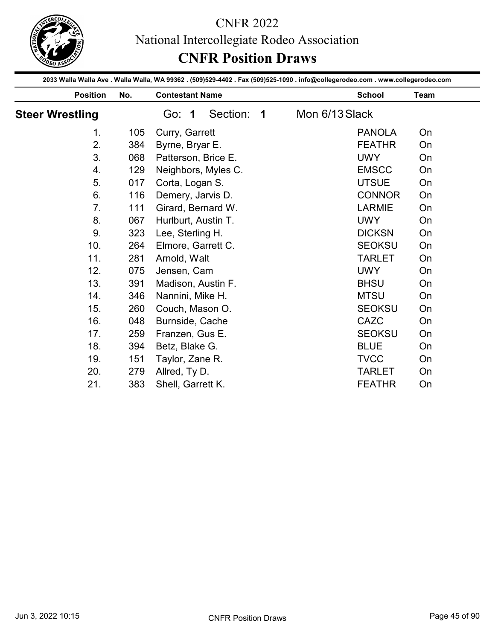

|                        |     | <b>CNFR 2022</b><br>National Intercollegiate Rodeo Association<br><b>CNFR Position Draws</b>                                                              |                |               |      |
|------------------------|-----|-----------------------------------------------------------------------------------------------------------------------------------------------------------|----------------|---------------|------|
| <b>Position</b>        | No. | 2033 Walla Walla Ave . Walla Walla, WA 99362 . (509)529-4402 . Fax (509)525-1090 . info@collegerodeo.com . www.collegerodeo.com<br><b>Contestant Name</b> |                | <b>School</b> | Team |
| <b>Steer Wrestling</b> |     | Section: 1<br>Go: 1                                                                                                                                       | Mon 6/13 Slack |               |      |
| 1 <sub>1</sub>         | 105 | Curry, Garrett                                                                                                                                            |                | <b>PANOLA</b> | On   |
| 2.                     | 384 | Byrne, Bryar E.                                                                                                                                           |                | <b>FEATHR</b> | On   |
| 3.                     | 068 | Patterson, Brice E.                                                                                                                                       |                | <b>UWY</b>    | On   |
| 4.                     | 129 | Neighbors, Myles C.                                                                                                                                       |                | <b>EMSCC</b>  | On   |
| 5.                     | 017 | Corta, Logan S.                                                                                                                                           |                | <b>UTSUE</b>  | On   |
| 6.                     | 116 | Demery, Jarvis D.                                                                                                                                         |                | <b>CONNOR</b> | On   |
| 7.                     | 111 | Girard, Bernard W.                                                                                                                                        |                | <b>LARMIE</b> | On   |
| 8.                     | 067 | Hurlburt, Austin T.                                                                                                                                       |                | <b>UWY</b>    | On   |
| 9.                     | 323 | Lee, Sterling H.                                                                                                                                          |                | <b>DICKSN</b> | On   |
| 10.                    | 264 | Elmore, Garrett C.                                                                                                                                        |                | <b>SEOKSU</b> | On   |
| 11.                    | 281 | Arnold, Walt                                                                                                                                              |                | <b>TARLET</b> | On   |
| 12.                    | 075 | Jensen, Cam                                                                                                                                               |                | <b>UWY</b>    | On   |
| 13.                    | 391 | Madison, Austin F.                                                                                                                                        |                | <b>BHSU</b>   | On   |
| 14.                    | 346 | Nannini, Mike H.                                                                                                                                          |                | <b>MTSU</b>   | On   |
| 15.                    | 260 | Couch, Mason O.                                                                                                                                           |                | <b>SEOKSU</b> | On   |
| 16.                    | 048 | Burnside, Cache                                                                                                                                           |                | CAZC          | On   |
| 17.                    | 259 | Franzen, Gus E.                                                                                                                                           |                | <b>SEOKSU</b> | On   |
| 18.                    | 394 | Betz, Blake G.                                                                                                                                            |                | <b>BLUE</b>   | On   |
| 19.                    | 151 | Taylor, Zane R.                                                                                                                                           |                | <b>TVCC</b>   | On   |
| 20.                    | 279 | Allred, Ty D.                                                                                                                                             |                | <b>TARLET</b> | On   |
| 21.                    | 383 | Shell, Garrett K.                                                                                                                                         |                | <b>FEATHR</b> | On   |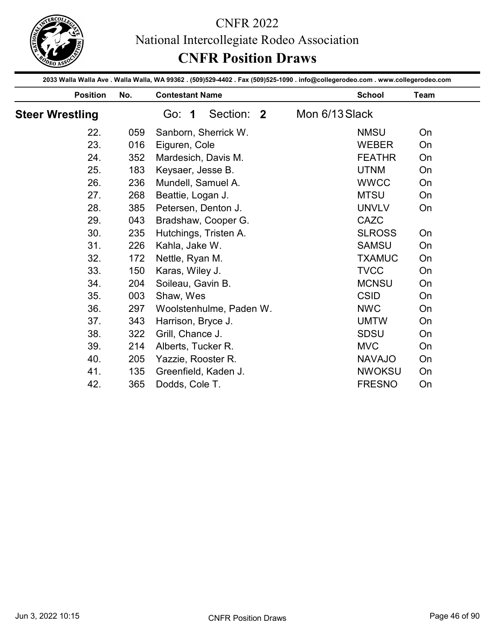

|                        |     | <b>CNFR 2022</b><br>National Intercollegiate Rodeo Association<br><b>CNFR Position Draws</b>                                                              |                |               |      |
|------------------------|-----|-----------------------------------------------------------------------------------------------------------------------------------------------------------|----------------|---------------|------|
| <b>Position</b>        | No. | 2033 Walla Walla Ave . Walla Walla, WA 99362 . (509)529-4402 . Fax (509)525-1090 . info@collegerodeo.com . www.collegerodeo.com<br><b>Contestant Name</b> |                | <b>School</b> | Team |
| <b>Steer Wrestling</b> |     | Section: 2<br>Go: 1                                                                                                                                       | Mon 6/13 Slack |               |      |
|                        |     |                                                                                                                                                           |                |               |      |
| 22.                    | 059 | Sanborn, Sherrick W.                                                                                                                                      |                | <b>NMSU</b>   | On   |
| 23.                    | 016 | Eiguren, Cole                                                                                                                                             |                | <b>WEBER</b>  | On   |
| 24.                    | 352 | Mardesich, Davis M.                                                                                                                                       |                | <b>FEATHR</b> | On   |
| 25.                    | 183 | Keysaer, Jesse B.                                                                                                                                         |                | <b>UTNM</b>   | On   |
| 26.                    | 236 | Mundell, Samuel A.                                                                                                                                        |                | <b>WWCC</b>   | On   |
| 27.                    | 268 | Beattie, Logan J.                                                                                                                                         |                | <b>MTSU</b>   | On   |
| 28.                    | 385 | Petersen, Denton J.                                                                                                                                       |                | <b>UNVLV</b>  | On   |
| 29.                    | 043 | Bradshaw, Cooper G.                                                                                                                                       |                | CAZC          |      |
| 30.                    | 235 | Hutchings, Tristen A.                                                                                                                                     |                | <b>SLROSS</b> | On   |
| 31.                    | 226 | Kahla, Jake W.                                                                                                                                            |                | <b>SAMSU</b>  | On   |
| 32.                    | 172 | Nettle, Ryan M.                                                                                                                                           |                | <b>TXAMUC</b> | On   |
| 33.                    | 150 | Karas, Wiley J.                                                                                                                                           |                | <b>TVCC</b>   | On   |
| 34.                    | 204 | Soileau, Gavin B.                                                                                                                                         |                | <b>MCNSU</b>  | On   |
| 35.                    | 003 | Shaw, Wes                                                                                                                                                 |                | <b>CSID</b>   | On   |
| 36.                    | 297 | Woolstenhulme, Paden W.                                                                                                                                   |                | <b>NWC</b>    | On   |
| 37.                    | 343 | Harrison, Bryce J.                                                                                                                                        |                | <b>UMTW</b>   | On   |
| 38.                    | 322 | Grill, Chance J.                                                                                                                                          |                | <b>SDSU</b>   | On   |
| 39.                    | 214 | Alberts, Tucker R.                                                                                                                                        |                | <b>MVC</b>    | On   |
| 40.                    | 205 | Yazzie, Rooster R.                                                                                                                                        |                | <b>NAVAJO</b> | On   |
| 41.                    | 135 | Greenfield, Kaden J.                                                                                                                                      |                | <b>NWOKSU</b> | On   |
| 42.                    | 365 | Dodds, Cole T.                                                                                                                                            |                | <b>FRESNO</b> | On   |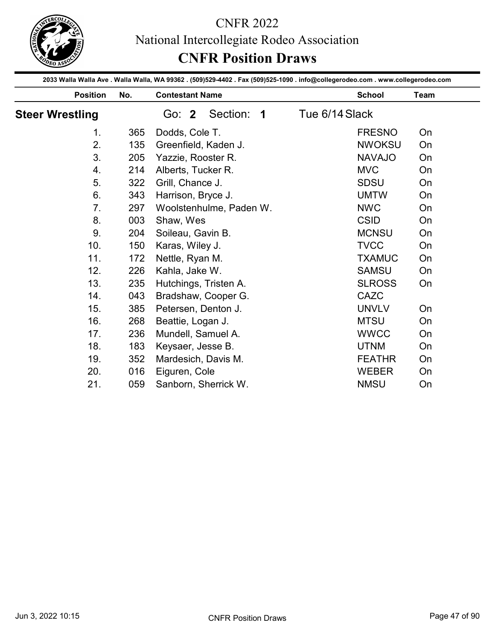

|                        |     | <b>CNFR 2022</b><br>National Intercollegiate Rodeo Association<br><b>CNFR Position Draws</b>                                                              |                |      |
|------------------------|-----|-----------------------------------------------------------------------------------------------------------------------------------------------------------|----------------|------|
| <b>Position</b>        | No. | 2033 Walla Walla Ave . Walla Walla, WA 99362 . (509)529-4402 . Fax (509)525-1090 . info@collegerodeo.com . www.collegerodeo.com<br><b>Contestant Name</b> | <b>School</b>  | Team |
| <b>Steer Wrestling</b> |     | Section: 1<br>Go: 2                                                                                                                                       | Tue 6/14 Slack |      |
| 1.                     | 365 | Dodds, Cole T.                                                                                                                                            | <b>FRESNO</b>  | On   |
| 2.                     | 135 | Greenfield, Kaden J.                                                                                                                                      | <b>NWOKSU</b>  | On   |
| 3.                     | 205 | Yazzie, Rooster R.                                                                                                                                        | <b>NAVAJO</b>  | On   |
| 4.                     | 214 | Alberts, Tucker R.                                                                                                                                        | <b>MVC</b>     | On   |
| 5.                     | 322 | Grill, Chance J.                                                                                                                                          | <b>SDSU</b>    | On   |
| 6.                     | 343 | Harrison, Bryce J.                                                                                                                                        | <b>UMTW</b>    | On   |
| 7.                     | 297 | Woolstenhulme, Paden W.                                                                                                                                   | <b>NWC</b>     | On   |
| 8.                     | 003 | Shaw, Wes                                                                                                                                                 | <b>CSID</b>    | On   |
| 9.                     | 204 | Soileau, Gavin B.                                                                                                                                         | <b>MCNSU</b>   | On   |
| 10.                    | 150 | Karas, Wiley J.                                                                                                                                           | <b>TVCC</b>    | On   |
| 11.                    | 172 | Nettle, Ryan M.                                                                                                                                           | <b>TXAMUC</b>  | On   |
| 12.                    | 226 | Kahla, Jake W.                                                                                                                                            | <b>SAMSU</b>   | On   |
| 13.                    | 235 | Hutchings, Tristen A.                                                                                                                                     | <b>SLROSS</b>  | On   |
| 14.                    | 043 | Bradshaw, Cooper G.                                                                                                                                       | CAZC           |      |
| 15.                    | 385 | Petersen, Denton J.                                                                                                                                       | <b>UNVLV</b>   | On   |
| 16.                    | 268 | Beattie, Logan J.                                                                                                                                         | <b>MTSU</b>    | On   |
| 17.                    | 236 | Mundell, Samuel A.                                                                                                                                        | <b>WWCC</b>    | On   |
| 18.                    | 183 | Keysaer, Jesse B.                                                                                                                                         | <b>UTNM</b>    | On   |
| 19.                    | 352 | Mardesich, Davis M.                                                                                                                                       | <b>FEATHR</b>  | On   |
| 20.                    | 016 | Eiguren, Cole                                                                                                                                             | <b>WEBER</b>   | On   |
| 21.                    | 059 | Sanborn, Sherrick W.                                                                                                                                      | <b>NMSU</b>    | On   |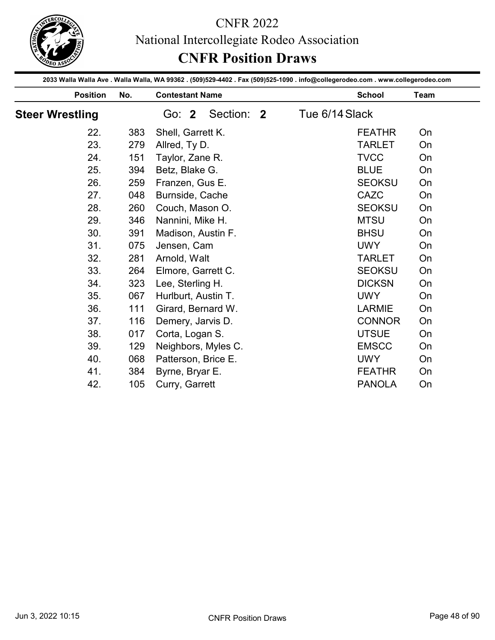

|                        |            | National Intercollegiate Rodeo Association<br><b>CNFR Position Draws</b>                                                                                  |                |                                |          |
|------------------------|------------|-----------------------------------------------------------------------------------------------------------------------------------------------------------|----------------|--------------------------------|----------|
| <b>Position</b>        | No.        | 2033 Walla Walla Ave . Walla Walla, WA 99362 . (509)529-4402 . Fax (509)525-1090 . info@collegerodeo.com . www.collegerodeo.com<br><b>Contestant Name</b> |                | <b>School</b>                  | Team     |
| <b>Steer Wrestling</b> |            | Section: 2<br>Go: 2                                                                                                                                       | Tue 6/14 Slack |                                |          |
|                        |            |                                                                                                                                                           |                |                                |          |
| 22.<br>23.             | 383<br>279 | Shell, Garrett K.<br>Allred, Ty D.                                                                                                                        |                | <b>FEATHR</b><br><b>TARLET</b> | On<br>On |
| 24.                    | 151        | Taylor, Zane R.                                                                                                                                           |                | <b>TVCC</b>                    | On       |
| 25.                    | 394        | Betz, Blake G.                                                                                                                                            |                | <b>BLUE</b>                    | On       |
| 26.                    | 259        | Franzen, Gus E.                                                                                                                                           |                | <b>SEOKSU</b>                  | On       |
| 27.                    | 048        | Burnside, Cache                                                                                                                                           |                | CAZC                           | On       |
| 28.                    | 260        | Couch, Mason O.                                                                                                                                           |                | <b>SEOKSU</b>                  | On       |
| 29.                    | 346        | Nannini, Mike H.                                                                                                                                          |                | <b>MTSU</b>                    | On       |
| 30.                    | 391        | Madison, Austin F.                                                                                                                                        |                | <b>BHSU</b>                    | On       |
| 31.                    | 075        | Jensen, Cam                                                                                                                                               |                | <b>UWY</b>                     | On       |
| 32.                    | 281        | Arnold, Walt                                                                                                                                              |                | <b>TARLET</b>                  | On       |
| 33.                    | 264        | Elmore, Garrett C.                                                                                                                                        |                | <b>SEOKSU</b>                  | On       |
| 34.                    | 323        | Lee, Sterling H.                                                                                                                                          |                | <b>DICKSN</b>                  | On       |
| 35.                    | 067        | Hurlburt, Austin T.                                                                                                                                       |                | <b>UWY</b>                     | On       |
| 36.                    | 111        | Girard, Bernard W.                                                                                                                                        |                | <b>LARMIE</b>                  | On       |
| 37.                    | 116        | Demery, Jarvis D.                                                                                                                                         |                | <b>CONNOR</b>                  | On       |
| 38.                    | 017        | Corta, Logan S.                                                                                                                                           |                | <b>UTSUE</b>                   | On       |
| 39.                    | 129        | Neighbors, Myles C.                                                                                                                                       |                | <b>EMSCC</b>                   | On       |
| 40.                    | 068        | Patterson, Brice E.                                                                                                                                       |                | <b>UWY</b>                     | On       |
| 41.                    | 384        | Byrne, Bryar E.                                                                                                                                           |                | <b>FEATHR</b>                  | On       |
| 42.                    | 105        | Curry, Garrett                                                                                                                                            |                | <b>PANOLA</b>                  |          |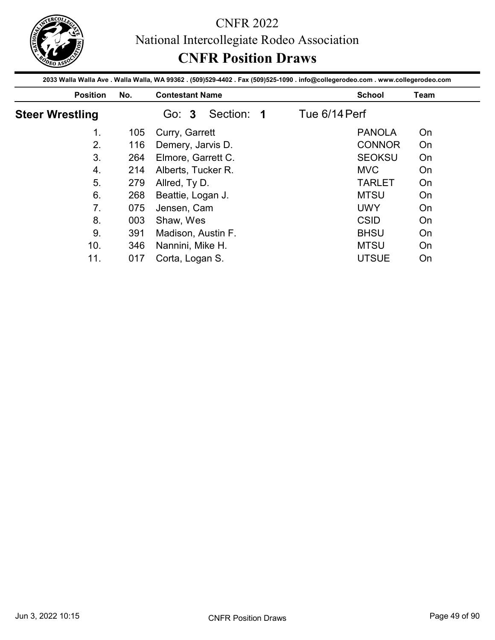

|                        |     | 2033 Walla Walla Ave . Walla Walla, WA 99362 . (509)529-4402 . Fax (509)525-1090 . info@collegerodeo.com . www.collegerodeo.com | <b>CNFR Position Draws</b> |      |
|------------------------|-----|---------------------------------------------------------------------------------------------------------------------------------|----------------------------|------|
| <b>Position</b>        | No. | <b>Contestant Name</b>                                                                                                          | <b>School</b>              | Team |
| <b>Steer Wrestling</b> |     | Section: 1<br>Go: 3                                                                                                             | Tue 6/14 Perf              |      |
| 1 <sub>1</sub>         | 105 | Curry, Garrett                                                                                                                  | <b>PANOLA</b>              | On   |
| 2.                     | 116 | Demery, Jarvis D.                                                                                                               | <b>CONNOR</b>              | On   |
| 3.                     | 264 | Elmore, Garrett C.                                                                                                              | <b>SEOKSU</b>              | On   |
| 4.                     | 214 | Alberts, Tucker R.                                                                                                              | <b>MVC</b>                 | On   |
|                        | 279 | Allred, Ty D.                                                                                                                   | <b>TARLET</b>              | On   |
| 5.                     |     |                                                                                                                                 |                            |      |
| 6.                     | 268 |                                                                                                                                 | <b>MTSU</b>                | On   |
| 7.                     | 075 | Beattie, Logan J.<br>Jensen, Cam                                                                                                | <b>UWY</b>                 | On   |
| 8.                     | 003 | Shaw, Wes                                                                                                                       | <b>CSID</b>                | On   |
| 9.                     | 391 | Madison, Austin F.                                                                                                              | <b>BHSU</b>                | On   |
| 10.                    |     | 346 Nannini, Mike H.                                                                                                            | <b>MTSU</b>                | On   |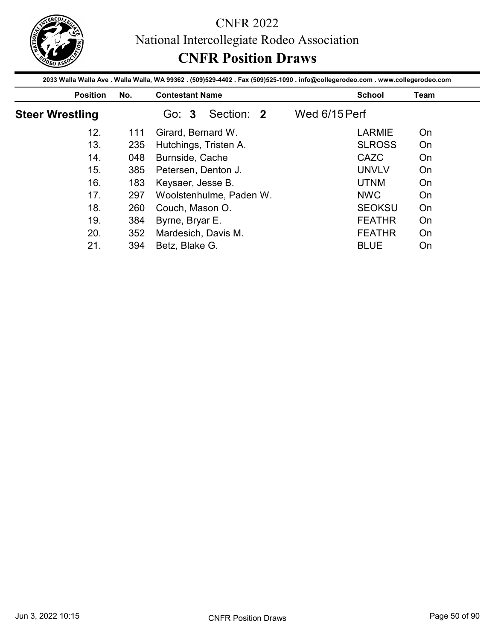

| <b>Position</b>        | No.        | 2033 Walla Walla Ave . Walla Walla, WA 99362 . (509)529-4402 . Fax (509)525-1090 . info@collegerodeo.com . www.collegerodeo.com<br><b>Contestant Name</b> |               | <b>School</b>                  | <b>Team</b> |
|------------------------|------------|-----------------------------------------------------------------------------------------------------------------------------------------------------------|---------------|--------------------------------|-------------|
| <b>Steer Wrestling</b> |            | Section: 2<br>Go: 3                                                                                                                                       | Wed 6/15 Perf |                                |             |
| 12.                    | 111        | Girard, Bernard W.                                                                                                                                        |               | <b>LARMIE</b>                  | On          |
| 13.                    | 235        | Hutchings, Tristen A.                                                                                                                                     |               | <b>SLROSS</b>                  | On          |
|                        | 048        | Burnside, Cache                                                                                                                                           |               | CAZC                           | On          |
| 14.                    |            |                                                                                                                                                           |               |                                |             |
| 15.                    |            |                                                                                                                                                           |               | <b>UNVLV</b>                   | On          |
| 16.                    | 385        | Petersen, Denton J.                                                                                                                                       |               | <b>UTNM</b>                    | On          |
| 17.                    | 183        | Keysaer, Jesse B.                                                                                                                                         |               |                                |             |
| 18.                    | 297        | Woolstenhulme, Paden W.                                                                                                                                   |               | <b>NWC</b><br><b>SEOKSU</b>    | On<br>On    |
| 19.                    | 260        | Couch, Mason O.                                                                                                                                           |               |                                |             |
| 20.                    | 384<br>352 | Byrne, Bryar E.<br>Mardesich, Davis M.                                                                                                                    |               | <b>FEATHR</b><br><b>FEATHR</b> | On<br>On    |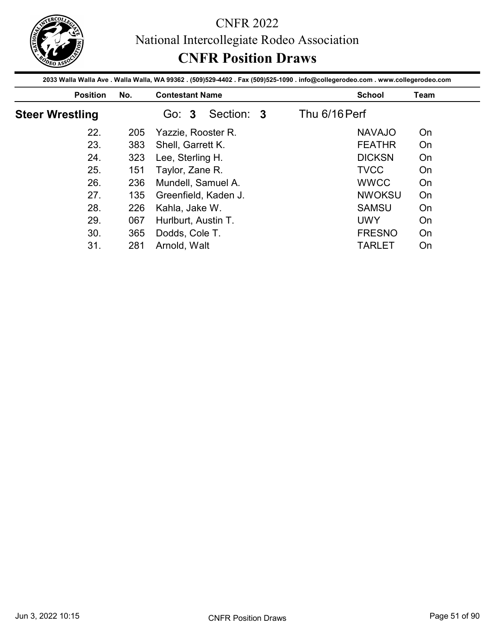

|                        |            | <b>CNFR Position Draws</b><br>2033 Walla Walla Ave . Walla Walla, WA 99362 . (509)529-4402 . Fax (509)525-1090 . info@collegerodeo.com . www.collegerodeo.com |               |                             |             |
|------------------------|------------|---------------------------------------------------------------------------------------------------------------------------------------------------------------|---------------|-----------------------------|-------------|
| <b>Position</b>        | No.        | <b>Contestant Name</b>                                                                                                                                        |               | <b>School</b>               | <b>Team</b> |
| <b>Steer Wrestling</b> |            | Section: 3<br>Go: 3                                                                                                                                           | Thu 6/16 Perf |                             |             |
| 22.                    | 205        | Yazzie, Rooster R.                                                                                                                                            |               | <b>NAVAJO</b>               | On          |
|                        | 383        | Shell, Garrett K.                                                                                                                                             |               | <b>FEATHR</b>               | On          |
|                        |            | Lee, Sterling H.                                                                                                                                              |               | <b>DICKSN</b>               | On          |
| 23.                    |            |                                                                                                                                                               |               |                             |             |
| 24.                    | 323        |                                                                                                                                                               |               |                             |             |
| 25.                    | 151        | Taylor, Zane R.                                                                                                                                               |               | <b>TVCC</b>                 | On          |
| 26.                    | 236        | Mundell, Samuel A.                                                                                                                                            |               | <b>WWCC</b>                 | On          |
| 27.                    | 135        | Greenfield, Kaden J.                                                                                                                                          |               | <b>NWOKSU</b>               | On          |
| 28.                    | 226        | Kahla, Jake W.                                                                                                                                                |               | <b>SAMSU</b>                | On          |
| 29.<br>30.             | 067<br>365 | Hurlburt, Austin T.<br>Dodds, Cole T.                                                                                                                         |               | <b>UWY</b><br><b>FRESNO</b> | On<br>On    |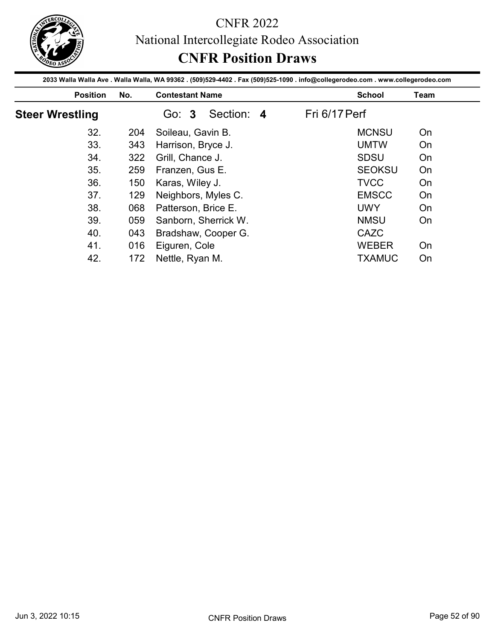

|                        |     | 2033 Walla Walla Ave . Walla Walla, WA 99362 . (509)529-4402 . Fax (509)525-1090 . info@collegerodeo.com . www.collegerodeo.com |               |      |
|------------------------|-----|---------------------------------------------------------------------------------------------------------------------------------|---------------|------|
| <b>Position</b>        | No. | <b>Contestant Name</b>                                                                                                          | <b>School</b> | Team |
| <b>Steer Wrestling</b> |     | Section: 4<br>Go: 3                                                                                                             | Fri 6/17 Perf |      |
| 32.                    | 204 | Soileau, Gavin B.                                                                                                               | <b>MCNSU</b>  | On   |
| 33.                    | 343 | Harrison, Bryce J.                                                                                                              | <b>UMTW</b>   | On   |
| 34.                    | 322 | Grill, Chance J.                                                                                                                | <b>SDSU</b>   | On   |
| 35.                    | 259 | Franzen, Gus E.                                                                                                                 | <b>SEOKSU</b> | On   |
|                        |     |                                                                                                                                 | <b>TVCC</b>   | On   |
| 36.                    | 150 | Karas, Wiley J.                                                                                                                 |               |      |
| 37.                    | 129 | Neighbors, Myles C.                                                                                                             | <b>EMSCC</b>  | On   |
| 38.                    | 068 | Patterson, Brice E.                                                                                                             | <b>UWY</b>    | On   |
| 39.                    | 059 | Sanborn, Sherrick W.                                                                                                            | <b>NMSU</b>   | On   |
| 40.                    | 043 |                                                                                                                                 | CAZC          |      |
| 41.                    |     | Bradshaw, Cooper G.<br>016 Eiguren, Cole                                                                                        | WEBER         | On   |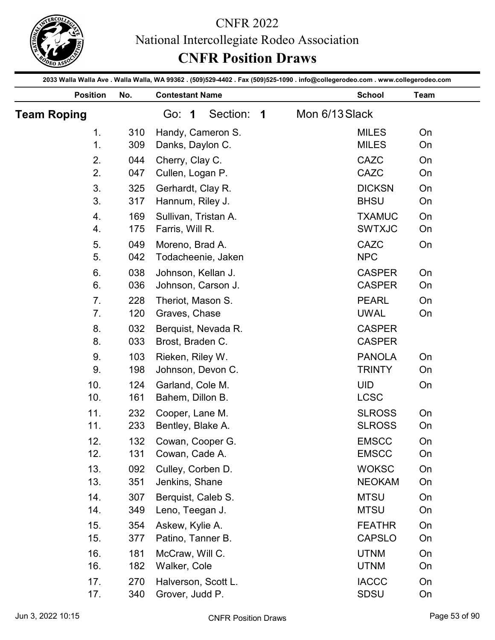

|                    |            | <b>CNFR 2022</b><br>National Intercollegiate Rodeo Association<br><b>CNFR Position Draws</b>                                    |                |                                |               |
|--------------------|------------|---------------------------------------------------------------------------------------------------------------------------------|----------------|--------------------------------|---------------|
|                    |            | 2033 Walla Walla Ave . Walla Walla, WA 99362 . (509)529-4402 . Fax (509)525-1090 . info@collegerodeo.com . www.collegerodeo.com |                |                                |               |
| <b>Position</b>    | No.        | <b>Contestant Name</b>                                                                                                          |                | <b>School</b>                  | Team          |
| <b>Team Roping</b> |            | Section:<br>Go: 1<br>$\overline{\mathbf{1}}$                                                                                    | Mon 6/13 Slack |                                |               |
| 1.<br>1.           | 310<br>309 | Handy, Cameron S.<br>Danks, Daylon C.                                                                                           |                | <b>MILES</b><br><b>MILES</b>   | On<br>On      |
| 2.                 | 044        | Cherry, Clay C.                                                                                                                 |                | <b>CAZC</b>                    | On            |
| 2.                 | 047        | Cullen, Logan P.                                                                                                                |                | <b>CAZC</b>                    | On            |
| 3.                 | 325        | Gerhardt, Clay R.                                                                                                               |                | <b>DICKSN</b>                  | On            |
| 3.                 | 317        | Hannum, Riley J.                                                                                                                |                | <b>BHSU</b>                    | On            |
| 4.                 | 169        | Sullivan, Tristan A.                                                                                                            |                | <b>TXAMUC</b>                  | On            |
| 4.                 | 175        | Farris, Will R.                                                                                                                 |                | <b>SWTXJC</b>                  | On            |
| 5.<br>5.           | 049        | Moreno, Brad A.                                                                                                                 |                | CAZC<br><b>NPC</b>             | On            |
| 6.                 | 042<br>038 | Todacheenie, Jaken<br>Johnson, Kellan J.                                                                                        |                | <b>CASPER</b>                  | On            |
| 6.                 | 036        | Johnson, Carson J.                                                                                                              |                | <b>CASPER</b>                  | On            |
| 7.                 | 228        | Theriot, Mason S.                                                                                                               |                | <b>PEARL</b>                   | On            |
| 7.                 | 120        | Graves, Chase                                                                                                                   |                | <b>UWAL</b>                    | On            |
| 8.                 | 032        | Berquist, Nevada R.                                                                                                             |                | <b>CASPER</b>                  |               |
| 8.                 | 033        | Brost, Braden C.                                                                                                                |                | <b>CASPER</b>                  |               |
| 9.                 | 103        | Rieken, Riley W.                                                                                                                |                | <b>PANOLA</b>                  | On            |
| 9.                 | 198        | Johnson, Devon C.                                                                                                               |                | <b>TRINTY</b>                  | On            |
| 10.<br>10.         | 124<br>161 | Garland, Cole M.<br>Bahem, Dillon B.                                                                                            |                | <b>UID</b><br><b>LCSC</b>      | On            |
| 11.                | 232        | Cooper, Lane M.                                                                                                                 |                | <b>SLROSS</b>                  | On            |
| 11.                | 233        | Bentley, Blake A.                                                                                                               |                | <b>SLROSS</b>                  | On            |
| 12.                | 132        | Cowan, Cooper G.                                                                                                                |                | <b>EMSCC</b>                   | On            |
| 12.                | 131        | Cowan, Cade A.                                                                                                                  |                | <b>EMSCC</b>                   | On            |
| 13.                | 092        | Culley, Corben D.                                                                                                               |                | <b>WOKSC</b>                   | On            |
| 13.                | 351        | Jenkins, Shane                                                                                                                  |                | <b>NEOKAM</b>                  | On            |
| 14.                | 307        | Berquist, Caleb S.                                                                                                              |                | <b>MTSU</b>                    | On            |
| 14.                | 349        | Leno, Teegan J.                                                                                                                 |                | <b>MTSU</b>                    | On            |
| 15.<br>15.         | 354<br>377 | Askew, Kylie A.<br>Patino, Tanner B.                                                                                            |                | <b>FEATHR</b><br><b>CAPSLO</b> | On<br>On      |
| 16.                | 181        | McCraw, Will C.                                                                                                                 |                | <b>UTNM</b>                    | On            |
| 16.                | 182        | Walker, Cole                                                                                                                    |                | <b>UTNM</b>                    | On            |
| 17.                | 270        | Halverson, Scott L.                                                                                                             |                | <b>IACCC</b>                   | On            |
| 17.                | 340        | Grover, Judd P.                                                                                                                 |                | <b>SDSU</b>                    | On            |
| Jun 3, 2022 10:15  |            | <b>CNFR Position Draws</b>                                                                                                      |                |                                | Page 53 of 90 |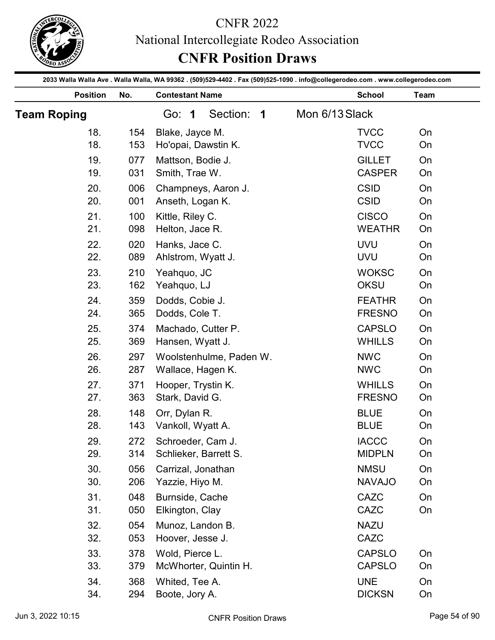

|                    |            | <b>CNFR 2022</b><br>National Intercollegiate Rodeo Association<br><b>CNFR Position Draws</b>                                    |                |                                |               |
|--------------------|------------|---------------------------------------------------------------------------------------------------------------------------------|----------------|--------------------------------|---------------|
|                    |            | 2033 Walla Walla Ave . Walla Walla, WA 99362 . (509)529-4402 . Fax (509)525-1090 . info@collegerodeo.com . www.collegerodeo.com |                |                                |               |
| <b>Position</b>    | No.        | <b>Contestant Name</b>                                                                                                          |                | <b>School</b>                  | Team          |
| <b>Team Roping</b> |            | Section:<br>Go: 1<br>$\overline{\mathbf{1}}$                                                                                    | Mon 6/13 Slack |                                |               |
| 18.<br>18.         | 154<br>153 | Blake, Jayce M.<br>Ho'opai, Dawstin K.                                                                                          |                | <b>TVCC</b><br><b>TVCC</b>     | On<br>On      |
| 19.                | 077        | Mattson, Bodie J.                                                                                                               |                | <b>GILLET</b>                  | On            |
| 19.                | 031        | Smith, Trae W.                                                                                                                  |                | <b>CASPER</b>                  | On            |
| 20.                | 006        | Champneys, Aaron J.                                                                                                             |                | <b>CSID</b>                    | On            |
| 20.                | 001        | Anseth, Logan K.                                                                                                                |                | <b>CSID</b>                    | On            |
| 21.                | 100        | Kittle, Riley C.                                                                                                                |                | <b>CISCO</b>                   | On            |
| 21.                | 098        | Helton, Jace R.                                                                                                                 |                | <b>WEATHR</b>                  | On            |
| 22                 | 020        | Hanks, Jace C.                                                                                                                  |                | <b>UVU</b>                     | On            |
| 22.                | 089        | Ahlstrom, Wyatt J.                                                                                                              |                | <b>UVU</b>                     | On            |
| 23.                | 210        | Yeahquo, JC                                                                                                                     |                | <b>WOKSC</b>                   | On            |
| 23.                | 162        | Yeahquo, LJ                                                                                                                     |                | OKSU                           | On            |
| 24.<br>24.         | 359<br>365 | Dodds, Cobie J.<br>Dodds, Cole T.                                                                                               |                | <b>FEATHR</b><br><b>FRESNO</b> | On<br>On      |
| 25.                | 374        | Machado, Cutter P.                                                                                                              |                | <b>CAPSLO</b>                  | On            |
| 25.                | 369        | Hansen, Wyatt J.                                                                                                                |                | <b>WHILLS</b>                  | On            |
| 26.                | 297        | Woolstenhulme, Paden W.                                                                                                         |                | <b>NWC</b>                     | On            |
| 26.                | 287        | Wallace, Hagen K.                                                                                                               |                | <b>NWC</b>                     | On            |
| 27.                | 371        | Hooper, Trystin K.                                                                                                              |                | <b>WHILLS</b>                  | On            |
| 27.                | 363        | Stark, David G.                                                                                                                 |                | <b>FRESNO</b>                  | On            |
| 28.                | 148        | Orr, Dylan R.                                                                                                                   |                | <b>BLUE</b>                    | On            |
| 28.                | 143        | Vankoll, Wyatt A.                                                                                                               |                | <b>BLUE</b>                    | On            |
| 29.                | 272        | Schroeder, Cam J.                                                                                                               |                | <b>IACCC</b>                   | On            |
| 29.                | 314        | Schlieker, Barrett S.                                                                                                           |                | <b>MIDPLN</b>                  | On            |
| 30.                | 056        | Carrizal, Jonathan                                                                                                              |                | <b>NMSU</b><br><b>NAVAJO</b>   | On            |
| 30.<br>31.         | 206<br>048 | Yazzie, Hiyo M.<br>Burnside, Cache                                                                                              |                | CAZC                           | On<br>On      |
| 31.                | 050        | Elkington, Clay                                                                                                                 |                | CAZC                           | On            |
| 32.                | 054        | Munoz, Landon B.                                                                                                                |                | <b>NAZU</b>                    |               |
| 32.                | 053        | Hoover, Jesse J.                                                                                                                |                | CAZC                           |               |
| 33.                | 378        | Wold, Pierce L.                                                                                                                 |                | <b>CAPSLO</b>                  | On            |
| 33.                | 379        | McWhorter, Quintin H.                                                                                                           |                | <b>CAPSLO</b>                  | On            |
| 34.                | 368        | Whited, Tee A.                                                                                                                  |                | <b>UNE</b>                     | On            |
| 34.                | 294        | Boote, Jory A.                                                                                                                  |                | <b>DICKSN</b>                  | On            |
| Jun 3, 2022 10:15  |            | <b>CNFR Position Draws</b>                                                                                                      |                |                                | Page 54 of 90 |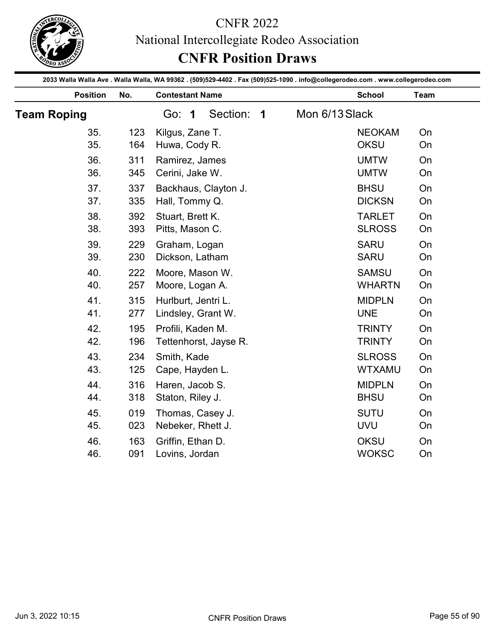

|                    |            | <b>CNFR Position Draws</b>                                                                                                                                |                         | National Intercollegiate Rodeo Association |                                |          |
|--------------------|------------|-----------------------------------------------------------------------------------------------------------------------------------------------------------|-------------------------|--------------------------------------------|--------------------------------|----------|
| <b>Position</b>    | No.        | 2033 Walla Walla Ave . Walla Walla, WA 99362 . (509)529-4402 . Fax (509)525-1090 . info@collegerodeo.com . www.collegerodeo.com<br><b>Contestant Name</b> |                         |                                            | <b>School</b>                  | Team     |
| <b>Team Roping</b> |            | Section:<br>Go: 1                                                                                                                                         | $\overline{\mathbf{1}}$ | Mon 6/13 Slack                             |                                |          |
| 35.<br>35.         | 123<br>164 | Kilgus, Zane T.<br>Huwa, Cody R.                                                                                                                          |                         |                                            | <b>NEOKAM</b><br><b>OKSU</b>   | On<br>On |
| 36.<br>36.         | 311<br>345 | Ramirez, James<br>Cerini, Jake W.                                                                                                                         |                         |                                            | <b>UMTW</b><br><b>UMTW</b>     | On<br>On |
| 37.<br>37.         | 337<br>335 | Backhaus, Clayton J.<br>Hall, Tommy Q.                                                                                                                    |                         |                                            | <b>BHSU</b><br><b>DICKSN</b>   | On<br>On |
| 38.<br>38.         | 392<br>393 | Stuart, Brett K.<br>Pitts, Mason C.                                                                                                                       |                         |                                            | <b>TARLET</b><br><b>SLROSS</b> | On<br>On |
| 39.<br>39.         | 229<br>230 | Graham, Logan<br>Dickson, Latham                                                                                                                          |                         |                                            | <b>SARU</b><br><b>SARU</b>     | On<br>On |
| 40.<br>40.         | 222<br>257 | Moore, Mason W.<br>Moore, Logan A.                                                                                                                        |                         |                                            | <b>SAMSU</b><br><b>WHARTN</b>  | On<br>On |
| 41.<br>41.         | 315<br>277 | Hurlburt, Jentri L.<br>Lindsley, Grant W.                                                                                                                 |                         |                                            | <b>MIDPLN</b><br><b>UNE</b>    | On<br>On |
| 42.<br>42.         | 195<br>196 | Profili, Kaden M.<br>Tettenhorst, Jayse R.                                                                                                                |                         |                                            | <b>TRINTY</b><br><b>TRINTY</b> | On<br>On |
| 43.<br>43.         | 234<br>125 | Smith, Kade<br>Cape, Hayden L.                                                                                                                            |                         |                                            | <b>SLROSS</b><br><b>WTXAMU</b> | On<br>On |
| 44.<br>44.         | 316<br>318 | Haren, Jacob S.<br>Staton, Riley J.                                                                                                                       |                         |                                            | <b>MIDPLN</b><br><b>BHSU</b>   | On<br>On |
| 45.<br>45.         | 019<br>023 | Thomas, Casey J.<br>Nebeker, Rhett J.                                                                                                                     |                         |                                            | <b>SUTU</b><br><b>UVU</b>      | On<br>On |
| 46.<br>46.         | 163<br>091 | Griffin, Ethan D.<br>Lovins, Jordan                                                                                                                       |                         |                                            | OKSU<br><b>WOKSC</b>           | On<br>On |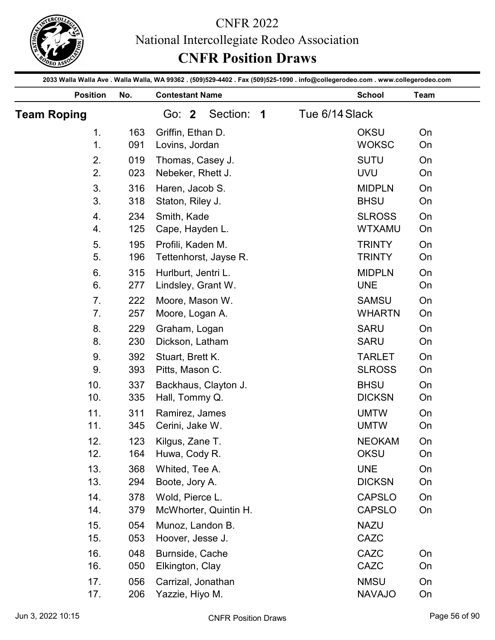

|                      |            | <b>CNFR 2022</b><br>National Intercollegiate Rodeo Association<br><b>CNFR Position Draws</b>                                    |                                           |                                |               |
|----------------------|------------|---------------------------------------------------------------------------------------------------------------------------------|-------------------------------------------|--------------------------------|---------------|
|                      |            | 2033 Walla Walla Ave . Walla Walla, WA 99362 . (509)529-4402 . Fax (509)525-1090 . info@collegerodeo.com . www.collegerodeo.com |                                           |                                |               |
| <b>Position</b>      | No.        | <b>Contestant Name</b>                                                                                                          |                                           | <b>School</b>                  | Team          |
| <b>Team Roping</b>   |            | Section:<br>Go: 2                                                                                                               | Tue 6/14 Slack<br>$\overline{\mathbf{1}}$ |                                |               |
| 1 <sub>1</sub><br>1. | 163<br>091 | Griffin, Ethan D.<br>Lovins, Jordan                                                                                             |                                           | <b>OKSU</b><br><b>WOKSC</b>    | On<br>On      |
| 2.                   | 019        | Thomas, Casey J.                                                                                                                |                                           | <b>SUTU</b>                    | On            |
| 2.                   | 023        | Nebeker, Rhett J.                                                                                                               |                                           | <b>UVU</b>                     | On            |
| 3.                   | 316        | Haren, Jacob S.                                                                                                                 |                                           | <b>MIDPLN</b>                  | On            |
| 3.                   | 318        | Staton, Riley J.                                                                                                                |                                           | <b>BHSU</b>                    | On            |
| 4.                   | 234        | Smith, Kade                                                                                                                     |                                           | <b>SLROSS</b>                  | On            |
| 4.                   | 125        | Cape, Hayden L.                                                                                                                 |                                           | <b>WTXAMU</b>                  | On            |
| 5.<br>5.             | 195<br>196 | Profili, Kaden M.<br>Tettenhorst, Jayse R.                                                                                      |                                           | <b>TRINTY</b><br><b>TRINTY</b> | On<br>On      |
| 6.                   | 315        | Hurlburt, Jentri L.                                                                                                             |                                           | <b>MIDPLN</b>                  | On            |
| 6.                   | 277        | Lindsley, Grant W.                                                                                                              |                                           | <b>UNE</b>                     | On            |
| 7.                   | 222        | Moore, Mason W.                                                                                                                 |                                           | <b>SAMSU</b>                   | On            |
| 7.                   | 257        | Moore, Logan A.                                                                                                                 |                                           | <b>WHARTN</b>                  | On            |
| 8.                   | 229        | Graham, Logan                                                                                                                   |                                           | <b>SARU</b>                    | On            |
| 8.                   | 230        | Dickson, Latham                                                                                                                 |                                           | <b>SARU</b>                    | On            |
| 9.<br>9.             | 392<br>393 | Stuart, Brett K.<br>Pitts, Mason C.                                                                                             |                                           | <b>TARLET</b><br><b>SLROSS</b> | On<br>On      |
| 10.                  | 337        | Backhaus, Clayton J.                                                                                                            |                                           | <b>BHSU</b>                    | On            |
| 10.                  | 335        | Hall, Tommy Q.                                                                                                                  |                                           | <b>DICKSN</b>                  | On            |
| 11.                  | 311        | Ramirez, James                                                                                                                  |                                           | <b>UMTW</b>                    | On            |
| 11.                  | 345        | Cerini, Jake W.                                                                                                                 |                                           | <b>UMTW</b>                    | On            |
| 12.                  | 123        | Kilgus, Zane T.                                                                                                                 |                                           | <b>NEOKAM</b>                  | On            |
| 12.                  | 164        | Huwa, Cody R.                                                                                                                   |                                           | <b>OKSU</b>                    | On            |
| 13.<br>13.           | 368<br>294 | Whited, Tee A.<br>Boote, Jory A.                                                                                                |                                           | <b>UNE</b><br><b>DICKSN</b>    | On<br>On      |
| 14.                  | 378        | Wold, Pierce L.                                                                                                                 |                                           | <b>CAPSLO</b>                  | On            |
| 14.                  | 379        | McWhorter, Quintin H.                                                                                                           |                                           | <b>CAPSLO</b>                  | On            |
| 15.                  | 054        | Munoz, Landon B.                                                                                                                |                                           | <b>NAZU</b>                    |               |
| 15.                  | 053        | Hoover, Jesse J.                                                                                                                |                                           | CAZC                           |               |
| 16.                  | 048        | Burnside, Cache                                                                                                                 |                                           | CAZC                           | On            |
| 16.                  | 050        | Elkington, Clay                                                                                                                 |                                           | CAZC                           | On            |
| 17.                  | 056        | Carrizal, Jonathan                                                                                                              |                                           | <b>NMSU</b>                    | On            |
| 17.                  | 206        | Yazzie, Hiyo M.                                                                                                                 |                                           | <b>NAVAJO</b>                  | On            |
| Jun 3, 2022 10:15    |            | <b>CNFR Position Draws</b>                                                                                                      |                                           |                                | Page 56 of 90 |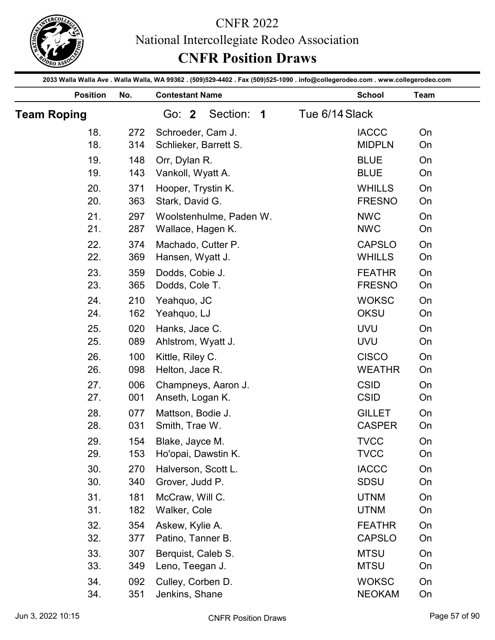

|                    |            | <b>CNFR 2022</b><br>National Intercollegiate Rodeo Association<br><b>CNFR Position Draws</b>                                    |                |                                |               |
|--------------------|------------|---------------------------------------------------------------------------------------------------------------------------------|----------------|--------------------------------|---------------|
|                    |            | 2033 Walla Walla Ave . Walla Walla, WA 99362 . (509)529-4402 . Fax (509)525-1090 . info@collegerodeo.com . www.collegerodeo.com |                |                                |               |
| <b>Position</b>    | No.        | <b>Contestant Name</b>                                                                                                          |                | <b>School</b>                  | Team          |
| <b>Team Roping</b> |            | Section: 1<br>Go: $2$                                                                                                           | Tue 6/14 Slack |                                |               |
| 18.<br>18.         | 272<br>314 | Schroeder, Cam J.<br>Schlieker, Barrett S.                                                                                      |                | <b>IACCC</b><br><b>MIDPLN</b>  | On<br>On      |
| 19.                | 148        | Orr, Dylan R.                                                                                                                   |                | <b>BLUE</b>                    | On            |
| 19.                | 143        | Vankoll, Wyatt A.                                                                                                               |                | <b>BLUE</b>                    | On            |
| 20.                | 371        | Hooper, Trystin K.                                                                                                              |                | <b>WHILLS</b>                  | On            |
| 20.                | 363        | Stark, David G.                                                                                                                 |                | <b>FRESNO</b>                  | On            |
| 21.                | 297        | Woolstenhulme, Paden W.                                                                                                         |                | <b>NWC</b>                     | On            |
| 21.                | 287        | Wallace, Hagen K.                                                                                                               |                | <b>NWC</b>                     | On            |
| 22.                | 374        | Machado, Cutter P.                                                                                                              |                | <b>CAPSLO</b>                  | On            |
| 22.                | 369        | Hansen, Wyatt J.                                                                                                                |                | <b>WHILLS</b>                  | On            |
| 23.                | 359        | Dodds, Cobie J.                                                                                                                 |                | <b>FEATHR</b>                  | On            |
| 23.                | 365        | Dodds, Cole T.                                                                                                                  |                | <b>FRESNO</b>                  | On            |
| 24.                | 210        | Yeahquo, JC                                                                                                                     |                | <b>WOKSC</b>                   | On            |
| 24.                | 162        | Yeahquo, LJ                                                                                                                     |                | <b>OKSU</b>                    | On            |
| 25.                | 020        | Hanks, Jace C.                                                                                                                  |                | <b>UVU</b>                     | On            |
| 25.                | 089        | Ahlstrom, Wyatt J.                                                                                                              |                | <b>UVU</b>                     | On            |
| 26.<br>26.         | 100<br>098 | Kittle, Riley C.<br>Helton, Jace R.                                                                                             |                | <b>CISCO</b><br><b>WEATHR</b>  | On<br>On      |
| 27.                | 006        | Champneys, Aaron J.                                                                                                             |                | <b>CSID</b>                    | On            |
| 27.                | 001        | Anseth, Logan K.                                                                                                                |                | <b>CSID</b>                    | On            |
| 28.                | 077        | Mattson, Bodie J.                                                                                                               |                | <b>GILLET</b>                  | On            |
| 28.                | 031        | Smith, Trae W.                                                                                                                  |                | <b>CASPER</b>                  | On            |
| 29.                | 154        | Blake, Jayce M.                                                                                                                 |                | <b>TVCC</b>                    | On            |
| 29.                | 153        | Ho'opai, Dawstin K.                                                                                                             |                | <b>TVCC</b>                    | On            |
| 30.                | 270        | Halverson, Scott L.                                                                                                             |                | <b>IACCC</b>                   | On            |
| 30.                | 340        | Grover, Judd P.                                                                                                                 |                | <b>SDSU</b>                    | On            |
| 31.                | 181        | McCraw, Will C.                                                                                                                 |                | <b>UTNM</b>                    | On            |
| 31.                | 182        | Walker, Cole                                                                                                                    |                | <b>UTNM</b>                    | On            |
| 32.<br>32.         | 354<br>377 | Askew, Kylie A.<br>Patino, Tanner B.                                                                                            |                | <b>FEATHR</b><br><b>CAPSLO</b> | On<br>On      |
|                    |            |                                                                                                                                 |                |                                |               |
| 33.<br>33.         | 307<br>349 | Berquist, Caleb S.<br>Leno, Teegan J.                                                                                           |                | <b>MTSU</b><br><b>MTSU</b>     | On<br>On      |
| 34.                | 092        | Culley, Corben D.                                                                                                               |                | <b>WOKSC</b>                   | On            |
| 34.                | 351        | Jenkins, Shane                                                                                                                  |                | <b>NEOKAM</b>                  | On            |
| Jun 3, 2022 10:15  |            | <b>CNFR Position Draws</b>                                                                                                      |                |                                | Page 57 of 90 |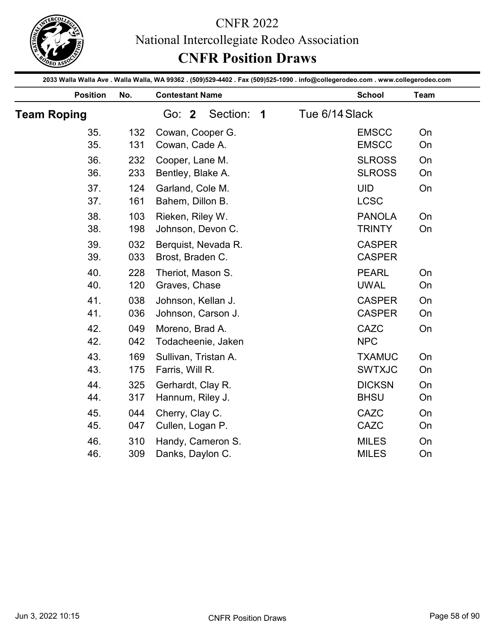

|                    |                   | <b>CNFR Position Draws</b>                               | National Intercollegiate Rodeo Association                                                                                                       |                |
|--------------------|-------------------|----------------------------------------------------------|--------------------------------------------------------------------------------------------------------------------------------------------------|----------------|
| <b>Position</b>    | No.               | <b>Contestant Name</b>                                   | 2033 Walla Walla Ave . Walla Walla, WA 99362 . (509)529-4402 . Fax (509)525-1090 . info@collegerodeo.com . www.collegerodeo.com<br><b>School</b> | Team           |
| <b>Team Roping</b> |                   | Section:<br>Go: 2<br>$\overline{\mathbf{1}}$             | Tue 6/14 Slack                                                                                                                                   |                |
| 35.                | 132               | Cowan, Cooper G.                                         | <b>EMSCC</b>                                                                                                                                     | On             |
| 35.                | 131               | Cowan, Cade A.                                           | <b>EMSCC</b>                                                                                                                                     | On             |
| 36.                | 232               | Cooper, Lane M.                                          | <b>SLROSS</b>                                                                                                                                    | On             |
| 36.                | 233               | Bentley, Blake A.                                        | <b>SLROSS</b>                                                                                                                                    | On             |
| 37.                | 124               | Garland, Cole M.                                         | <b>UID</b>                                                                                                                                       | On             |
| 37.                | 161               | Bahem, Dillon B.                                         | <b>LCSC</b>                                                                                                                                      |                |
| 38.                | 103               | Rieken, Riley W.                                         | <b>PANOLA</b>                                                                                                                                    | On             |
| 38.                | 198               | Johnson, Devon C.                                        | <b>TRINTY</b>                                                                                                                                    | On             |
| 39.                | 032               | Berquist, Nevada R.                                      | <b>CASPER</b>                                                                                                                                    |                |
| 39.                | 033               | Brost, Braden C.                                         | <b>CASPER</b>                                                                                                                                    |                |
| 40.                | 228               | Theriot, Mason S.                                        | <b>PEARL</b>                                                                                                                                     | On             |
| 40.                | 120               | Graves, Chase                                            | <b>UWAL</b>                                                                                                                                      | On             |
| 41.                | 038               | Johnson, Kellan J.                                       | <b>CASPER</b>                                                                                                                                    | On             |
| 41.                | 036               | Johnson, Carson J.                                       | <b>CASPER</b>                                                                                                                                    | On             |
| 42.                | 049               | Moreno, Brad A.                                          | CAZC                                                                                                                                             | On             |
| 42.                | 042               | Todacheenie, Jaken                                       | <b>NPC</b>                                                                                                                                       |                |
| 43.<br>43.<br>44.  | 169<br>175<br>325 | Sullivan, Tristan A.<br>Farris, Will R.                  | <b>TXAMUC</b><br><b>SWTXJC</b><br><b>DICKSN</b>                                                                                                  | On<br>On       |
| 44.<br>45.         | 317<br>044        | Gerhardt, Clay R.<br>Hannum, Riley J.<br>Cherry, Clay C. | <b>BHSU</b><br>CAZC                                                                                                                              | On<br>On<br>On |
| 45.                | 047               | Cullen, Logan P.                                         | CAZC                                                                                                                                             | On             |
| 46.                | 310               | Handy, Cameron S.                                        | <b>MILES</b>                                                                                                                                     | On             |
| 46.                | 309               | Danks, Daylon C.                                         | <b>MILES</b>                                                                                                                                     | On             |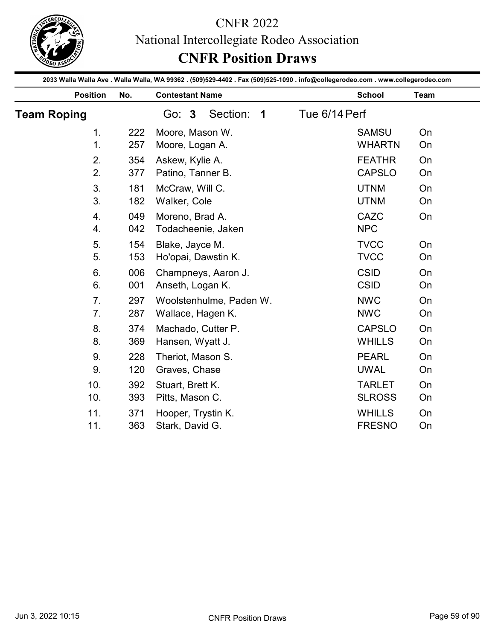

|                    |            | <b>CNFR 2022</b><br>National Intercollegiate Rodeo Association<br><b>CNFR Position Draws</b>                                    |                                |          |
|--------------------|------------|---------------------------------------------------------------------------------------------------------------------------------|--------------------------------|----------|
|                    |            | 2033 Walla Walla Ave . Walla Walla, WA 99362 . (509)529-4402 . Fax (509)525-1090 . info@collegerodeo.com . www.collegerodeo.com |                                |          |
| <b>Position</b>    | No.        | <b>Contestant Name</b>                                                                                                          | <b>School</b>                  | Team     |
| <b>Team Roping</b> |            | Section:<br>Go: 3<br>$\overline{\mathbf{1}}$                                                                                    | Tue 6/14 Perf                  |          |
| 1 <sub>1</sub>     | 222        | Moore, Mason W.                                                                                                                 | <b>SAMSU</b>                   | On       |
| 1.                 | 257        | Moore, Logan A.                                                                                                                 | <b>WHARTN</b>                  | On       |
| 2.                 | 354        | Askew, Kylie A.                                                                                                                 | <b>FEATHR</b>                  | On       |
| 2.                 | 377        | Patino, Tanner B.                                                                                                               | <b>CAPSLO</b>                  | On       |
| 3.<br>3.           | 181<br>182 | McCraw, Will C.<br>Walker, Cole                                                                                                 | <b>UTNM</b><br><b>UTNM</b>     | On<br>On |
| 4.                 | 049        | Moreno, Brad A.                                                                                                                 | <b>CAZC</b>                    | On       |
| 4.                 | 042        | Todacheenie, Jaken                                                                                                              | <b>NPC</b>                     |          |
| 5.                 | 154        | Blake, Jayce M.                                                                                                                 | <b>TVCC</b>                    | On       |
| 5.                 | 153        | Ho'opai, Dawstin K.                                                                                                             | <b>TVCC</b>                    | On       |
| 6.                 | 006        | Champneys, Aaron J.                                                                                                             | <b>CSID</b>                    | On       |
| 6.                 | 001        | Anseth, Logan K.                                                                                                                | <b>CSID</b>                    | On       |
| 7.                 | 297        | Woolstenhulme, Paden W.                                                                                                         | <b>NWC</b>                     | On       |
| 7 <sub>1</sub>     | 287        | Wallace, Hagen K.                                                                                                               | <b>NWC</b>                     | On       |
| 8.                 | 374        | Machado, Cutter P.                                                                                                              | <b>CAPSLO</b>                  | On       |
| 8.                 | 369        | Hansen, Wyatt J.                                                                                                                | <b>WHILLS</b>                  | On       |
| 9.                 | 228        | Theriot, Mason S.                                                                                                               | <b>PEARL</b>                   | On       |
| 9.                 | 120        | Graves, Chase                                                                                                                   | <b>UWAL</b>                    | On       |
| 10.<br>10.         | 392<br>393 | Stuart, Brett K.<br>Pitts, Mason C.                                                                                             | <b>TARLET</b><br><b>SLROSS</b> | On<br>On |
| 11.                | 371        | Hooper, Trystin K.                                                                                                              | <b>WHILLS</b>                  | On       |
| 11.                | 363        | Stark, David G.                                                                                                                 | <b>FRESNO</b>                  | On       |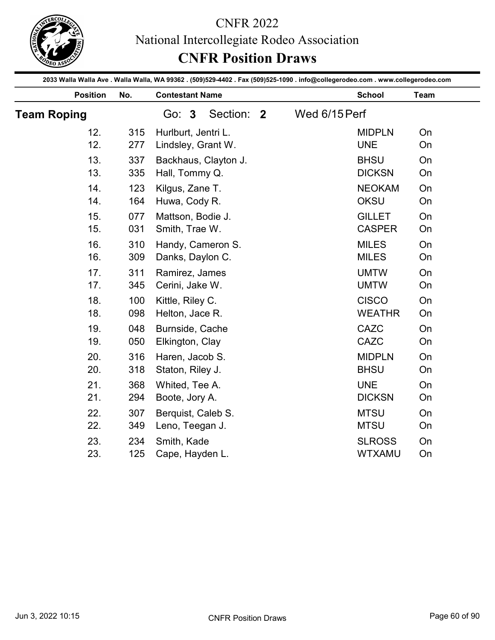

|                    |     | <b>CNFR Position Draws</b>                                                                                                                                | National Intercollegiate Rodeo Association |               |      |
|--------------------|-----|-----------------------------------------------------------------------------------------------------------------------------------------------------------|--------------------------------------------|---------------|------|
| <b>Position</b>    | No. | 2033 Walla Walla Ave . Walla Walla, WA 99362 . (509)529-4402 . Fax (509)525-1090 . info@collegerodeo.com . www.collegerodeo.com<br><b>Contestant Name</b> |                                            | <b>School</b> | Team |
| <b>Team Roping</b> |     | Section: 2<br>Go: 3                                                                                                                                       | Wed 6/15 Perf                              |               |      |
| 12.                | 315 | Hurlburt, Jentri L.                                                                                                                                       |                                            | <b>MIDPLN</b> | On   |
| 12.                | 277 | Lindsley, Grant W.                                                                                                                                        |                                            | <b>UNE</b>    | On   |
| 13.                | 337 | Backhaus, Clayton J.                                                                                                                                      |                                            | <b>BHSU</b>   | On   |
| 13.                | 335 | Hall, Tommy Q.                                                                                                                                            |                                            | <b>DICKSN</b> | On   |
| 14.                | 123 | Kilgus, Zane T.                                                                                                                                           |                                            | <b>NEOKAM</b> | On   |
| 14.                | 164 | Huwa, Cody R.                                                                                                                                             |                                            | <b>OKSU</b>   | On   |
| 15.                | 077 | Mattson, Bodie J.                                                                                                                                         |                                            | <b>GILLET</b> | On   |
| 15.                | 031 | Smith, Trae W.                                                                                                                                            |                                            | <b>CASPER</b> | On   |
| 16.                | 310 | Handy, Cameron S.                                                                                                                                         |                                            | <b>MILES</b>  | On   |
| 16.                | 309 | Danks, Daylon C.                                                                                                                                          |                                            | <b>MILES</b>  | On   |
| 17.                | 311 | Ramirez, James                                                                                                                                            |                                            | <b>UMTW</b>   | On   |
| 17.                | 345 | Cerini, Jake W.                                                                                                                                           |                                            | <b>UMTW</b>   | On   |
| 18.                | 100 | Kittle, Riley C.                                                                                                                                          |                                            | <b>CISCO</b>  | On   |
| 18.                | 098 | Helton, Jace R.                                                                                                                                           |                                            | <b>WEATHR</b> | On   |
| 19.                | 048 | Burnside, Cache                                                                                                                                           |                                            | CAZC          | On   |
| 19.                | 050 | Elkington, Clay                                                                                                                                           |                                            | CAZC          | On   |
| 20.                | 316 | Haren, Jacob S.                                                                                                                                           |                                            | <b>MIDPLN</b> | On   |
| 20.                | 318 | Staton, Riley J.                                                                                                                                          |                                            | <b>BHSU</b>   | On   |
| 21.                | 368 | Whited, Tee A.                                                                                                                                            |                                            | <b>UNE</b>    | On   |
| 21.                | 294 | Boote, Jory A.                                                                                                                                            |                                            | <b>DICKSN</b> | On   |
| 22.                | 307 | Berquist, Caleb S.                                                                                                                                        |                                            | <b>MTSU</b>   | On   |
| 22.                | 349 | Leno, Teegan J.                                                                                                                                           |                                            | <b>MTSU</b>   | On   |
| 23.                | 234 | Smith, Kade                                                                                                                                               |                                            | <b>SLROSS</b> | On   |
| 23.                | 125 | Cape, Hayden L.                                                                                                                                           |                                            | WTXAMU        | On   |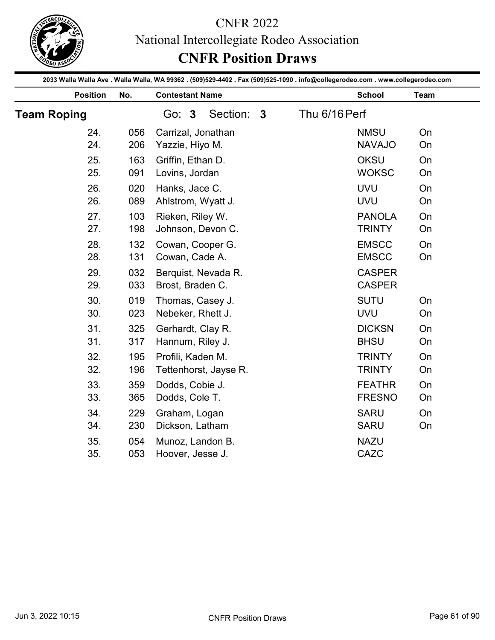

|                    |            | <b>CNFR Position Draws</b>                                                                                                                                |               |                                |      |
|--------------------|------------|-----------------------------------------------------------------------------------------------------------------------------------------------------------|---------------|--------------------------------|------|
| <b>Position</b>    | No.        | 2033 Walla Walla Ave . Walla Walla, WA 99362 . (509)529-4402 . Fax (509)525-1090 . info@collegerodeo.com . www.collegerodeo.com<br><b>Contestant Name</b> |               | <b>School</b>                  | Team |
| <b>Team Roping</b> |            | Section: 3<br>Go: 3                                                                                                                                       | Thu 6/16 Perf |                                |      |
| 24.                | 056        | Carrizal, Jonathan                                                                                                                                        |               | <b>NMSU</b>                    | On   |
| 24.                | 206        | Yazzie, Hiyo M.                                                                                                                                           |               | <b>NAVAJO</b>                  | On   |
| 25.                | 163        | Griffin, Ethan D.                                                                                                                                         |               | <b>OKSU</b>                    | On   |
| 25.                | 091        | Lovins, Jordan                                                                                                                                            |               | <b>WOKSC</b>                   | On   |
| 26.                | 020        | Hanks, Jace C.                                                                                                                                            |               | <b>UVU</b>                     | On   |
| 26.                | 089        | Ahlstrom, Wyatt J.                                                                                                                                        |               | <b>UVU</b>                     | On   |
| 27.                | 103        | Rieken, Riley W.                                                                                                                                          |               | <b>PANOLA</b>                  | On   |
| 27.                | 198        | Johnson, Devon C.                                                                                                                                         |               | <b>TRINTY</b>                  | On   |
| 28.                | 132        | Cowan, Cooper G.                                                                                                                                          |               | <b>EMSCC</b>                   | On   |
| 28.                | 131        | Cowan, Cade A.                                                                                                                                            |               | <b>EMSCC</b>                   | On   |
| 29.<br>29.         | 032<br>033 | Berquist, Nevada R.<br>Brost, Braden C.                                                                                                                   |               | <b>CASPER</b><br><b>CASPER</b> |      |
| 30.                | 019        | Thomas, Casey J.                                                                                                                                          |               | <b>SUTU</b>                    | On   |
| 30.                | 023        | Nebeker, Rhett J.                                                                                                                                         |               | <b>UVU</b>                     | On   |
| 31.                | 325        | Gerhardt, Clay R.                                                                                                                                         |               | <b>DICKSN</b>                  | On   |
| 31.                | 317        | Hannum, Riley J.                                                                                                                                          |               | <b>BHSU</b>                    | On   |
| 32.                | 195        | Profili, Kaden M.                                                                                                                                         |               | <b>TRINTY</b>                  | On   |
| 32.                | 196        | Tettenhorst, Jayse R.                                                                                                                                     |               | <b>TRINTY</b>                  | On   |
| 33.                | 359        | Dodds, Cobie J.                                                                                                                                           |               | <b>FEATHR</b>                  | On   |
| 33.                | 365        | Dodds, Cole T.                                                                                                                                            |               | <b>FRESNO</b>                  | On   |
| 34.                | 229        | Graham, Logan                                                                                                                                             |               | <b>SARU</b>                    | On   |
| 34.                | 230        | Dickson, Latham                                                                                                                                           |               | <b>SARU</b>                    | On   |
| 35.<br>35.         | 054<br>053 | Munoz, Landon B.<br>Hoover, Jesse J.                                                                                                                      |               | <b>NAZU</b><br>CAZC            |      |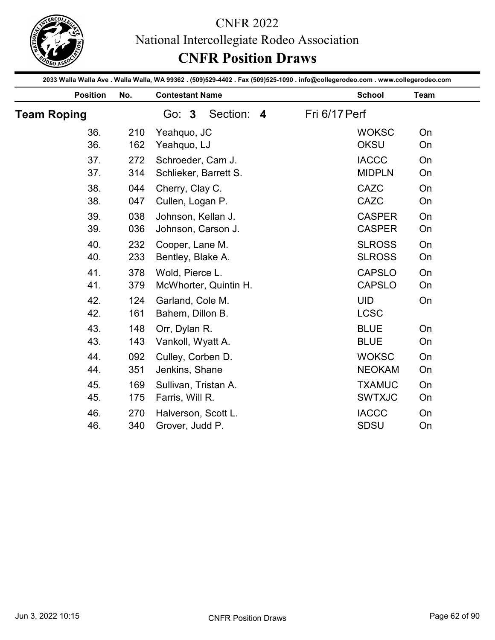

|                    |            | National Intercollegiate Rodeo Association<br><b>CNFR Position Draws</b>                                                        |               |          |
|--------------------|------------|---------------------------------------------------------------------------------------------------------------------------------|---------------|----------|
|                    |            | 2033 Walla Walla Ave . Walla Walla, WA 99362 . (509)529-4402 . Fax (509)525-1090 . info@collegerodeo.com . www.collegerodeo.com |               |          |
| <b>Position</b>    | No.        | <b>Contestant Name</b>                                                                                                          | <b>School</b> | Team     |
| <b>Team Roping</b> |            | Section: 4<br>Go: 3                                                                                                             | Fri 6/17 Perf |          |
| 36.                | 210        | Yeahquo, JC                                                                                                                     | <b>WOKSC</b>  | On       |
| 36.                | 162        | Yeahquo, LJ                                                                                                                     | <b>OKSU</b>   | On       |
| 37.                | 272        | Schroeder, Cam J.                                                                                                               | <b>IACCC</b>  | On       |
| 37.                | 314        | Schlieker, Barrett S.                                                                                                           | <b>MIDPLN</b> | On       |
| 38.<br>38.         | 044<br>047 | Cherry, Clay C.<br>Cullen, Logan P.                                                                                             | CAZC<br>CAZC  | On<br>On |
| 39.                | 038        | Johnson, Kellan J.                                                                                                              | <b>CASPER</b> | On       |
| 39.                | 036        | Johnson, Carson J.                                                                                                              | <b>CASPER</b> | On       |
| 40.                | 232        | Cooper, Lane M.                                                                                                                 | <b>SLROSS</b> | On       |
| 40.                | 233        | Bentley, Blake A.                                                                                                               | <b>SLROSS</b> | On       |
| 41.                | 378        | Wold, Pierce L.                                                                                                                 | <b>CAPSLO</b> | On       |
| 41.                | 379        | McWhorter, Quintin H.                                                                                                           | <b>CAPSLO</b> | On       |
| 42.                | 124        | Garland, Cole M.                                                                                                                | <b>UID</b>    | On       |
| 42.                | 161        | Bahem, Dillon B.                                                                                                                | <b>LCSC</b>   |          |
| 43.                | 148        | Orr, Dylan R.                                                                                                                   | <b>BLUE</b>   | On       |
| 43.                | 143        | Vankoll, Wyatt A.                                                                                                               | <b>BLUE</b>   | On       |
| 44.                | 092        | Culley, Corben D.                                                                                                               | <b>WOKSC</b>  | On       |
| 44.                | 351        | Jenkins, Shane                                                                                                                  | <b>NEOKAM</b> | On       |
| 45.                | 169        | Sullivan, Tristan A.                                                                                                            | <b>TXAMUC</b> | On       |
| 45.                | 175        | Farris, Will R.                                                                                                                 | <b>SWTXJC</b> | On       |
| 46.                | 270        | Halverson, Scott L.                                                                                                             | <b>IACCC</b>  | On       |
| 46.                | 340        | Grover, Judd P.                                                                                                                 | SDSU          | On       |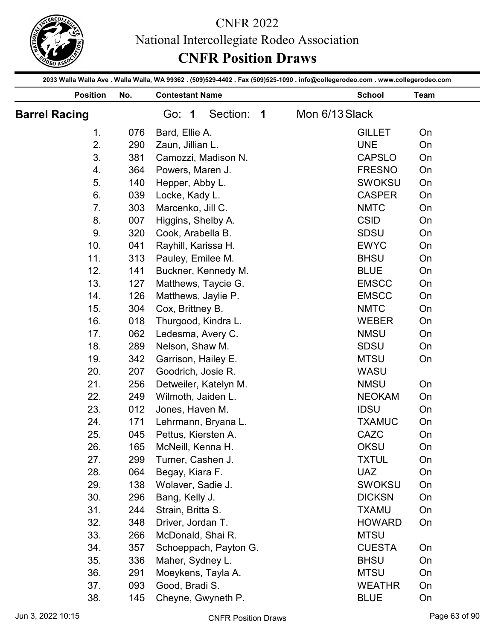

| 2033 Walla Walla Ave . Walla Walla, WA 99362 . (509)529-4402 . Fax (509)525-1090 . info@collegerodeo.com . www.collegerodeo.com<br><b>Position</b><br>No.<br><b>Contestant Name</b><br><b>School</b><br>Team<br>Section: 1<br>Mon 6/13 Slack<br><b>Barrel Racing</b><br>Go: 1<br>Bard, Ellie A.<br><b>GILLET</b><br>1.<br>076<br>On<br>2.<br><b>UNE</b><br>290<br>Zaun, Jillian L.<br>On<br>3.<br>381<br>Camozzi, Madison N.<br><b>CAPSLO</b><br>On<br><b>FRESNO</b><br>364<br>Powers, Maren J.<br>On<br>4.<br><b>SWOKSU</b><br>5.<br>140<br>Hepper, Abby L.<br>On<br>Locke, Kady L.<br>6.<br>039<br><b>CASPER</b><br>On<br>Marcenko, Jill C.<br>7.<br>303<br><b>NMTC</b><br>On<br><b>CSID</b><br>8.<br>007<br>Higgins, Shelby A.<br>On<br>Cook, Arabella B.<br><b>SDSU</b><br>9.<br>320<br>On<br>10.<br><b>EWYC</b><br>On<br>041<br>Rayhill, Karissa H.<br>11.<br><b>BHSU</b><br>313<br>Pauley, Emilee M.<br>On<br>12.<br><b>BLUE</b><br>On<br>141<br>Buckner, Kennedy M.<br>13.<br>127<br><b>EMSCC</b><br>On<br>Matthews, Taycie G.<br>14.<br>126<br>Matthews, Jaylie P.<br><b>EMSCC</b><br>On<br>15.<br>304<br>Cox, Brittney B.<br><b>NMTC</b><br>On<br>16.<br>018<br><b>WEBER</b><br>On<br>Thurgood, Kindra L.<br>17.<br><b>NMSU</b><br>062<br>Ledesma, Avery C.<br>On<br>18.<br>289<br>Nelson, Shaw M.<br><b>SDSU</b><br>On<br><b>MTSU</b><br>19.<br>342<br>Garrison, Hailey E.<br>On<br>20.<br>207<br>Goodrich, Josie R.<br>WASU<br>21.<br>Detweiler, Katelyn M.<br><b>NMSU</b><br>On<br>256<br>22.<br>249<br><b>NEOKAM</b><br>On<br>Wilmoth, Jaiden L.<br>23.<br>012<br><b>IDSU</b><br>On<br>Jones, Haven M.<br>24.<br>On<br>Lehrmann, Bryana L.<br><b>TXAMUC</b><br>171<br>25.<br>045<br>CAZC<br>On<br>Pettus, Kiersten A.<br>26.<br><b>OKSU</b><br>165<br>McNeill, Kenna H.<br>On<br>27.<br><b>TXTUL</b><br>299<br>On<br>Turner, Cashen J.<br><b>UAZ</b><br>28.<br>064<br>Begay, Kiara F.<br>On<br>29.<br>138<br><b>SWOKSU</b><br>On<br>Wolaver, Sadie J.<br>30.<br><b>DICKSN</b><br>296<br>Bang, Kelly J.<br>On<br>31.<br>244<br>Strain, Britta S.<br><b>TXAMU</b><br>On<br>32.<br>348<br><b>HOWARD</b><br>Driver, Jordan T.<br>On<br>33.<br><b>MTSU</b><br>266<br>McDonald, Shai R.<br>34.<br>357<br><b>CUESTA</b><br>Schoeppach, Payton G.<br>On<br>35.<br>336<br><b>BHSU</b><br>Maher, Sydney L.<br>On<br>36.<br><b>MTSU</b><br>291<br>Moeykens, Tayla A.<br>On<br>37.<br>093<br>Good, Bradi S.<br><b>WEATHR</b><br>On<br>38.<br><b>BLUE</b><br>145<br>Cheyne, Gwyneth P.<br>On |  | <b>CNFR 2022</b><br>National Intercollegiate Rodeo Association<br><b>CNFR Position Draws</b> |  |  |
|----------------------------------------------------------------------------------------------------------------------------------------------------------------------------------------------------------------------------------------------------------------------------------------------------------------------------------------------------------------------------------------------------------------------------------------------------------------------------------------------------------------------------------------------------------------------------------------------------------------------------------------------------------------------------------------------------------------------------------------------------------------------------------------------------------------------------------------------------------------------------------------------------------------------------------------------------------------------------------------------------------------------------------------------------------------------------------------------------------------------------------------------------------------------------------------------------------------------------------------------------------------------------------------------------------------------------------------------------------------------------------------------------------------------------------------------------------------------------------------------------------------------------------------------------------------------------------------------------------------------------------------------------------------------------------------------------------------------------------------------------------------------------------------------------------------------------------------------------------------------------------------------------------------------------------------------------------------------------------------------------------------------------------------------------------------------------------------------------------------------------------------------------------------------------------------------------------------------------------------------------------------------------------------------------------------------------------------------------------------------------------------------------------------------------------------------------------------------------------------------|--|----------------------------------------------------------------------------------------------|--|--|
|                                                                                                                                                                                                                                                                                                                                                                                                                                                                                                                                                                                                                                                                                                                                                                                                                                                                                                                                                                                                                                                                                                                                                                                                                                                                                                                                                                                                                                                                                                                                                                                                                                                                                                                                                                                                                                                                                                                                                                                                                                                                                                                                                                                                                                                                                                                                                                                                                                                                                              |  |                                                                                              |  |  |
|                                                                                                                                                                                                                                                                                                                                                                                                                                                                                                                                                                                                                                                                                                                                                                                                                                                                                                                                                                                                                                                                                                                                                                                                                                                                                                                                                                                                                                                                                                                                                                                                                                                                                                                                                                                                                                                                                                                                                                                                                                                                                                                                                                                                                                                                                                                                                                                                                                                                                              |  |                                                                                              |  |  |
|                                                                                                                                                                                                                                                                                                                                                                                                                                                                                                                                                                                                                                                                                                                                                                                                                                                                                                                                                                                                                                                                                                                                                                                                                                                                                                                                                                                                                                                                                                                                                                                                                                                                                                                                                                                                                                                                                                                                                                                                                                                                                                                                                                                                                                                                                                                                                                                                                                                                                              |  |                                                                                              |  |  |
|                                                                                                                                                                                                                                                                                                                                                                                                                                                                                                                                                                                                                                                                                                                                                                                                                                                                                                                                                                                                                                                                                                                                                                                                                                                                                                                                                                                                                                                                                                                                                                                                                                                                                                                                                                                                                                                                                                                                                                                                                                                                                                                                                                                                                                                                                                                                                                                                                                                                                              |  |                                                                                              |  |  |
|                                                                                                                                                                                                                                                                                                                                                                                                                                                                                                                                                                                                                                                                                                                                                                                                                                                                                                                                                                                                                                                                                                                                                                                                                                                                                                                                                                                                                                                                                                                                                                                                                                                                                                                                                                                                                                                                                                                                                                                                                                                                                                                                                                                                                                                                                                                                                                                                                                                                                              |  |                                                                                              |  |  |
|                                                                                                                                                                                                                                                                                                                                                                                                                                                                                                                                                                                                                                                                                                                                                                                                                                                                                                                                                                                                                                                                                                                                                                                                                                                                                                                                                                                                                                                                                                                                                                                                                                                                                                                                                                                                                                                                                                                                                                                                                                                                                                                                                                                                                                                                                                                                                                                                                                                                                              |  |                                                                                              |  |  |
|                                                                                                                                                                                                                                                                                                                                                                                                                                                                                                                                                                                                                                                                                                                                                                                                                                                                                                                                                                                                                                                                                                                                                                                                                                                                                                                                                                                                                                                                                                                                                                                                                                                                                                                                                                                                                                                                                                                                                                                                                                                                                                                                                                                                                                                                                                                                                                                                                                                                                              |  |                                                                                              |  |  |
|                                                                                                                                                                                                                                                                                                                                                                                                                                                                                                                                                                                                                                                                                                                                                                                                                                                                                                                                                                                                                                                                                                                                                                                                                                                                                                                                                                                                                                                                                                                                                                                                                                                                                                                                                                                                                                                                                                                                                                                                                                                                                                                                                                                                                                                                                                                                                                                                                                                                                              |  |                                                                                              |  |  |
|                                                                                                                                                                                                                                                                                                                                                                                                                                                                                                                                                                                                                                                                                                                                                                                                                                                                                                                                                                                                                                                                                                                                                                                                                                                                                                                                                                                                                                                                                                                                                                                                                                                                                                                                                                                                                                                                                                                                                                                                                                                                                                                                                                                                                                                                                                                                                                                                                                                                                              |  |                                                                                              |  |  |
|                                                                                                                                                                                                                                                                                                                                                                                                                                                                                                                                                                                                                                                                                                                                                                                                                                                                                                                                                                                                                                                                                                                                                                                                                                                                                                                                                                                                                                                                                                                                                                                                                                                                                                                                                                                                                                                                                                                                                                                                                                                                                                                                                                                                                                                                                                                                                                                                                                                                                              |  |                                                                                              |  |  |
|                                                                                                                                                                                                                                                                                                                                                                                                                                                                                                                                                                                                                                                                                                                                                                                                                                                                                                                                                                                                                                                                                                                                                                                                                                                                                                                                                                                                                                                                                                                                                                                                                                                                                                                                                                                                                                                                                                                                                                                                                                                                                                                                                                                                                                                                                                                                                                                                                                                                                              |  |                                                                                              |  |  |
|                                                                                                                                                                                                                                                                                                                                                                                                                                                                                                                                                                                                                                                                                                                                                                                                                                                                                                                                                                                                                                                                                                                                                                                                                                                                                                                                                                                                                                                                                                                                                                                                                                                                                                                                                                                                                                                                                                                                                                                                                                                                                                                                                                                                                                                                                                                                                                                                                                                                                              |  |                                                                                              |  |  |
|                                                                                                                                                                                                                                                                                                                                                                                                                                                                                                                                                                                                                                                                                                                                                                                                                                                                                                                                                                                                                                                                                                                                                                                                                                                                                                                                                                                                                                                                                                                                                                                                                                                                                                                                                                                                                                                                                                                                                                                                                                                                                                                                                                                                                                                                                                                                                                                                                                                                                              |  |                                                                                              |  |  |
|                                                                                                                                                                                                                                                                                                                                                                                                                                                                                                                                                                                                                                                                                                                                                                                                                                                                                                                                                                                                                                                                                                                                                                                                                                                                                                                                                                                                                                                                                                                                                                                                                                                                                                                                                                                                                                                                                                                                                                                                                                                                                                                                                                                                                                                                                                                                                                                                                                                                                              |  |                                                                                              |  |  |
|                                                                                                                                                                                                                                                                                                                                                                                                                                                                                                                                                                                                                                                                                                                                                                                                                                                                                                                                                                                                                                                                                                                                                                                                                                                                                                                                                                                                                                                                                                                                                                                                                                                                                                                                                                                                                                                                                                                                                                                                                                                                                                                                                                                                                                                                                                                                                                                                                                                                                              |  |                                                                                              |  |  |
|                                                                                                                                                                                                                                                                                                                                                                                                                                                                                                                                                                                                                                                                                                                                                                                                                                                                                                                                                                                                                                                                                                                                                                                                                                                                                                                                                                                                                                                                                                                                                                                                                                                                                                                                                                                                                                                                                                                                                                                                                                                                                                                                                                                                                                                                                                                                                                                                                                                                                              |  |                                                                                              |  |  |
|                                                                                                                                                                                                                                                                                                                                                                                                                                                                                                                                                                                                                                                                                                                                                                                                                                                                                                                                                                                                                                                                                                                                                                                                                                                                                                                                                                                                                                                                                                                                                                                                                                                                                                                                                                                                                                                                                                                                                                                                                                                                                                                                                                                                                                                                                                                                                                                                                                                                                              |  |                                                                                              |  |  |
|                                                                                                                                                                                                                                                                                                                                                                                                                                                                                                                                                                                                                                                                                                                                                                                                                                                                                                                                                                                                                                                                                                                                                                                                                                                                                                                                                                                                                                                                                                                                                                                                                                                                                                                                                                                                                                                                                                                                                                                                                                                                                                                                                                                                                                                                                                                                                                                                                                                                                              |  |                                                                                              |  |  |
|                                                                                                                                                                                                                                                                                                                                                                                                                                                                                                                                                                                                                                                                                                                                                                                                                                                                                                                                                                                                                                                                                                                                                                                                                                                                                                                                                                                                                                                                                                                                                                                                                                                                                                                                                                                                                                                                                                                                                                                                                                                                                                                                                                                                                                                                                                                                                                                                                                                                                              |  |                                                                                              |  |  |
|                                                                                                                                                                                                                                                                                                                                                                                                                                                                                                                                                                                                                                                                                                                                                                                                                                                                                                                                                                                                                                                                                                                                                                                                                                                                                                                                                                                                                                                                                                                                                                                                                                                                                                                                                                                                                                                                                                                                                                                                                                                                                                                                                                                                                                                                                                                                                                                                                                                                                              |  |                                                                                              |  |  |
|                                                                                                                                                                                                                                                                                                                                                                                                                                                                                                                                                                                                                                                                                                                                                                                                                                                                                                                                                                                                                                                                                                                                                                                                                                                                                                                                                                                                                                                                                                                                                                                                                                                                                                                                                                                                                                                                                                                                                                                                                                                                                                                                                                                                                                                                                                                                                                                                                                                                                              |  |                                                                                              |  |  |
|                                                                                                                                                                                                                                                                                                                                                                                                                                                                                                                                                                                                                                                                                                                                                                                                                                                                                                                                                                                                                                                                                                                                                                                                                                                                                                                                                                                                                                                                                                                                                                                                                                                                                                                                                                                                                                                                                                                                                                                                                                                                                                                                                                                                                                                                                                                                                                                                                                                                                              |  |                                                                                              |  |  |
|                                                                                                                                                                                                                                                                                                                                                                                                                                                                                                                                                                                                                                                                                                                                                                                                                                                                                                                                                                                                                                                                                                                                                                                                                                                                                                                                                                                                                                                                                                                                                                                                                                                                                                                                                                                                                                                                                                                                                                                                                                                                                                                                                                                                                                                                                                                                                                                                                                                                                              |  |                                                                                              |  |  |
|                                                                                                                                                                                                                                                                                                                                                                                                                                                                                                                                                                                                                                                                                                                                                                                                                                                                                                                                                                                                                                                                                                                                                                                                                                                                                                                                                                                                                                                                                                                                                                                                                                                                                                                                                                                                                                                                                                                                                                                                                                                                                                                                                                                                                                                                                                                                                                                                                                                                                              |  |                                                                                              |  |  |
|                                                                                                                                                                                                                                                                                                                                                                                                                                                                                                                                                                                                                                                                                                                                                                                                                                                                                                                                                                                                                                                                                                                                                                                                                                                                                                                                                                                                                                                                                                                                                                                                                                                                                                                                                                                                                                                                                                                                                                                                                                                                                                                                                                                                                                                                                                                                                                                                                                                                                              |  |                                                                                              |  |  |
|                                                                                                                                                                                                                                                                                                                                                                                                                                                                                                                                                                                                                                                                                                                                                                                                                                                                                                                                                                                                                                                                                                                                                                                                                                                                                                                                                                                                                                                                                                                                                                                                                                                                                                                                                                                                                                                                                                                                                                                                                                                                                                                                                                                                                                                                                                                                                                                                                                                                                              |  |                                                                                              |  |  |
|                                                                                                                                                                                                                                                                                                                                                                                                                                                                                                                                                                                                                                                                                                                                                                                                                                                                                                                                                                                                                                                                                                                                                                                                                                                                                                                                                                                                                                                                                                                                                                                                                                                                                                                                                                                                                                                                                                                                                                                                                                                                                                                                                                                                                                                                                                                                                                                                                                                                                              |  |                                                                                              |  |  |
|                                                                                                                                                                                                                                                                                                                                                                                                                                                                                                                                                                                                                                                                                                                                                                                                                                                                                                                                                                                                                                                                                                                                                                                                                                                                                                                                                                                                                                                                                                                                                                                                                                                                                                                                                                                                                                                                                                                                                                                                                                                                                                                                                                                                                                                                                                                                                                                                                                                                                              |  |                                                                                              |  |  |
|                                                                                                                                                                                                                                                                                                                                                                                                                                                                                                                                                                                                                                                                                                                                                                                                                                                                                                                                                                                                                                                                                                                                                                                                                                                                                                                                                                                                                                                                                                                                                                                                                                                                                                                                                                                                                                                                                                                                                                                                                                                                                                                                                                                                                                                                                                                                                                                                                                                                                              |  |                                                                                              |  |  |
|                                                                                                                                                                                                                                                                                                                                                                                                                                                                                                                                                                                                                                                                                                                                                                                                                                                                                                                                                                                                                                                                                                                                                                                                                                                                                                                                                                                                                                                                                                                                                                                                                                                                                                                                                                                                                                                                                                                                                                                                                                                                                                                                                                                                                                                                                                                                                                                                                                                                                              |  |                                                                                              |  |  |
|                                                                                                                                                                                                                                                                                                                                                                                                                                                                                                                                                                                                                                                                                                                                                                                                                                                                                                                                                                                                                                                                                                                                                                                                                                                                                                                                                                                                                                                                                                                                                                                                                                                                                                                                                                                                                                                                                                                                                                                                                                                                                                                                                                                                                                                                                                                                                                                                                                                                                              |  |                                                                                              |  |  |
|                                                                                                                                                                                                                                                                                                                                                                                                                                                                                                                                                                                                                                                                                                                                                                                                                                                                                                                                                                                                                                                                                                                                                                                                                                                                                                                                                                                                                                                                                                                                                                                                                                                                                                                                                                                                                                                                                                                                                                                                                                                                                                                                                                                                                                                                                                                                                                                                                                                                                              |  |                                                                                              |  |  |
|                                                                                                                                                                                                                                                                                                                                                                                                                                                                                                                                                                                                                                                                                                                                                                                                                                                                                                                                                                                                                                                                                                                                                                                                                                                                                                                                                                                                                                                                                                                                                                                                                                                                                                                                                                                                                                                                                                                                                                                                                                                                                                                                                                                                                                                                                                                                                                                                                                                                                              |  |                                                                                              |  |  |
|                                                                                                                                                                                                                                                                                                                                                                                                                                                                                                                                                                                                                                                                                                                                                                                                                                                                                                                                                                                                                                                                                                                                                                                                                                                                                                                                                                                                                                                                                                                                                                                                                                                                                                                                                                                                                                                                                                                                                                                                                                                                                                                                                                                                                                                                                                                                                                                                                                                                                              |  |                                                                                              |  |  |
|                                                                                                                                                                                                                                                                                                                                                                                                                                                                                                                                                                                                                                                                                                                                                                                                                                                                                                                                                                                                                                                                                                                                                                                                                                                                                                                                                                                                                                                                                                                                                                                                                                                                                                                                                                                                                                                                                                                                                                                                                                                                                                                                                                                                                                                                                                                                                                                                                                                                                              |  |                                                                                              |  |  |
|                                                                                                                                                                                                                                                                                                                                                                                                                                                                                                                                                                                                                                                                                                                                                                                                                                                                                                                                                                                                                                                                                                                                                                                                                                                                                                                                                                                                                                                                                                                                                                                                                                                                                                                                                                                                                                                                                                                                                                                                                                                                                                                                                                                                                                                                                                                                                                                                                                                                                              |  |                                                                                              |  |  |
|                                                                                                                                                                                                                                                                                                                                                                                                                                                                                                                                                                                                                                                                                                                                                                                                                                                                                                                                                                                                                                                                                                                                                                                                                                                                                                                                                                                                                                                                                                                                                                                                                                                                                                                                                                                                                                                                                                                                                                                                                                                                                                                                                                                                                                                                                                                                                                                                                                                                                              |  |                                                                                              |  |  |
|                                                                                                                                                                                                                                                                                                                                                                                                                                                                                                                                                                                                                                                                                                                                                                                                                                                                                                                                                                                                                                                                                                                                                                                                                                                                                                                                                                                                                                                                                                                                                                                                                                                                                                                                                                                                                                                                                                                                                                                                                                                                                                                                                                                                                                                                                                                                                                                                                                                                                              |  |                                                                                              |  |  |
|                                                                                                                                                                                                                                                                                                                                                                                                                                                                                                                                                                                                                                                                                                                                                                                                                                                                                                                                                                                                                                                                                                                                                                                                                                                                                                                                                                                                                                                                                                                                                                                                                                                                                                                                                                                                                                                                                                                                                                                                                                                                                                                                                                                                                                                                                                                                                                                                                                                                                              |  |                                                                                              |  |  |
|                                                                                                                                                                                                                                                                                                                                                                                                                                                                                                                                                                                                                                                                                                                                                                                                                                                                                                                                                                                                                                                                                                                                                                                                                                                                                                                                                                                                                                                                                                                                                                                                                                                                                                                                                                                                                                                                                                                                                                                                                                                                                                                                                                                                                                                                                                                                                                                                                                                                                              |  |                                                                                              |  |  |
|                                                                                                                                                                                                                                                                                                                                                                                                                                                                                                                                                                                                                                                                                                                                                                                                                                                                                                                                                                                                                                                                                                                                                                                                                                                                                                                                                                                                                                                                                                                                                                                                                                                                                                                                                                                                                                                                                                                                                                                                                                                                                                                                                                                                                                                                                                                                                                                                                                                                                              |  |                                                                                              |  |  |
|                                                                                                                                                                                                                                                                                                                                                                                                                                                                                                                                                                                                                                                                                                                                                                                                                                                                                                                                                                                                                                                                                                                                                                                                                                                                                                                                                                                                                                                                                                                                                                                                                                                                                                                                                                                                                                                                                                                                                                                                                                                                                                                                                                                                                                                                                                                                                                                                                                                                                              |  |                                                                                              |  |  |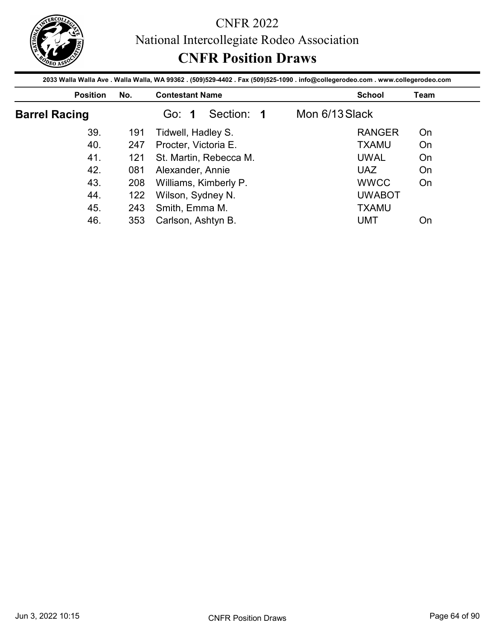

|                      |            | <b>CNFR Position Draws</b>                                                                                                                                |                |               |             |
|----------------------|------------|-----------------------------------------------------------------------------------------------------------------------------------------------------------|----------------|---------------|-------------|
| <b>Position</b>      | No.        | 2033 Walla Walla Ave . Walla Walla, WA 99362 . (509)529-4402 . Fax (509)525-1090 . info@collegerodeo.com . www.collegerodeo.com<br><b>Contestant Name</b> |                | <b>School</b> | <b>Team</b> |
| <b>Barrel Racing</b> |            | Section: 1<br>Go: 1                                                                                                                                       | Mon 6/13 Slack |               |             |
|                      |            |                                                                                                                                                           |                |               |             |
| 39.                  | 191        |                                                                                                                                                           |                | <b>RANGER</b> | On          |
| 40.                  | 247        | Tidwell, Hadley S.                                                                                                                                        |                | <b>TXAMU</b>  | On          |
| 41.                  | 121        | Procter, Victoria E.<br>St. Martin, Rebecca M.                                                                                                            |                | <b>UWAL</b>   | On          |
| 42.                  | 081        |                                                                                                                                                           |                | <b>UAZ</b>    | On          |
| 43.                  |            | Alexander, Annie                                                                                                                                          |                | <b>WWCC</b>   | On          |
| 44.                  | 208        | Williams, Kimberly P.                                                                                                                                     |                | <b>UWABOT</b> |             |
| 45.                  | 122<br>243 | Wilson, Sydney N.<br>Smith, Emma M.                                                                                                                       |                | <b>TXAMU</b>  |             |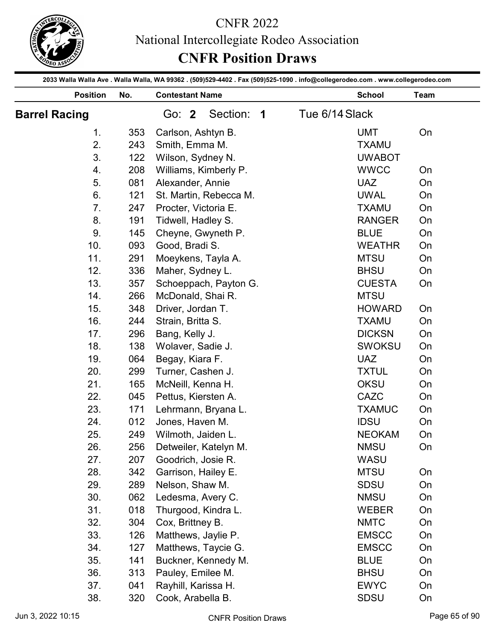

|                      |            | <b>CNFR 2022</b><br>National Intercollegiate Rodeo Association<br><b>CNFR Position Draws</b>                                    |                                |               |
|----------------------|------------|---------------------------------------------------------------------------------------------------------------------------------|--------------------------------|---------------|
|                      |            | 2033 Walla Walla Ave . Walla Walla, WA 99362 . (509)529-4402 . Fax (509)525-1090 . info@collegerodeo.com . www.collegerodeo.com |                                |               |
| <b>Position</b>      | No.        | <b>Contestant Name</b>                                                                                                          | <b>School</b>                  | Team          |
| <b>Barrel Racing</b> |            | Section:<br>Go: 2<br>$\overline{\mathbf{1}}$                                                                                    | Tue 6/14 Slack                 |               |
| 1.                   | 353        | Carlson, Ashtyn B.                                                                                                              | <b>UMT</b>                     | On            |
| 2.                   | 243        | Smith, Emma M.                                                                                                                  | <b>TXAMU</b>                   |               |
| 3.                   | 122        | Wilson, Sydney N.                                                                                                               | <b>UWABOT</b>                  |               |
| 4.                   | 208        | Williams, Kimberly P.                                                                                                           | <b>WWCC</b>                    | On            |
| 5.                   | 081        | Alexander, Annie                                                                                                                | <b>UAZ</b>                     | On            |
| 6.                   | 121        | St. Martin, Rebecca M.                                                                                                          | <b>UWAL</b>                    | On            |
| 7.                   | 247        | Procter, Victoria E.                                                                                                            | <b>TXAMU</b>                   | On            |
| 8.                   | 191        | Tidwell, Hadley S.                                                                                                              | <b>RANGER</b>                  | On            |
| 9.                   | 145        | Cheyne, Gwyneth P.                                                                                                              | <b>BLUE</b>                    | On            |
| 10.                  | 093        | Good, Bradi S.                                                                                                                  | <b>WEATHR</b>                  | On            |
| 11.                  | 291        | Moeykens, Tayla A.                                                                                                              | <b>MTSU</b>                    | On            |
| 12.                  | 336        | Maher, Sydney L.                                                                                                                | <b>BHSU</b>                    | On            |
| 13.                  | 357        | Schoeppach, Payton G.                                                                                                           | <b>CUESTA</b>                  | On            |
| 14.                  | 266        | McDonald, Shai R.                                                                                                               | <b>MTSU</b>                    |               |
| 15.                  | 348        | Driver, Jordan T.                                                                                                               | <b>HOWARD</b>                  | On            |
| 16.                  | 244        | Strain, Britta S.                                                                                                               | <b>TXAMU</b>                   | On            |
| 17.                  | 296<br>138 | Bang, Kelly J.                                                                                                                  | <b>DICKSN</b><br><b>SWOKSU</b> | On<br>On      |
| 18.                  |            | Wolaver, Sadie J.                                                                                                               |                                |               |
| 19.                  | 064<br>299 | Begay, Kiara F.                                                                                                                 | <b>UAZ</b><br><b>TXTUL</b>     | On<br>On      |
| 20.                  |            | Turner, Cashen J.                                                                                                               |                                |               |
| 21.<br>22.           | 165<br>045 | McNeill, Kenna H.<br>Pettus, Kiersten A.                                                                                        | <b>OKSU</b><br>CAZC            | On<br>On      |
| 23.                  | 171        | Lehrmann, Bryana L.                                                                                                             | <b>TXAMUC</b>                  | On            |
| 24.                  | 012        | Jones, Haven M.                                                                                                                 | <b>IDSU</b>                    | On            |
| 25.                  | 249        | Wilmoth, Jaiden L.                                                                                                              | <b>NEOKAM</b>                  | On            |
| 26.                  | 256        | Detweiler, Katelyn M.                                                                                                           | <b>NMSU</b>                    | On            |
| 27.                  | 207        | Goodrich, Josie R.                                                                                                              | WASU                           |               |
| 28.                  | 342        | Garrison, Hailey E.                                                                                                             | <b>MTSU</b>                    | On            |
| 29.                  | 289        | Nelson, Shaw M.                                                                                                                 | <b>SDSU</b>                    | On            |
| 30.                  | 062        | Ledesma, Avery C.                                                                                                               | <b>NMSU</b>                    | On            |
| 31.                  | 018        | Thurgood, Kindra L.                                                                                                             | <b>WEBER</b>                   | On            |
| 32.                  | 304        | Cox, Brittney B.                                                                                                                | <b>NMTC</b>                    | On            |
| 33.                  | 126        | Matthews, Jaylie P.                                                                                                             | <b>EMSCC</b>                   | On            |
| 34.                  | 127        | Matthews, Taycie G.                                                                                                             | <b>EMSCC</b>                   | On            |
| 35.                  | 141        | Buckner, Kennedy M.                                                                                                             | <b>BLUE</b>                    | On            |
| 36.                  | 313        | Pauley, Emilee M.                                                                                                               | <b>BHSU</b>                    | On            |
| 37.                  | 041        | Rayhill, Karissa H.                                                                                                             | <b>EWYC</b>                    | On            |
| 38.                  | 320        | Cook, Arabella B.                                                                                                               | <b>SDSU</b>                    | On            |
| Jun 3, 2022 10:15    |            | <b>CNFR Position Draws</b>                                                                                                      |                                | Page 65 of 90 |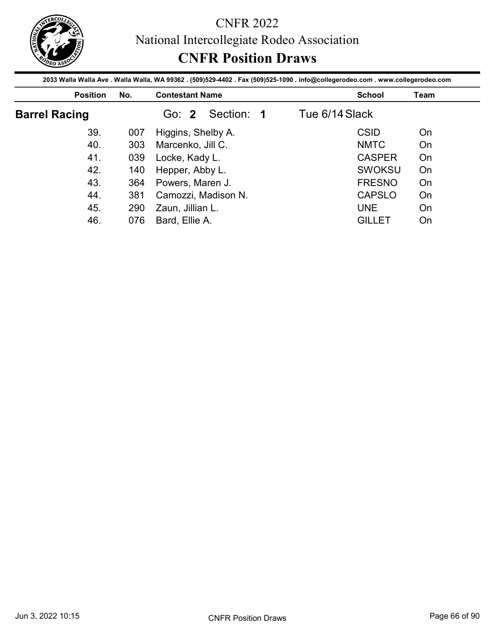

|                                                                                                                                                    |            |                        | <b>CNFR Position Draws</b> |                |               |             |
|----------------------------------------------------------------------------------------------------------------------------------------------------|------------|------------------------|----------------------------|----------------|---------------|-------------|
| 2033 Walla Walla Ave . Walla Walla, WA 99362 . (509)529-4402 . Fax (509)525-1090 . info@collegerodeo.com . www.collegerodeo.com<br><b>Position</b> | No.        | <b>Contestant Name</b> |                            |                | <b>School</b> | <b>Team</b> |
| <b>Barrel Racing</b>                                                                                                                               |            | Go: 2                  | Section: 1                 | Tue 6/14 Slack |               |             |
|                                                                                                                                                    | 007        | Higgins, Shelby A.     |                            |                | <b>CSID</b>   | On          |
| 39.                                                                                                                                                |            |                        |                            |                |               |             |
| 40.                                                                                                                                                | 303        |                        |                            |                | <b>NMTC</b>   | On          |
| 41.                                                                                                                                                |            | Marcenko, Jill C.      |                            |                | <b>CASPER</b> |             |
| 42.                                                                                                                                                | 039        | Locke, Kady L.         |                            |                | <b>SWOKSU</b> | On<br>On    |
| 43.                                                                                                                                                | 140        | Hepper, Abby L.        |                            |                | <b>FRESNO</b> | On          |
| 44.                                                                                                                                                | 364        | Powers, Maren J.       |                            |                | <b>CAPSLO</b> | On          |
| 45.                                                                                                                                                | 381<br>290 | Zaun, Jillian L.       | Camozzi, Madison N.        |                | <b>UNE</b>    | On          |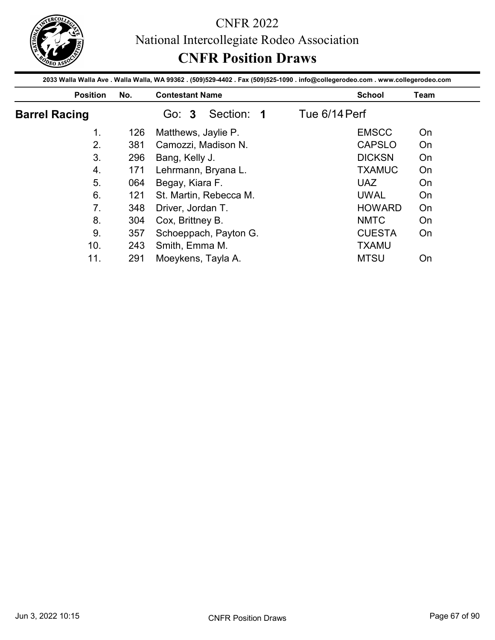

|                      |     | 2033 Walla Walla Ave . Walla Walla, WA 99362 . (509)529-4402 . Fax (509)525-1090 . info@collegerodeo.com . www.collegerodeo.com | <b>CNFR Position Draws</b> |      |
|----------------------|-----|---------------------------------------------------------------------------------------------------------------------------------|----------------------------|------|
| <b>Position</b>      | No. | <b>Contestant Name</b>                                                                                                          | <b>School</b>              | Team |
| <b>Barrel Racing</b> |     | Section: 1<br>Go: 3                                                                                                             | Tue 6/14 Perf              |      |
| 1 <sub>1</sub>       | 126 | Matthews, Jaylie P.                                                                                                             | <b>EMSCC</b>               | On   |
| 2.                   | 381 | Camozzi, Madison N.                                                                                                             | <b>CAPSLO</b>              | On   |
| 3.                   | 296 | Bang, Kelly J.                                                                                                                  | <b>DICKSN</b>              | On   |
| 4.                   | 171 | Lehrmann, Bryana L.                                                                                                             | <b>TXAMUC</b>              | On   |
|                      |     | Begay, Kiara F.                                                                                                                 | <b>UAZ</b>                 | On   |
| 5.                   | 064 |                                                                                                                                 |                            |      |
| 6.                   | 121 | St. Martin, Rebecca M.                                                                                                          | <b>UWAL</b>                | On   |
| 7.                   | 348 |                                                                                                                                 | <b>HOWARD</b>              | On   |
| 8.                   | 304 | Driver, Jordan T.                                                                                                               | <b>NMTC</b>                | On   |
| 9.                   | 357 | Cox, Brittney B.                                                                                                                | <b>CUESTA</b>              | On   |
| 10.                  |     | Schoeppach, Payton G.<br>243 Smith, Emma M.                                                                                     | <b>TXAMU</b>               |      |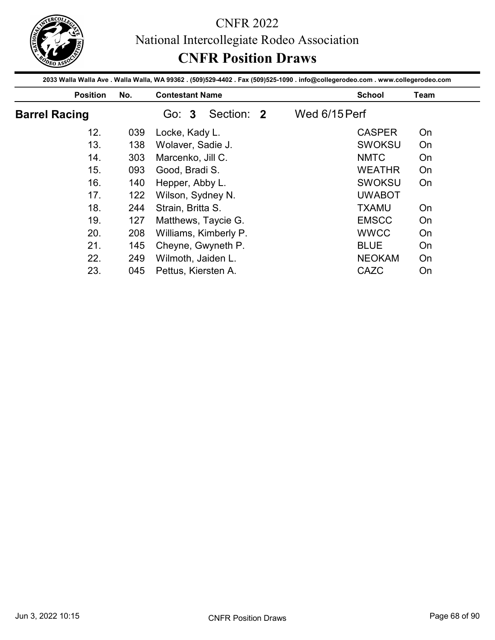

|                      |                 |     | 2033 Walla Walla Ave . Walla Walla, WA 99362 . (509)529-4402 . Fax (509)525-1090 . info@collegerodeo.com . www.collegerodeo.com | <b>CNFR Position Draws</b>   |          |
|----------------------|-----------------|-----|---------------------------------------------------------------------------------------------------------------------------------|------------------------------|----------|
|                      | <b>Position</b> | No. | <b>Contestant Name</b>                                                                                                          | <b>School</b>                | Team     |
| <b>Barrel Racing</b> |                 |     | Section: 2<br>Go: 3                                                                                                             | Wed 6/15 Perf                |          |
|                      | 12.             | 039 | Locke, Kady L.                                                                                                                  | <b>CASPER</b>                | On       |
|                      | 13.             | 138 | Wolaver, Sadie J.                                                                                                               | <b>SWOKSU</b>                | On       |
|                      | 14.             | 303 | Marcenko, Jill C.                                                                                                               | <b>NMTC</b>                  | On       |
|                      |                 | 093 | Good, Bradi S.                                                                                                                  | <b>WEATHR</b>                | On       |
|                      | 15.             |     |                                                                                                                                 |                              |          |
|                      | 16.             | 140 | Hepper, Abby L.                                                                                                                 | <b>SWOKSU</b>                | On       |
|                      | 17.             | 122 | Wilson, Sydney N.                                                                                                               | <b>UWABOT</b>                |          |
|                      | 18.             | 244 | Strain, Britta S.                                                                                                               | <b>TXAMU</b>                 | On       |
|                      | 19.             | 127 |                                                                                                                                 | <b>EMSCC</b>                 | On       |
|                      | 20.             | 208 | Matthews, Taycie G.                                                                                                             | <b>WWCC</b>                  | On       |
|                      |                 |     | Williams, Kimberly P.                                                                                                           |                              |          |
|                      | 21.<br>22.      | 249 | 145 Cheyne, Gwyneth P.<br>Wilmoth, Jaiden L.                                                                                    | <b>BLUE</b><br><b>NEOKAM</b> | On<br>On |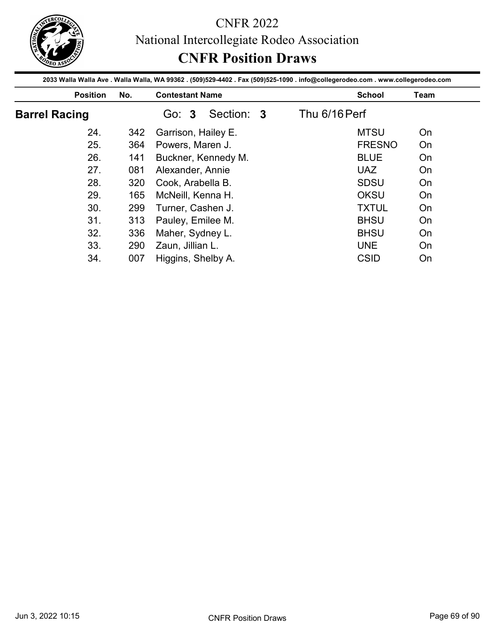

|                      |     | 2033 Walla Walla Ave . Walla Walla, WA 99362 . (509)529-4402 . Fax (509)525-1090 . info@collegerodeo.com . www.collegerodeo.com |               |               |      |
|----------------------|-----|---------------------------------------------------------------------------------------------------------------------------------|---------------|---------------|------|
| <b>Position</b>      | No. | <b>Contestant Name</b>                                                                                                          |               | <b>School</b> | Team |
| <b>Barrel Racing</b> |     | Section: 3<br>Go: 3                                                                                                             | Thu 6/16 Perf |               |      |
| 24.                  | 342 | Garrison, Hailey E.                                                                                                             |               | <b>MTSU</b>   | On   |
| 25.                  | 364 | Powers, Maren J.                                                                                                                |               | <b>FRESNO</b> | On   |
| 26.                  | 141 | Buckner, Kennedy M.                                                                                                             |               | <b>BLUE</b>   | On   |
|                      | 081 | Alexander, Annie                                                                                                                |               | <b>UAZ</b>    | On   |
| 27.                  |     |                                                                                                                                 |               |               | On   |
| 28.                  | 320 | Cook, Arabella B.                                                                                                               |               | <b>SDSU</b>   |      |
| 29.                  | 165 | McNeill, Kenna H.                                                                                                               |               | OKSU          | On   |
| 30.                  | 299 |                                                                                                                                 |               | <b>TXTUL</b>  | On   |
| 31.                  | 313 | Turner, Cashen J.                                                                                                               |               | <b>BHSU</b>   | On   |
| 32.                  | 336 | Pauley, Emilee M.                                                                                                               |               | <b>BHSU</b>   | On   |
| 33.                  | 290 | Maher, Sydney L.<br>Zaun, Jillian L.                                                                                            |               | <b>UNE</b>    | On   |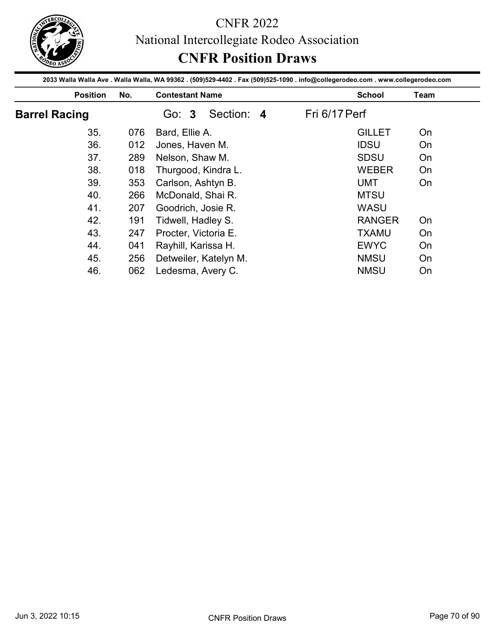

|                      |     | 2033 Walla Walla Ave . Walla Walla, WA 99362 . (509)529-4402 . Fax (509)525-1090 . info@collegerodeo.com . www.collegerodeo.com | <b>CNFR Position Draws</b> |          |
|----------------------|-----|---------------------------------------------------------------------------------------------------------------------------------|----------------------------|----------|
| <b>Position</b>      | No. | <b>Contestant Name</b>                                                                                                          | <b>School</b>              | Team     |
| <b>Barrel Racing</b> |     | Section: 4<br>Go: 3                                                                                                             | Fri 6/17 Perf              |          |
| 35.                  | 076 | Bard, Ellie A.                                                                                                                  | <b>GILLET</b>              | On       |
| 36.                  | 012 | Jones, Haven M.                                                                                                                 | <b>IDSU</b>                | On       |
| 37.                  | 289 | Nelson, Shaw M.                                                                                                                 | <b>SDSU</b>                | On       |
| 38.                  | 018 | Thurgood, Kindra L.                                                                                                             | <b>WEBER</b>               | On       |
|                      |     | Carlson, Ashtyn B.                                                                                                              | <b>UMT</b>                 | On       |
| 39.                  | 353 |                                                                                                                                 |                            |          |
| 40.                  | 266 | McDonald, Shai R.                                                                                                               | <b>MTSU</b>                |          |
| 41.                  | 207 | Goodrich, Josie R.                                                                                                              | <b>WASU</b>                |          |
| 42.                  | 191 | Tidwell, Hadley S.                                                                                                              | <b>RANGER</b>              | On       |
| 43.                  | 247 | Procter, Victoria E.                                                                                                            | <b>TXAMU</b>               | On       |
|                      |     |                                                                                                                                 |                            |          |
| 44.<br>45.           | 256 | 041 Rayhill, Karissa H.<br>Detweiler, Katelyn M.                                                                                | <b>EWYC</b><br><b>NMSU</b> | On<br>On |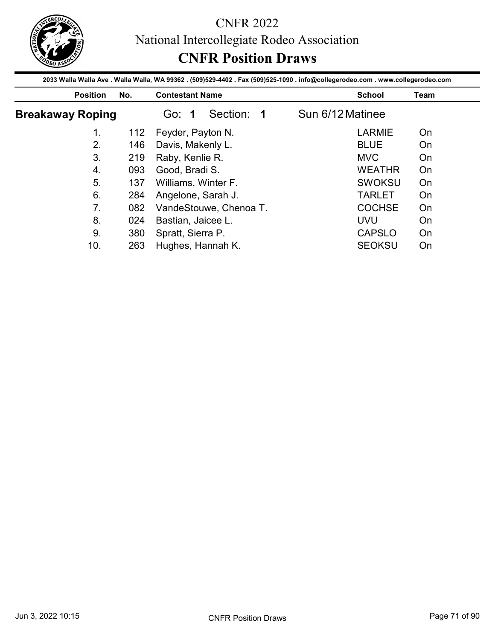

|                         |            | <b>CNFR Position Draws</b><br>2033 Walla Walla Ave . Walla Walla, WA 99362 . (509)529-4402 . Fax (509)525-1090 . info@collegerodeo.com . www.collegerodeo.com |                  |                                |             |
|-------------------------|------------|---------------------------------------------------------------------------------------------------------------------------------------------------------------|------------------|--------------------------------|-------------|
| <b>Position</b>         | No.        | <b>Contestant Name</b>                                                                                                                                        |                  | <b>School</b>                  | <b>Team</b> |
| <b>Breakaway Roping</b> |            | Section: 1<br>Go: 1                                                                                                                                           | Sun 6/12 Matinee |                                |             |
| 1.                      | 112        | Feyder, Payton N.                                                                                                                                             |                  | <b>LARMIE</b>                  | On          |
| 2.                      | 146        | Davis, Makenly L.                                                                                                                                             |                  | <b>BLUE</b>                    | On          |
|                         | 219        | Raby, Kenlie R.                                                                                                                                               |                  | <b>MVC</b>                     | On          |
| 3 <sub>1</sub>          |            |                                                                                                                                                               |                  |                                |             |
|                         |            |                                                                                                                                                               |                  |                                |             |
| $\overline{4}$ .<br>5.  | 093<br>137 | Good, Bradi S.                                                                                                                                                |                  | <b>WEATHR</b><br><b>SWOKSU</b> | On<br>On    |
| 6.                      |            | Williams, Winter F.                                                                                                                                           |                  |                                | On          |
| 7 <sub>1</sub>          | 284        | Angelone, Sarah J.                                                                                                                                            |                  | <b>TARLET</b>                  |             |
| 8.                      | 082        | VandeStouwe, Chenoa T.                                                                                                                                        |                  | <b>COCHSE</b>                  | On          |
| 9.                      | 024<br>380 | Bastian, Jaicee L.<br>Spratt, Sierra P.                                                                                                                       |                  | <b>UVU</b><br><b>CAPSLO</b>    | On<br>On    |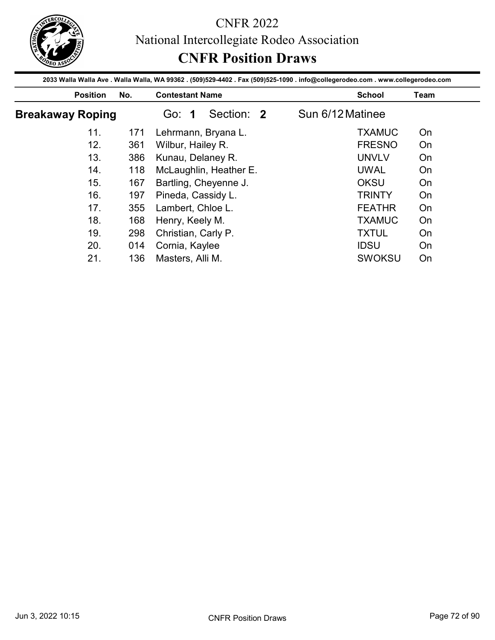

|                         |     | 2033 Walla Walla Ave . Walla Walla, WA 99362 . (509)529-4402 . Fax (509)525-1090 . info@collegerodeo.com . www.collegerodeo.com |                  |      |
|-------------------------|-----|---------------------------------------------------------------------------------------------------------------------------------|------------------|------|
| <b>Position</b>         | No. | <b>Contestant Name</b>                                                                                                          | <b>School</b>    | Team |
| <b>Breakaway Roping</b> |     | Section: 2<br>Go: 1                                                                                                             | Sun 6/12 Matinee |      |
| 11.                     | 171 | Lehrmann, Bryana L.                                                                                                             | <b>TXAMUC</b>    | On   |
| 12.                     | 361 | Wilbur, Hailey R.                                                                                                               | <b>FRESNO</b>    | On   |
| 13.                     | 386 | Kunau, Delaney R.                                                                                                               | <b>UNVLV</b>     | On   |
|                         | 118 | McLaughlin, Heather E.                                                                                                          | <b>UWAL</b>      | On   |
| 14.                     |     |                                                                                                                                 |                  |      |
| 15.                     | 167 |                                                                                                                                 | <b>OKSU</b>      | On   |
| 16.                     | 197 | Bartling, Cheyenne J.<br>Pineda, Cassidy L.                                                                                     | <b>TRINTY</b>    | On   |
| 17.                     | 355 |                                                                                                                                 | <b>FEATHR</b>    | On   |
| 18.                     | 168 | Lambert, Chloe L.                                                                                                               | <b>TXAMUC</b>    | On   |
| 19.                     | 298 | Henry, Keely M.                                                                                                                 | <b>TXTUL</b>     | On   |
| 20.                     |     | Christian, Carly P.<br>014 Cornia, Kaylee                                                                                       | <b>IDSU</b>      | On   |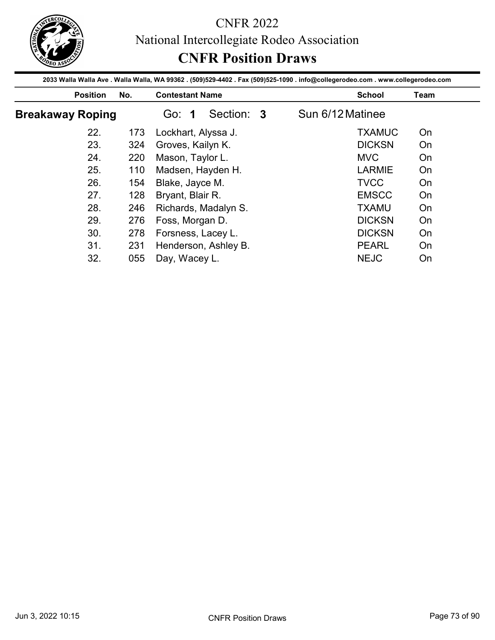

|                         |     | 2033 Walla Walla Ave . Walla Walla, WA 99362 . (509)529-4402 . Fax (509)525-1090 . info@collegerodeo.com . www.collegerodeo.com |                  |                       |
|-------------------------|-----|---------------------------------------------------------------------------------------------------------------------------------|------------------|-----------------------|
| <b>Position</b>         | No. | <b>Contestant Name</b>                                                                                                          |                  | <b>School</b><br>Team |
| <b>Breakaway Roping</b> |     | Section: 3<br>Go: 1                                                                                                             | Sun 6/12 Matinee |                       |
| 22.                     | 173 | Lockhart, Alyssa J.                                                                                                             |                  | <b>TXAMUC</b><br>On   |
| 23.                     | 324 | Groves, Kailyn K.                                                                                                               |                  | <b>DICKSN</b><br>On   |
| 24.                     | 220 | Mason, Taylor L.                                                                                                                |                  | <b>MVC</b><br>On      |
|                         | 110 | Madsen, Hayden H.                                                                                                               |                  | <b>LARMIE</b><br>On   |
| 25.                     |     |                                                                                                                                 |                  |                       |
| 26.                     | 154 | Blake, Jayce M.                                                                                                                 |                  | <b>TVCC</b><br>On     |
| 27.                     | 128 |                                                                                                                                 |                  | <b>EMSCC</b><br>On    |
| 28.                     | 246 | Bryant, Blair R.                                                                                                                |                  | <b>TXAMU</b><br>On    |
| 29.                     | 276 | Richards, Madalyn S.                                                                                                            |                  | <b>DICKSN</b><br>On   |
| 30.                     | 278 | Foss, Morgan D.                                                                                                                 |                  | <b>DICKSN</b><br>On   |
| 31.                     |     | Forsness, Lacey L.<br>231 Henderson, Ashley B.                                                                                  |                  | <b>PEARL</b><br>On    |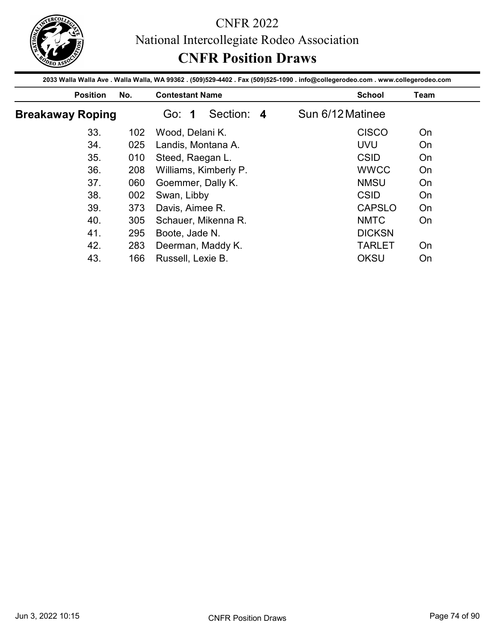

|                         |     | 2033 Walla Walla Ave . Walla Walla, WA 99362 . (509)529-4402 . Fax (509)525-1090 . info@collegerodeo.com . www.collegerodeo.com |                  |                                      |
|-------------------------|-----|---------------------------------------------------------------------------------------------------------------------------------|------------------|--------------------------------------|
| <b>Position</b>         | No. | <b>Contestant Name</b>                                                                                                          |                  | <b>School</b><br>Team                |
| <b>Breakaway Roping</b> |     | Section: 4<br>Go: 1                                                                                                             | Sun 6/12 Matinee |                                      |
| 33.                     | 102 | Wood, Delani K.                                                                                                                 |                  | <b>CISCO</b><br>On                   |
| 34.                     | 025 | Landis, Montana A.                                                                                                              |                  | <b>UVU</b><br>On                     |
| 35.                     | 010 | Steed, Raegan L.                                                                                                                |                  | <b>CSID</b><br>On                    |
|                         |     |                                                                                                                                 |                  |                                      |
| 36.                     | 208 |                                                                                                                                 |                  | <b>WWCC</b><br>On                    |
| 37.                     | 060 | Williams, Kimberly P.                                                                                                           |                  | <b>NMSU</b><br>On                    |
|                         |     | Goemmer, Dally K.                                                                                                               |                  | <b>CSID</b><br>On                    |
| 38.<br>39.              | 002 | Swan, Libby                                                                                                                     |                  | <b>CAPSLO</b><br>On                  |
|                         | 373 | Davis, Aimee R.                                                                                                                 |                  |                                      |
| 40.                     | 305 | Schauer, Mikenna R.                                                                                                             |                  | <b>NMTC</b><br>On                    |
| 41.<br>42.              | 295 | Boote, Jade N.<br>283 Deerman, Maddy K.                                                                                         |                  | <b>DICKSN</b><br><b>TARLET</b><br>On |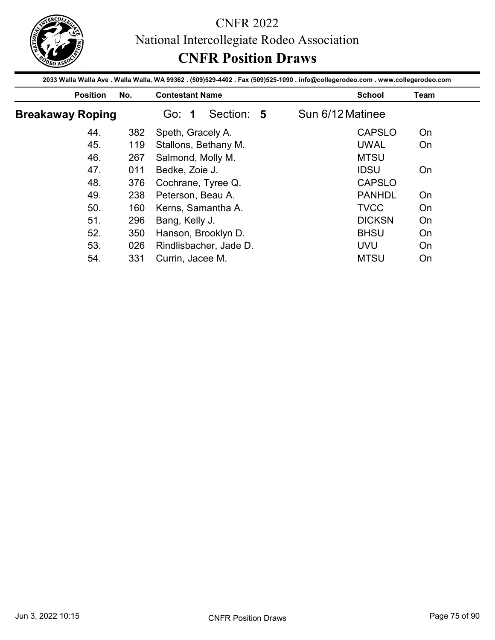

|                         |     | 2033 Walla Walla Ave . Walla Walla, WA 99362 . (509)529-4402 . Fax (509)525-1090 . info@collegerodeo.com . www.collegerodeo.com |                  |               |
|-------------------------|-----|---------------------------------------------------------------------------------------------------------------------------------|------------------|---------------|
| <b>Position</b>         | No. | <b>Contestant Name</b>                                                                                                          | <b>School</b>    | Team          |
| <b>Breakaway Roping</b> |     | Section: 5<br>Go: 1                                                                                                             | Sun 6/12 Matinee |               |
| 44.                     | 382 | Speth, Gracely A.                                                                                                               | <b>CAPSLO</b>    | On            |
| 45.                     | 119 | Stallons, Bethany M.                                                                                                            | <b>UWAL</b>      | On            |
| 46.                     | 267 | Salmond, Molly M.                                                                                                               | <b>MTSU</b>      |               |
|                         | 011 | Bedke, Zoie J.                                                                                                                  | <b>IDSU</b>      | On            |
| 47.                     |     |                                                                                                                                 |                  |               |
| 48.                     | 376 | Cochrane, Tyree Q.                                                                                                              |                  | <b>CAPSLO</b> |
| 49.                     | 238 | Peterson, Beau A.                                                                                                               | <b>PANHDL</b>    | On            |
| 50.                     | 160 | Kerns, Samantha A.                                                                                                              | <b>TVCC</b>      | On            |
| 51.                     | 296 |                                                                                                                                 | <b>DICKSN</b>    | On            |
| 52.                     | 350 | Bang, Kelly J.                                                                                                                  | <b>BHSU</b>      | On            |
| 53.                     |     | Hanson, Brooklyn D.<br>026 Rindlisbacher, Jade D.                                                                               | UVU              | On            |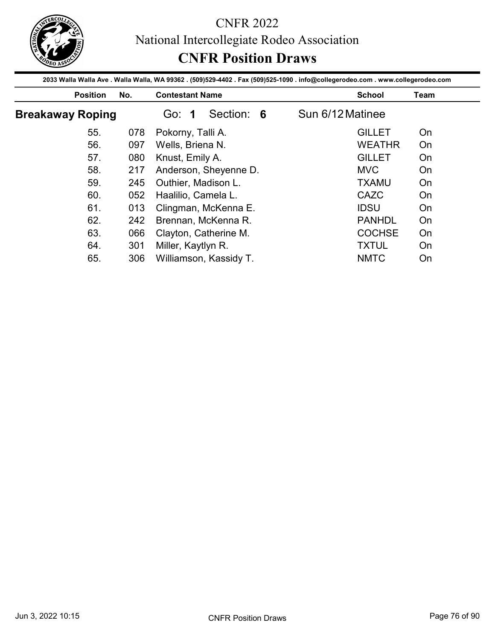

|                         |     | 2033 Walla Walla Ave . Walla Walla, WA 99362 . (509)529-4402 . Fax (509)525-1090 . info@collegerodeo.com . www.collegerodeo.com |                  |      |
|-------------------------|-----|---------------------------------------------------------------------------------------------------------------------------------|------------------|------|
| <b>Position</b>         | No. | <b>Contestant Name</b>                                                                                                          | <b>School</b>    | Team |
| <b>Breakaway Roping</b> |     | Section: 6<br>Go: 1                                                                                                             | Sun 6/12 Matinee |      |
| 55.                     | 078 | Pokorny, Talli A.                                                                                                               | <b>GILLET</b>    | On   |
| 56.                     | 097 | Wells, Briena N.                                                                                                                | <b>WEATHR</b>    | On   |
| 57.                     | 080 | Knust, Emily A.                                                                                                                 | <b>GILLET</b>    | On   |
|                         | 217 | Anderson, Sheyenne D.                                                                                                           | <b>MVC</b>       | On   |
| 58.                     |     |                                                                                                                                 |                  |      |
| 59.                     | 245 | Outhier, Madison L.                                                                                                             | <b>TXAMU</b>     | On   |
| 60.                     | 052 | Haalilio, Camela L.                                                                                                             | CAZC             | On   |
| 61.                     | 013 | Clingman, McKenna E.                                                                                                            | <b>IDSU</b>      | On   |
| 62.                     | 242 | Brennan, McKenna R.                                                                                                             | <b>PANHDL</b>    | On   |
| 63.                     | 066 |                                                                                                                                 | <b>COCHSE</b>    | On   |
| 64.                     |     | Clayton, Catherine M.<br>301 Miller, Kaytlyn R.                                                                                 | <b>TXTUL</b>     | On   |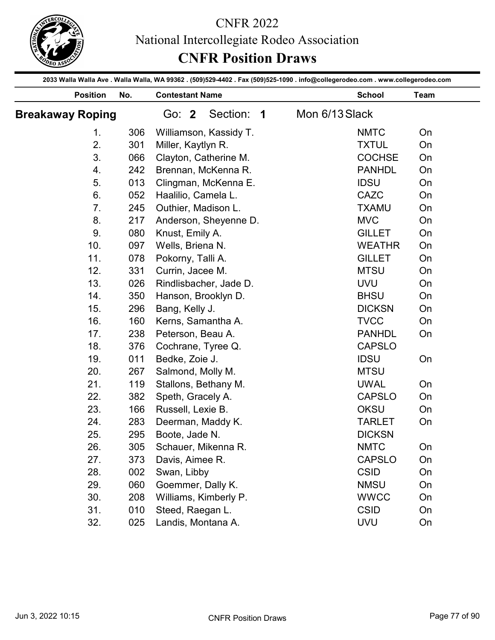

|                         |                 |     | National Intercollegiate Rodeo Association<br><b>CNFR Position Draws</b>                                                        |                |          |
|-------------------------|-----------------|-----|---------------------------------------------------------------------------------------------------------------------------------|----------------|----------|
|                         |                 |     | 2033 Walla Walla Ave . Walla Walla, WA 99362 . (509)529-4402 . Fax (509)525-1090 . info@collegerodeo.com . www.collegerodeo.com |                |          |
|                         | <b>Position</b> | No. | <b>Contestant Name</b>                                                                                                          | <b>School</b>  | Team     |
| <b>Breakaway Roping</b> |                 |     | Section:<br>Go: 2<br>$\overline{\mathbf{1}}$                                                                                    | Mon 6/13 Slack |          |
|                         | 1.              | 306 | Williamson, Kassidy T.                                                                                                          | <b>NMTC</b>    | On       |
|                         | 2.              | 301 | Miller, Kaytlyn R.                                                                                                              | <b>TXTUL</b>   | On       |
|                         | 3.              | 066 | Clayton, Catherine M.                                                                                                           | <b>COCHSE</b>  | On       |
|                         | 4.              | 242 | Brennan, McKenna R.                                                                                                             | <b>PANHDL</b>  | On       |
|                         | 5.              | 013 | Clingman, McKenna E.                                                                                                            | <b>IDSU</b>    | On       |
|                         | 6.              | 052 | Haalilio, Camela L.                                                                                                             | CAZC           | On       |
|                         | 7.              | 245 | Outhier, Madison L.                                                                                                             | <b>TXAMU</b>   | On       |
|                         | 8.              | 217 | Anderson, Sheyenne D.                                                                                                           | <b>MVC</b>     | On       |
|                         | 9.              | 080 |                                                                                                                                 | <b>GILLET</b>  | On       |
|                         | 10.             | 097 | Knust, Emily A.<br>Wells, Briena N.                                                                                             | <b>WEATHR</b>  |          |
|                         | 11.             | 078 |                                                                                                                                 | <b>GILLET</b>  | On<br>On |
|                         |                 |     | Pokorny, Talli A.                                                                                                               |                |          |
|                         | 12.             | 331 | Currin, Jacee M.                                                                                                                | <b>MTSU</b>    | On       |
|                         | 13.             | 026 | Rindlisbacher, Jade D.                                                                                                          | <b>UVU</b>     | On       |
|                         | 14.             | 350 | Hanson, Brooklyn D.                                                                                                             | <b>BHSU</b>    | On       |
|                         | 15.             | 296 | Bang, Kelly J.                                                                                                                  | <b>DICKSN</b>  | On       |
|                         | 16.             | 160 | Kerns, Samantha A.                                                                                                              | <b>TVCC</b>    | On       |
|                         | 17.             | 238 | Peterson, Beau A.                                                                                                               | <b>PANHDL</b>  | On       |
|                         | 18.             | 376 | Cochrane, Tyree Q.                                                                                                              | <b>CAPSLO</b>  |          |
|                         | 19.             | 011 | Bedke, Zoie J.                                                                                                                  | <b>IDSU</b>    | On       |
|                         | 20.             | 267 | Salmond, Molly M.                                                                                                               | <b>MTSU</b>    |          |
|                         | 21.             | 119 | Stallons, Bethany M.                                                                                                            | <b>UWAL</b>    | On       |
|                         | 22.             | 382 | Speth, Gracely A.                                                                                                               | <b>CAPSLO</b>  | On       |
|                         | 23.             | 166 | Russell, Lexie B.                                                                                                               | <b>OKSU</b>    | On       |
|                         | 24.             | 283 | Deerman, Maddy K.                                                                                                               | <b>TARLET</b>  | On       |
|                         | 25.             | 295 | Boote, Jade N.                                                                                                                  | <b>DICKSN</b>  |          |
|                         | 26.             | 305 | Schauer, Mikenna R.                                                                                                             | <b>NMTC</b>    | On       |
|                         | 27.             | 373 | Davis, Aimee R.                                                                                                                 | <b>CAPSLO</b>  | On       |
|                         | 28.             | 002 | Swan, Libby                                                                                                                     | <b>CSID</b>    | On       |
|                         | 29.             | 060 | Goemmer, Dally K.                                                                                                               | <b>NMSU</b>    | On       |
|                         | 30.             | 208 | Williams, Kimberly P.                                                                                                           | <b>WWCC</b>    | On       |
|                         | 31.             | 010 | Steed, Raegan L.                                                                                                                | <b>CSID</b>    | On       |
|                         | 32.             | 025 | Landis, Montana A.                                                                                                              | <b>UVU</b>     | On       |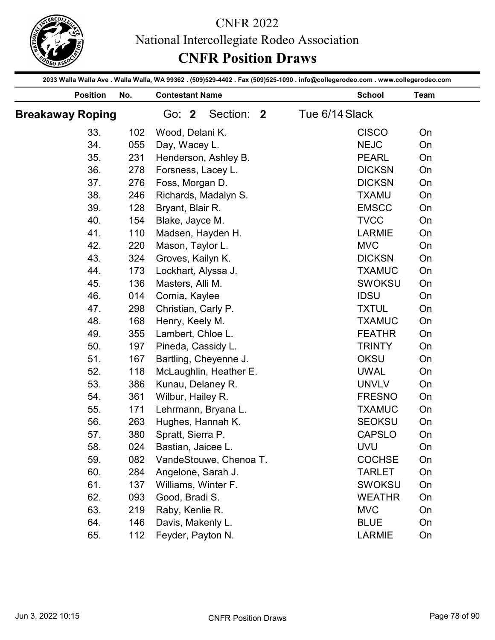

|                                                                                                                                 |     |                                        | <b>CNFR Position Draws</b> | National Intercollegiate Rodeo Association |               |          |
|---------------------------------------------------------------------------------------------------------------------------------|-----|----------------------------------------|----------------------------|--------------------------------------------|---------------|----------|
| 2033 Walla Walla Ave . Walla Walla, WA 99362 . (509)529-4402 . Fax (509)525-1090 . info@collegerodeo.com . www.collegerodeo.com |     |                                        |                            |                                            |               |          |
| <b>Position</b>                                                                                                                 | No. | <b>Contestant Name</b>                 |                            |                                            | <b>School</b> | Team     |
| <b>Breakaway Roping</b>                                                                                                         |     | Go: 2                                  | Section: 2                 | Tue 6/14 Slack                             |               |          |
| 33.                                                                                                                             | 102 | Wood, Delani K.                        |                            |                                            | <b>CISCO</b>  | On       |
| 34.                                                                                                                             | 055 | Day, Wacey L.                          |                            |                                            | <b>NEJC</b>   | On       |
| 35.                                                                                                                             | 231 | Henderson, Ashley B.                   |                            |                                            | <b>PEARL</b>  | On       |
| 36.                                                                                                                             | 278 | Forsness, Lacey L.                     |                            |                                            | <b>DICKSN</b> | On       |
| 37.                                                                                                                             | 276 | Foss, Morgan D.                        |                            |                                            | <b>DICKSN</b> | On       |
| 38.                                                                                                                             | 246 |                                        |                            |                                            | <b>TXAMU</b>  | On       |
| 39.                                                                                                                             |     | Richards, Madalyn S.                   |                            |                                            | <b>EMSCC</b>  |          |
|                                                                                                                                 | 128 | Bryant, Blair R.                       |                            |                                            |               | On       |
| 40.                                                                                                                             | 154 | Blake, Jayce M.                        |                            |                                            | <b>TVCC</b>   | On       |
| 41.                                                                                                                             | 110 | Madsen, Hayden H.                      |                            |                                            | <b>LARMIE</b> | On       |
| 42.                                                                                                                             | 220 | Mason, Taylor L.                       |                            |                                            | <b>MVC</b>    | On       |
| 43.                                                                                                                             | 324 | Groves, Kailyn K.                      |                            |                                            | <b>DICKSN</b> | On       |
| 44.                                                                                                                             | 173 | Lockhart, Alyssa J.                    |                            |                                            | <b>TXAMUC</b> | On       |
| 45.                                                                                                                             | 136 | Masters, Alli M.                       |                            |                                            | <b>SWOKSU</b> | On       |
| 46.                                                                                                                             | 014 | Cornia, Kaylee                         |                            |                                            | <b>IDSU</b>   | On       |
| 47.                                                                                                                             | 298 | Christian, Carly P.                    |                            |                                            | <b>TXTUL</b>  | On       |
| 48.                                                                                                                             | 168 | Henry, Keely M.                        |                            |                                            | <b>TXAMUC</b> | On       |
| 49.                                                                                                                             | 355 | Lambert, Chloe L.                      |                            |                                            | <b>FEATHR</b> | On       |
| 50.                                                                                                                             | 197 | Pineda, Cassidy L.                     |                            |                                            | <b>TRINTY</b> | On       |
| 51.                                                                                                                             | 167 | Bartling, Cheyenne J.                  |                            |                                            | <b>OKSU</b>   | On       |
| 52.                                                                                                                             | 118 |                                        | McLaughlin, Heather E.     |                                            | <b>UWAL</b>   | On       |
| 53.                                                                                                                             | 386 | Kunau, Delaney R.                      |                            |                                            | <b>UNVLV</b>  | On       |
| 54.                                                                                                                             | 361 | Wilbur, Hailey R.                      |                            |                                            | <b>FRESNO</b> | On       |
| 55.                                                                                                                             | 171 | Lehrmann, Bryana L.                    |                            |                                            | <b>TXAMUC</b> | On       |
| 56.                                                                                                                             | 263 | Hughes, Hannah K.                      |                            |                                            | <b>SEOKSU</b> | On       |
| 57.                                                                                                                             | 380 | Spratt, Sierra P.                      |                            |                                            | <b>CAPSLO</b> | On       |
| 58.                                                                                                                             | 024 | Bastian, Jaicee L.                     |                            |                                            | <b>UVU</b>    | On       |
| 59.                                                                                                                             | 082 |                                        | VandeStouwe, Chenoa T.     |                                            | <b>COCHSE</b> | On       |
| 60.                                                                                                                             | 284 | Angelone, Sarah J.                     |                            |                                            | <b>TARLET</b> | On       |
| 61.                                                                                                                             | 137 | Williams, Winter F.                    |                            |                                            | <b>SWOKSU</b> | On       |
| 62.                                                                                                                             | 093 | Good, Bradi S.                         |                            |                                            | <b>WEATHR</b> | On       |
| 63.                                                                                                                             | 219 | Raby, Kenlie R.                        |                            |                                            | <b>MVC</b>    | On       |
|                                                                                                                                 |     |                                        |                            |                                            |               |          |
| 64.<br>65.                                                                                                                      | 146 | Davis, Makenly L.<br>Feyder, Payton N. |                            |                                            | <b>BLUE</b>   | On<br>On |
|                                                                                                                                 | 112 |                                        |                            |                                            | LARMIE        |          |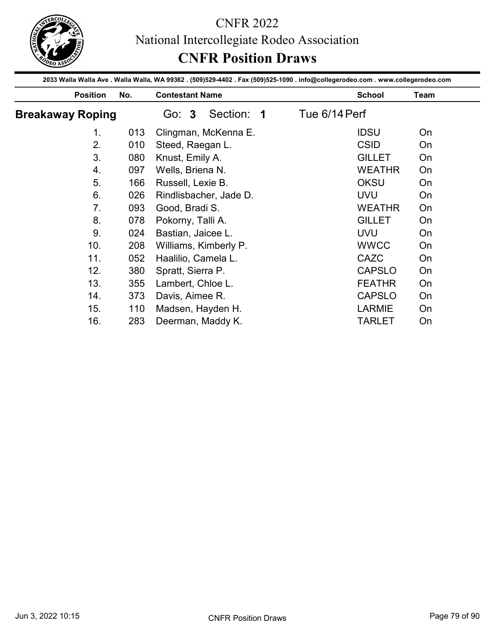

|                         |            |                                      | 2033 Walla Walla Ave . Walla Walla, WA 99362 . (509)529-4402 . Fax (509)525-1090 . info@collegerodeo.com . www.collegerodeo.com |          |
|-------------------------|------------|--------------------------------------|---------------------------------------------------------------------------------------------------------------------------------|----------|
| <b>Position</b>         | No.        | <b>Contestant Name</b>               | <b>School</b>                                                                                                                   | Team     |
| <b>Breakaway Roping</b> |            | Section: 1<br>Go: 3                  | Tue 6/14 Perf                                                                                                                   |          |
| 1.                      | 013        | Clingman, McKenna E.                 | <b>IDSU</b>                                                                                                                     | On       |
| 2.                      | 010        | Steed, Raegan L.                     | <b>CSID</b>                                                                                                                     | On       |
| 3.                      | 080        | Knust, Emily A.                      | <b>GILLET</b>                                                                                                                   | On       |
| 4.                      | 097        | Wells, Briena N.                     | <b>WEATHR</b>                                                                                                                   | On       |
| 5.                      | 166        | Russell, Lexie B.                    | <b>OKSU</b>                                                                                                                     | On       |
| 6.                      | 026        | Rindlisbacher, Jade D.               | <b>UVU</b>                                                                                                                      | On       |
| 7.                      | 093        | Good, Bradi S.                       | <b>WEATHR</b>                                                                                                                   | On       |
| 8.                      | 078        | Pokorny, Talli A.                    | <b>GILLET</b>                                                                                                                   | On       |
| 9.                      | 024        | Bastian, Jaicee L.                   | <b>UVU</b>                                                                                                                      | On       |
| 10.                     | 208        | Williams, Kimberly P.                | <b>WWCC</b>                                                                                                                     | On       |
|                         |            | Haalilio, Camela L.                  | CAZC                                                                                                                            | On       |
|                         | 052        |                                      |                                                                                                                                 |          |
| 11.                     | 380        |                                      |                                                                                                                                 |          |
| 12.                     |            | Spratt, Sierra P.                    | CAPSLO                                                                                                                          | On       |
| 13.                     | 355        | Lambert, Chloe L.                    | <b>FEATHR</b>                                                                                                                   | On       |
| 14.<br>15.              | 373<br>110 | Davis, Aimee R.<br>Madsen, Hayden H. | <b>CAPSLO</b><br>LARMIE                                                                                                         | On<br>On |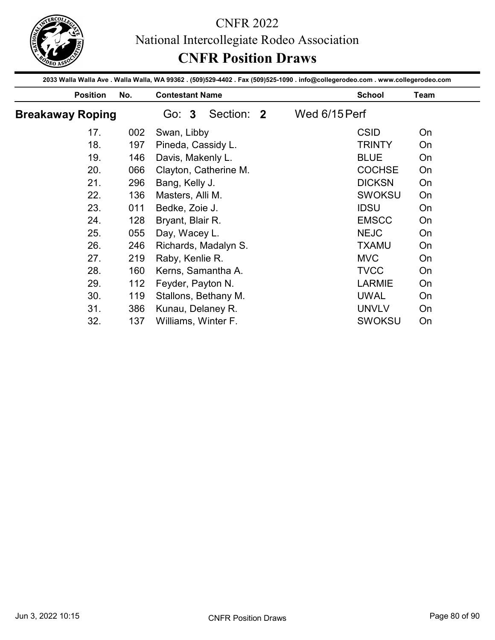

| <b>Position</b>         | No.        | <b>Contestant Name</b>                    | 2033 Walla Walla Ave . Walla Walla, WA 99362 . (509)529-4402 . Fax (509)525-1090 . info@collegerodeo.com . www.collegerodeo.com | <b>School</b>               | Team     |
|-------------------------|------------|-------------------------------------------|---------------------------------------------------------------------------------------------------------------------------------|-----------------------------|----------|
| <b>Breakaway Roping</b> |            | Section: 2<br>Go: 3                       | Wed 6/15 Perf                                                                                                                   |                             |          |
| 17.                     | 002        | Swan, Libby                               |                                                                                                                                 | <b>CSID</b>                 | On       |
| 18.                     | 197        | Pineda, Cassidy L.                        |                                                                                                                                 | <b>TRINTY</b>               | On       |
| 19.                     | 146        | Davis, Makenly L.                         |                                                                                                                                 | <b>BLUE</b>                 | On       |
| 20.                     | 066        | Clayton, Catherine M.                     |                                                                                                                                 | <b>COCHSE</b>               | On       |
| 21.                     | 296        | Bang, Kelly J.                            |                                                                                                                                 | <b>DICKSN</b>               | On       |
| 22.                     | 136        | Masters, Alli M.                          |                                                                                                                                 | <b>SWOKSU</b>               | On       |
| 23.                     | 011        | Bedke, Zoie J.                            |                                                                                                                                 | <b>IDSU</b>                 | On       |
| 24.                     | 128        | Bryant, Blair R.                          |                                                                                                                                 | <b>EMSCC</b>                | On       |
|                         | 055        | Day, Wacey L.                             |                                                                                                                                 | <b>NEJC</b>                 | On       |
| 25.                     |            |                                           |                                                                                                                                 | <b>TXAMU</b>                | On       |
|                         |            |                                           |                                                                                                                                 |                             |          |
| 26.                     | 246        | Richards, Madalyn S.                      |                                                                                                                                 |                             |          |
| 27.                     | 219        | Raby, Kenlie R.                           |                                                                                                                                 | <b>MVC</b>                  | On       |
| 28.                     | 160        | Kerns, Samantha A.                        |                                                                                                                                 | <b>TVCC</b>                 | On       |
| 29.                     | 112        | Feyder, Payton N.                         |                                                                                                                                 | <b>LARMIE</b>               | On       |
| 30.<br>31.              | 119<br>386 | Stallons, Bethany M.<br>Kunau, Delaney R. |                                                                                                                                 | <b>UWAL</b><br><b>UNVLV</b> | On<br>On |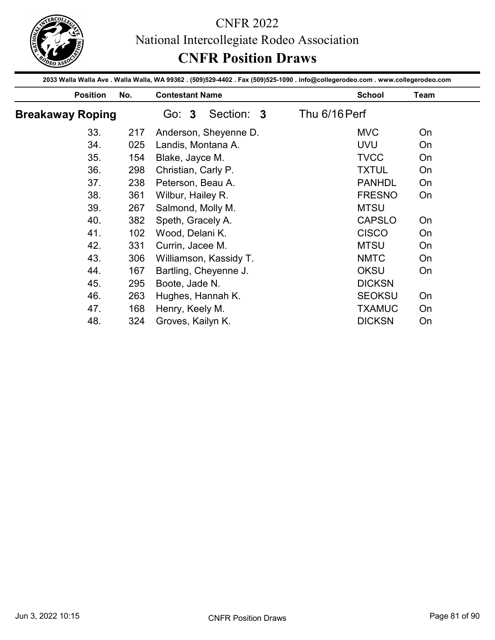

| <b>Position</b>         |     |                        |                                                                                                                                                  |      |
|-------------------------|-----|------------------------|--------------------------------------------------------------------------------------------------------------------------------------------------|------|
|                         | No. | <b>Contestant Name</b> | 2033 Walla Walla Ave . Walla Walla, WA 99362 . (509)529-4402 . Fax (509)525-1090 . info@collegerodeo.com . www.collegerodeo.com<br><b>School</b> | Team |
| <b>Breakaway Roping</b> |     | Section: 3<br>Go: 3    | Thu 6/16 Perf                                                                                                                                    |      |
| 33.                     | 217 | Anderson, Sheyenne D.  | <b>MVC</b>                                                                                                                                       | On   |
| 34.                     | 025 | Landis, Montana A.     | <b>UVU</b>                                                                                                                                       | On   |
| 35.                     | 154 | Blake, Jayce M.        | <b>TVCC</b>                                                                                                                                      | On   |
| 36.                     | 298 | Christian, Carly P.    | <b>TXTUL</b>                                                                                                                                     | On   |
| 37.                     | 238 | Peterson, Beau A.      | <b>PANHDL</b>                                                                                                                                    | On   |
| 38.                     | 361 | Wilbur, Hailey R.      | <b>FRESNO</b>                                                                                                                                    | On   |
| 39.                     | 267 | Salmond, Molly M.      | <b>MTSU</b>                                                                                                                                      |      |
| 40.                     | 382 | Speth, Gracely A.      | <b>CAPSLO</b>                                                                                                                                    | On   |
| 41.                     | 102 | Wood, Delani K.        | <b>CISCO</b>                                                                                                                                     | On   |
| 42.                     | 331 | Currin, Jacee M.       | <b>MTSU</b>                                                                                                                                      | On   |
| 43.                     | 306 | Williamson, Kassidy T. | <b>NMTC</b>                                                                                                                                      | On   |
| 44.                     | 167 | Bartling, Cheyenne J.  | OKSU                                                                                                                                             | On   |
| 45.                     | 295 | Boote, Jade N.         | <b>DICKSN</b>                                                                                                                                    |      |
|                         | 263 | Hughes, Hannah K.      | <b>SEOKSU</b>                                                                                                                                    | On   |
|                         |     | Henry, Keely M.        | <b>TXAMUC</b>                                                                                                                                    | On   |
| 46.<br>47.              | 168 |                        |                                                                                                                                                  | On   |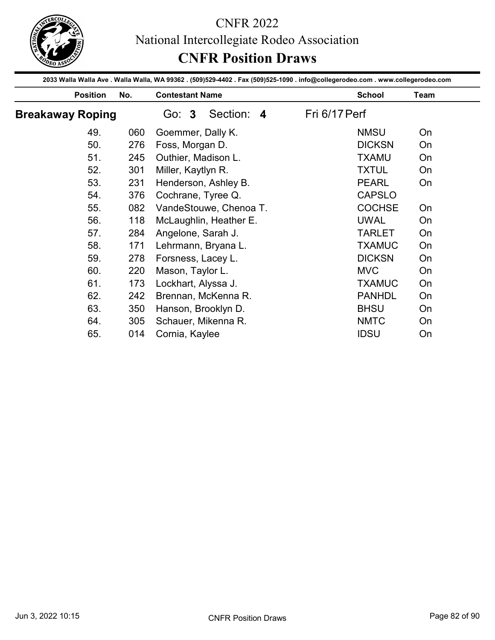

|                         |     | <b>CNFR Position Draws</b>                                                                                                                                | National Intercollegiate Rodeo Association |      |
|-------------------------|-----|-----------------------------------------------------------------------------------------------------------------------------------------------------------|--------------------------------------------|------|
| <b>Position</b>         | No. | 2033 Walla Walla Ave . Walla Walla, WA 99362 . (509)529-4402 . Fax (509)525-1090 . info@collegerodeo.com . www.collegerodeo.com<br><b>Contestant Name</b> | <b>School</b>                              | Team |
| <b>Breakaway Roping</b> |     | Go: 3<br>Section: 4                                                                                                                                       | Fri 6/17 Perf                              |      |
| 49.                     | 060 | Goemmer, Dally K.                                                                                                                                         | <b>NMSU</b>                                | On   |
| 50.                     | 276 | Foss, Morgan D.                                                                                                                                           | <b>DICKSN</b>                              | On   |
| 51.                     | 245 | Outhier, Madison L.                                                                                                                                       | <b>TXAMU</b>                               | On   |
| 52.                     | 301 | Miller, Kaytlyn R.                                                                                                                                        | <b>TXTUL</b>                               | On   |
| 53.                     | 231 | Henderson, Ashley B.                                                                                                                                      | <b>PEARL</b>                               | On   |
| 54.                     | 376 | Cochrane, Tyree Q.                                                                                                                                        | <b>CAPSLO</b>                              |      |
| 55.                     | 082 | VandeStouwe, Chenoa T.                                                                                                                                    | <b>COCHSE</b>                              | On   |
| 56.                     | 118 | McLaughlin, Heather E.                                                                                                                                    | <b>UWAL</b>                                | On   |
| 57.                     | 284 | Angelone, Sarah J.                                                                                                                                        | <b>TARLET</b>                              | On   |
| 58.                     | 171 | Lehrmann, Bryana L.                                                                                                                                       | <b>TXAMUC</b>                              | On   |
| 59.                     | 278 | Forsness, Lacey L.                                                                                                                                        | <b>DICKSN</b>                              | On   |
| 60.                     | 220 | Mason, Taylor L.                                                                                                                                          | <b>MVC</b>                                 | On   |
| 61.                     | 173 | Lockhart, Alyssa J.                                                                                                                                       | <b>TXAMUC</b>                              | On   |
| 62.                     | 242 | Brennan, McKenna R.                                                                                                                                       | <b>PANHDL</b>                              | On   |
| 63.                     | 350 | Hanson, Brooklyn D.                                                                                                                                       | <b>BHSU</b>                                | On   |
| 64.                     | 305 | Schauer, Mikenna R.                                                                                                                                       | <b>NMTC</b>                                | On   |
| 65.                     | 014 | Cornia, Kaylee                                                                                                                                            | <b>IDSU</b>                                | On   |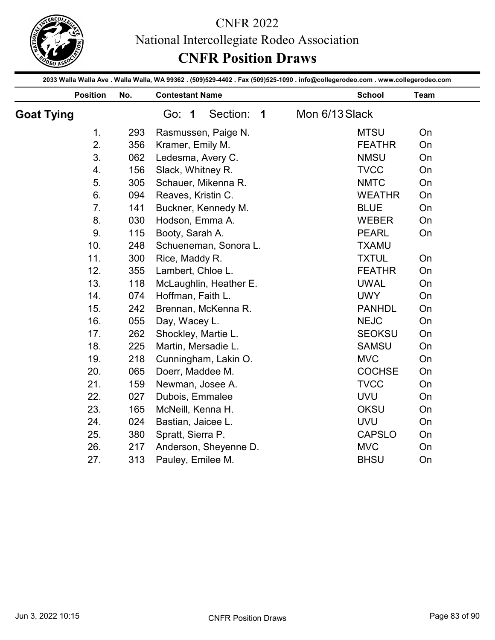

|                   |     | <b>CNFR Position Draws</b>                                                                                                      | National Intercollegiate Rodeo Association |      |
|-------------------|-----|---------------------------------------------------------------------------------------------------------------------------------|--------------------------------------------|------|
|                   |     | 2033 Walla Walla Ave . Walla Walla, WA 99362 . (509)529-4402 . Fax (509)525-1090 . info@collegerodeo.com . www.collegerodeo.com |                                            |      |
| <b>Position</b>   | No. | <b>Contestant Name</b>                                                                                                          | <b>School</b>                              | Team |
| <b>Goat Tying</b> |     | Section:<br>Go: 1<br>$\overline{\mathbf{1}}$                                                                                    | Mon 6/13 Slack                             |      |
| 1.                | 293 | Rasmussen, Paige N.                                                                                                             | <b>MTSU</b>                                | On   |
| 2.                | 356 | Kramer, Emily M.                                                                                                                | <b>FEATHR</b>                              | On   |
| 3.                | 062 | Ledesma, Avery C.                                                                                                               | <b>NMSU</b>                                | On   |
| 4.                | 156 | Slack, Whitney R.                                                                                                               | <b>TVCC</b>                                | On   |
| 5.                | 305 | Schauer, Mikenna R.                                                                                                             | <b>NMTC</b>                                | On   |
| 6.                | 094 | Reaves, Kristin C.                                                                                                              | <b>WEATHR</b>                              | On   |
| 7.                | 141 | Buckner, Kennedy M.                                                                                                             | <b>BLUE</b>                                | On   |
| 8.                | 030 | Hodson, Emma A.                                                                                                                 | <b>WEBER</b>                               | On   |
| 9.                | 115 | Booty, Sarah A.                                                                                                                 | <b>PEARL</b>                               | On   |
| 10.               | 248 | Schueneman, Sonora L.                                                                                                           | <b>TXAMU</b>                               |      |
| 11.               | 300 | Rice, Maddy R.                                                                                                                  | <b>TXTUL</b>                               | On   |
| 12.               | 355 | Lambert, Chloe L.                                                                                                               | <b>FEATHR</b>                              | On   |
| 13.               | 118 | McLaughlin, Heather E.                                                                                                          | <b>UWAL</b>                                | On   |
| 14.               | 074 | Hoffman, Faith L.                                                                                                               | <b>UWY</b>                                 | On   |
| 15.               | 242 | Brennan, McKenna R.                                                                                                             | <b>PANHDL</b>                              | On   |
| 16.               | 055 | Day, Wacey L.                                                                                                                   | <b>NEJC</b>                                | On   |
| 17.               | 262 | Shockley, Martie L.                                                                                                             | <b>SEOKSU</b>                              | On   |
| 18.               | 225 | Martin, Mersadie L.                                                                                                             | <b>SAMSU</b>                               | On   |
| 19.               | 218 | Cunningham, Lakin O.                                                                                                            | <b>MVC</b>                                 | On   |
| 20.               | 065 | Doerr, Maddee M.                                                                                                                | <b>COCHSE</b>                              | On   |
| 21.               | 159 | Newman, Josee A.                                                                                                                | <b>TVCC</b>                                | On   |
| 22.               | 027 | Dubois, Emmalee                                                                                                                 | <b>UVU</b>                                 | On   |
| 23.               | 165 | McNeill, Kenna H.                                                                                                               | <b>OKSU</b>                                | On   |
| 24.               | 024 | Bastian, Jaicee L.                                                                                                              | <b>UVU</b>                                 | On   |
| 25.               | 380 | Spratt, Sierra P.                                                                                                               | <b>CAPSLO</b>                              | On   |
| 26.               | 217 | Anderson, Sheyenne D.                                                                                                           | <b>MVC</b>                                 | On   |
| 27.               | 313 | Pauley, Emilee M.                                                                                                               | <b>BHSU</b>                                | On   |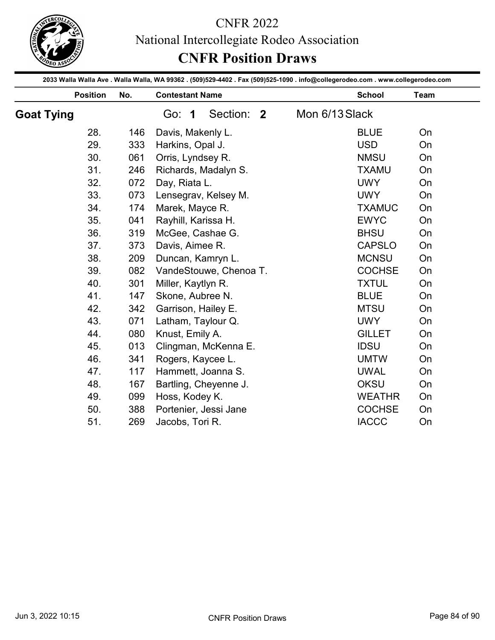

|                   |                 |     | National Intercollegiate Rodeo Association<br><b>CNFR Position Draws</b>                                                        |                |               |      |
|-------------------|-----------------|-----|---------------------------------------------------------------------------------------------------------------------------------|----------------|---------------|------|
|                   |                 |     | 2033 Walla Walla Ave . Walla Walla, WA 99362 . (509)529-4402 . Fax (509)525-1090 . info@collegerodeo.com . www.collegerodeo.com |                |               |      |
|                   | <b>Position</b> | No. | <b>Contestant Name</b>                                                                                                          |                | <b>School</b> | Team |
| <b>Goat Tying</b> |                 |     | Section: 2<br>Go: 1                                                                                                             | Mon 6/13 Slack |               |      |
|                   | 28.             | 146 | Davis, Makenly L.                                                                                                               |                | <b>BLUE</b>   | On   |
|                   | 29.             | 333 | Harkins, Opal J.                                                                                                                |                | <b>USD</b>    | On   |
|                   | 30.             | 061 | Orris, Lyndsey R.                                                                                                               |                | <b>NMSU</b>   | On   |
|                   | 31.             | 246 | Richards, Madalyn S.                                                                                                            |                | <b>TXAMU</b>  | On   |
|                   | 32.             | 072 | Day, Riata L.                                                                                                                   |                | <b>UWY</b>    | On   |
|                   | 33.             | 073 | Lensegrav, Kelsey M.                                                                                                            |                | <b>UWY</b>    | On   |
|                   | 34.             | 174 | Marek, Mayce R.                                                                                                                 |                | <b>TXAMUC</b> | On   |
|                   | 35.             | 041 | Rayhill, Karissa H.                                                                                                             |                | <b>EWYC</b>   | On   |
|                   | 36.             | 319 | McGee, Cashae G.                                                                                                                |                | <b>BHSU</b>   | On   |
|                   | 37.             | 373 | Davis, Aimee R.                                                                                                                 |                | <b>CAPSLO</b> | On   |
|                   | 38.             | 209 | Duncan, Kamryn L.                                                                                                               |                | <b>MCNSU</b>  | On   |
|                   | 39.             | 082 | VandeStouwe, Chenoa T.                                                                                                          |                | <b>COCHSE</b> | On   |
|                   | 40.             | 301 | Miller, Kaytlyn R.                                                                                                              |                | <b>TXTUL</b>  | On   |
|                   | 41.             | 147 | Skone, Aubree N.                                                                                                                |                | <b>BLUE</b>   | On   |
|                   | 42.             | 342 | Garrison, Hailey E.                                                                                                             |                | <b>MTSU</b>   | On   |
|                   | 43.             | 071 | Latham, Taylour Q.                                                                                                              |                | <b>UWY</b>    | On   |
|                   | 44.             | 080 | Knust, Emily A.                                                                                                                 |                | <b>GILLET</b> | On   |
|                   | 45.             | 013 | Clingman, McKenna E.                                                                                                            |                | <b>IDSU</b>   | On   |
|                   | 46.             | 341 | Rogers, Kaycee L.                                                                                                               |                | <b>UMTW</b>   | On   |
|                   | 47.             | 117 | Hammett, Joanna S.                                                                                                              |                | <b>UWAL</b>   | On   |
|                   | 48.             | 167 | Bartling, Cheyenne J.                                                                                                           |                | <b>OKSU</b>   | On   |
|                   | 49.             | 099 | Hoss, Kodey K.                                                                                                                  |                | <b>WEATHR</b> | On   |
|                   | 50.             | 388 | Portenier, Jessi Jane                                                                                                           |                | <b>COCHSE</b> | On   |
|                   | 51.             | 269 | Jacobs, Tori R.                                                                                                                 |                | <b>IACCC</b>  | On   |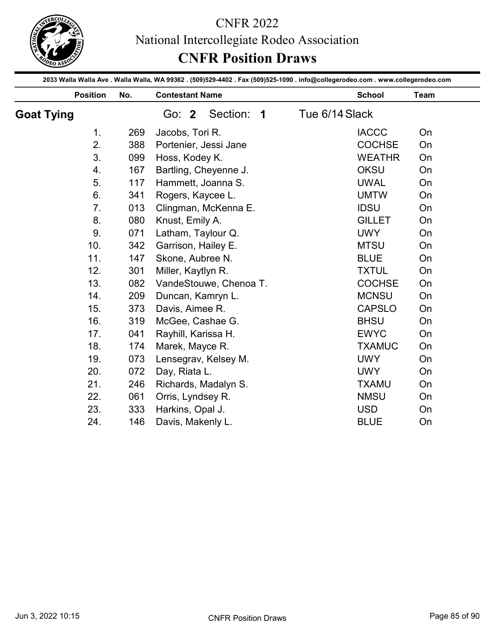

|                   |     | National Intercollegiate Rodeo Association<br><b>CNFR Position Draws</b>                                                        |                |      |
|-------------------|-----|---------------------------------------------------------------------------------------------------------------------------------|----------------|------|
|                   |     | 2033 Walla Walla Ave . Walla Walla, WA 99362 . (509)529-4402 . Fax (509)525-1090 . info@collegerodeo.com . www.collegerodeo.com |                |      |
| <b>Position</b>   | No. | <b>Contestant Name</b>                                                                                                          | <b>School</b>  | Team |
| <b>Goat Tying</b> |     | Section: 1<br>Go: 2                                                                                                             | Tue 6/14 Slack |      |
| 1 <sub>1</sub>    | 269 | Jacobs, Tori R.                                                                                                                 | <b>IACCC</b>   | On   |
| 2.                | 388 | Portenier, Jessi Jane                                                                                                           | <b>COCHSE</b>  | On   |
| 3.                | 099 | Hoss, Kodey K.                                                                                                                  | <b>WEATHR</b>  | On   |
| 4.                | 167 | Bartling, Cheyenne J.                                                                                                           | OKSU           | On   |
| 5.                | 117 | Hammett, Joanna S.                                                                                                              | <b>UWAL</b>    | On   |
| 6.                | 341 | Rogers, Kaycee L.                                                                                                               | <b>UMTW</b>    | On   |
| 7.                | 013 | Clingman, McKenna E.                                                                                                            | <b>IDSU</b>    | On   |
| 8.                | 080 | Knust, Emily A.                                                                                                                 | <b>GILLET</b>  | On   |
| 9.                | 071 | Latham, Taylour Q.                                                                                                              | <b>UWY</b>     | On   |
| 10.               | 342 | Garrison, Hailey E.                                                                                                             | <b>MTSU</b>    | On   |
| 11.               | 147 | Skone, Aubree N.                                                                                                                | <b>BLUE</b>    | On   |
| 12.               | 301 | Miller, Kaytlyn R.                                                                                                              | <b>TXTUL</b>   | On   |
| 13.               | 082 | VandeStouwe, Chenoa T.                                                                                                          | <b>COCHSE</b>  | On   |
| 14.               | 209 | Duncan, Kamryn L.                                                                                                               | <b>MCNSU</b>   | On   |
| 15.               | 373 | Davis, Aimee R.                                                                                                                 | <b>CAPSLO</b>  | On   |
| 16.               | 319 | McGee, Cashae G.                                                                                                                | <b>BHSU</b>    | On   |
| 17.               | 041 | Rayhill, Karissa H.                                                                                                             | <b>EWYC</b>    | On   |
| 18.               | 174 | Marek, Mayce R.                                                                                                                 | <b>TXAMUC</b>  | On   |
| 19.               | 073 |                                                                                                                                 | <b>UWY</b>     | On   |
|                   |     | Lensegrav, Kelsey M.                                                                                                            | <b>UWY</b>     | On   |
| 20.               | 072 | Day, Riata L.                                                                                                                   |                |      |
| 21.               | 246 | Richards, Madalyn S.                                                                                                            | <b>TXAMU</b>   | On   |
| 22.               | 061 | Orris, Lyndsey R.                                                                                                               | <b>NMSU</b>    | On   |
| 23.               | 333 | Harkins, Opal J.                                                                                                                | <b>USD</b>     | On   |
| 24.               | 146 | Davis, Makenly L.                                                                                                               | <b>BLUE</b>    | On   |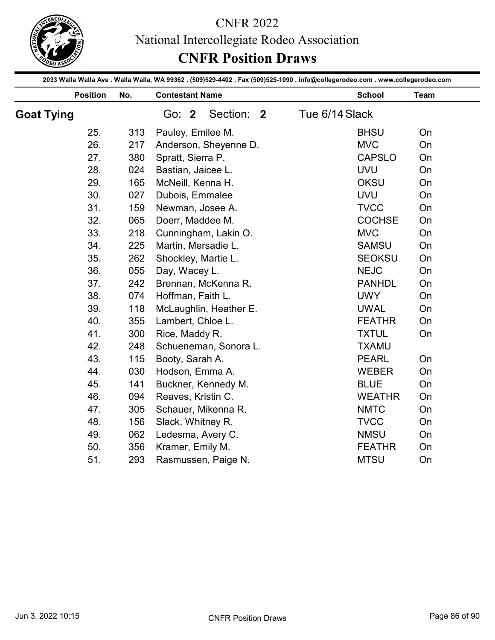

| <b>Position</b><br><b>Goat Tying</b> |            |            |                                                                                                                                 | <b>CNFR Position Draws</b>   |          |
|--------------------------------------|------------|------------|---------------------------------------------------------------------------------------------------------------------------------|------------------------------|----------|
|                                      |            |            | 2033 Walla Walla Ave . Walla Walla, WA 99362 . (509)529-4402 . Fax (509)525-1090 . info@collegerodeo.com . www.collegerodeo.com |                              |          |
|                                      |            | No.        | <b>Contestant Name</b>                                                                                                          | <b>School</b>                | Team     |
|                                      |            |            | Section: 2<br>Go: 2                                                                                                             | Tue 6/14 Slack               |          |
|                                      | 25.        | 313        | Pauley, Emilee M.                                                                                                               | <b>BHSU</b>                  | On       |
|                                      | 26.        | 217        | Anderson, Sheyenne D.                                                                                                           | <b>MVC</b>                   | On       |
|                                      | 27.        | 380        | Spratt, Sierra P.                                                                                                               | <b>CAPSLO</b>                | On       |
|                                      | 28.        | 024        | Bastian, Jaicee L.                                                                                                              | <b>UVU</b>                   | On       |
|                                      | 29.        | 165        | McNeill, Kenna H.                                                                                                               | <b>OKSU</b>                  | On       |
|                                      | 30.        | 027        | Dubois, Emmalee                                                                                                                 | <b>UVU</b>                   | On       |
|                                      | 31.        | 159        | Newman, Josee A.                                                                                                                | <b>TVCC</b>                  | On       |
|                                      | 32.        | 065        | Doerr, Maddee M.                                                                                                                | <b>COCHSE</b>                | On       |
|                                      | 33.        | 218        | Cunningham, Lakin O.                                                                                                            | <b>MVC</b>                   | On       |
|                                      | 34.        | 225        | Martin, Mersadie L.                                                                                                             | <b>SAMSU</b>                 | On       |
|                                      | 35.        | 262        | Shockley, Martie L.                                                                                                             | <b>SEOKSU</b>                | On       |
|                                      | 36.        | 055        | Day, Wacey L.                                                                                                                   | <b>NEJC</b>                  | On       |
|                                      | 37.        | 242        | Brennan, McKenna R.                                                                                                             | <b>PANHDL</b>                | On       |
|                                      | 38.        | 074        | Hoffman, Faith L.                                                                                                               | <b>UWY</b>                   | On       |
|                                      | 39.        | 118        | McLaughlin, Heather E.                                                                                                          | <b>UWAL</b>                  | On       |
|                                      | 40.        | 355        | Lambert, Chloe L.                                                                                                               | <b>FEATHR</b>                | On       |
|                                      | 41.        | 300        | Rice, Maddy R.                                                                                                                  | <b>TXTUL</b>                 | On       |
|                                      | 42.        | 248        | Schueneman, Sonora L.                                                                                                           | <b>TXAMU</b>                 |          |
|                                      | 43.        | 115        | Booty, Sarah A.                                                                                                                 | <b>PEARL</b>                 | On       |
|                                      | 44.        | 030        | Hodson, Emma A.                                                                                                                 | <b>WEBER</b>                 | On       |
|                                      | 45.        | 141        | Buckner, Kennedy M.                                                                                                             | <b>BLUE</b>                  | On       |
|                                      | 46.        | 094        | Reaves, Kristin C.                                                                                                              | <b>WEATHR</b>                | On       |
|                                      | 47.        | 305        | Schauer, Mikenna R.                                                                                                             | <b>NMTC</b>                  | On       |
|                                      |            |            |                                                                                                                                 |                              |          |
|                                      | 48.        | 156        | Slack, Whitney R.                                                                                                               | <b>TVCC</b>                  | On       |
|                                      | 49.        | 062        | Ledesma, Avery C.                                                                                                               | <b>NMSU</b>                  | On       |
|                                      | 50.<br>51. | 356<br>293 | Kramer, Emily M.<br>Rasmussen, Paige N.                                                                                         | <b>FEATHR</b><br><b>MTSU</b> | On<br>On |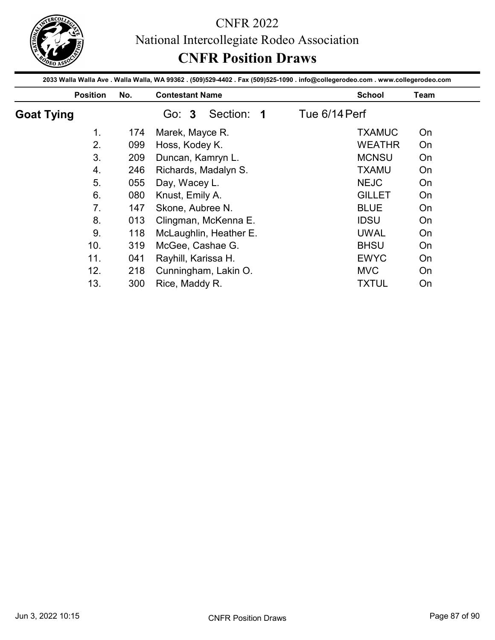

|                   |     | National Intercollegiate Rodeo Association<br><b>CNFR Position Draws</b>                                                        |               |               |      |
|-------------------|-----|---------------------------------------------------------------------------------------------------------------------------------|---------------|---------------|------|
|                   |     |                                                                                                                                 |               |               |      |
|                   |     | 2033 Walla Walla Ave . Walla Walla, WA 99362 . (509)529-4402 . Fax (509)525-1090 . info@collegerodeo.com . www.collegerodeo.com |               |               |      |
| <b>Position</b>   | No. | <b>Contestant Name</b>                                                                                                          |               | <b>School</b> | Team |
| <b>Goat Tying</b> |     | Section: 1<br>Go: 3                                                                                                             | Tue 6/14 Perf |               |      |
| 1 <sub>1</sub>    | 174 | Marek, Mayce R.                                                                                                                 |               | <b>TXAMUC</b> | On   |
| 2.                | 099 | Hoss, Kodey K.                                                                                                                  |               | <b>WEATHR</b> | On   |
| 3.                | 209 | Duncan, Kamryn L.                                                                                                               |               | <b>MCNSU</b>  | On   |
| 4.                | 246 | Richards, Madalyn S.                                                                                                            |               | <b>TXAMU</b>  | On   |
| 5.                | 055 | Day, Wacey L.                                                                                                                   |               | <b>NEJC</b>   | On   |
|                   |     |                                                                                                                                 |               |               | On   |
| 6.                | 080 | Knust, Emily A.                                                                                                                 |               | <b>GILLET</b> |      |
| 7.                | 147 | Skone, Aubree N.                                                                                                                |               | <b>BLUE</b>   | On   |
| 8.                | 013 | Clingman, McKenna E.                                                                                                            |               | <b>IDSU</b>   | On   |
| 9.                | 118 | McLaughlin, Heather E.                                                                                                          |               | <b>UWAL</b>   | On   |
| 10.               | 319 | McGee, Cashae G.                                                                                                                |               | <b>BHSU</b>   | On   |
| 11.               | 041 |                                                                                                                                 |               | <b>EWYC</b>   | On   |
| 12.               | 218 | Rayhill, Karissa H.<br>Cunningham, Lakin O.                                                                                     |               | <b>MVC</b>    | On   |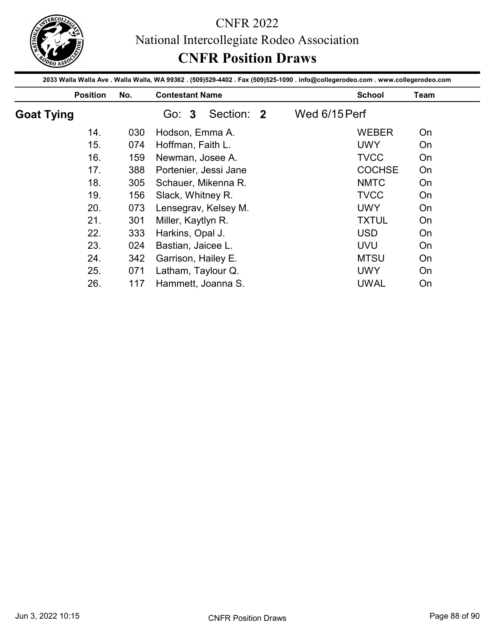

|                   |     | National Intercollegiate Rodeo Association<br><b>CNFR Position Draws</b>                                                        |               |                           |          |
|-------------------|-----|---------------------------------------------------------------------------------------------------------------------------------|---------------|---------------------------|----------|
|                   |     |                                                                                                                                 |               |                           |          |
|                   |     | 2033 Walla Walla Ave . Walla Walla, WA 99362 . (509)529-4402 . Fax (509)525-1090 . info@collegerodeo.com . www.collegerodeo.com |               |                           |          |
| <b>Position</b>   | No. | <b>Contestant Name</b>                                                                                                          |               | <b>School</b>             | Team     |
| <b>Goat Tying</b> |     | Section: 2<br>Go: 3                                                                                                             | Wed 6/15 Perf |                           |          |
| 14.               | 030 | Hodson, Emma A.                                                                                                                 |               | <b>WEBER</b>              | On       |
| 15.               | 074 | Hoffman, Faith L.                                                                                                               |               | <b>UWY</b>                | On       |
| 16.               | 159 | Newman, Josee A.                                                                                                                |               | <b>TVCC</b>               | On       |
| 17.               | 388 | Portenier, Jessi Jane                                                                                                           |               | <b>COCHSE</b>             | On       |
|                   | 305 | Schauer, Mikenna R.                                                                                                             |               | <b>NMTC</b>               | On       |
| 18.               |     |                                                                                                                                 |               |                           |          |
| 19.               | 156 | Slack, Whitney R.                                                                                                               |               | <b>TVCC</b>               | On       |
| 20.               | 073 | Lensegrav, Kelsey M.                                                                                                            |               | <b>UWY</b>                | On       |
| 21.               | 301 | Miller, Kaytlyn R.                                                                                                              |               | <b>TXTUL</b>              | On       |
| 22.               | 333 | Harkins, Opal J.                                                                                                                |               | <b>USD</b>                | On       |
|                   | 024 | Bastian, Jaicee L.                                                                                                              |               |                           |          |
| 23.               | 342 |                                                                                                                                 |               | <b>UVU</b>                | On       |
| 24.<br>25.        | 071 | Garrison, Hailey E.<br>Latham, Taylour Q.                                                                                       |               | <b>MTSU</b><br><b>UWY</b> | On<br>On |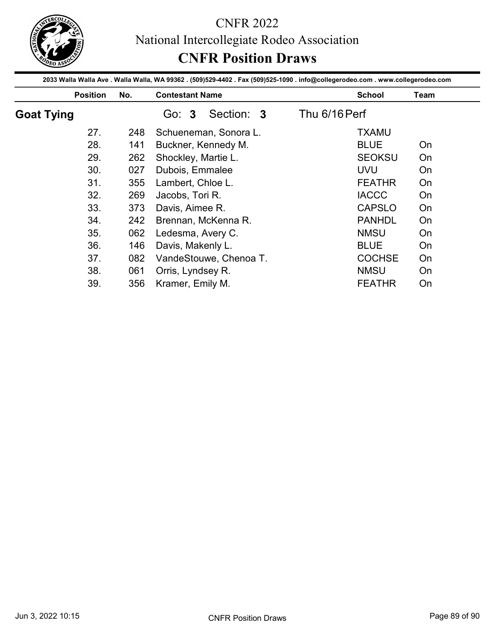

|                   |                 |            |                                                                                                                                                           |               | National Intercollegiate Rodeo Association |          |
|-------------------|-----------------|------------|-----------------------------------------------------------------------------------------------------------------------------------------------------------|---------------|--------------------------------------------|----------|
|                   |                 |            | <b>CNFR Position Draws</b>                                                                                                                                |               |                                            |          |
|                   | <b>Position</b> | No.        | 2033 Walla Walla Ave . Walla Walla, WA 99362 . (509)529-4402 . Fax (509)525-1090 . info@collegerodeo.com . www.collegerodeo.com<br><b>Contestant Name</b> |               | <b>School</b>                              | Team     |
| <b>Goat Tying</b> |                 |            | Section: 3<br>Go: 3                                                                                                                                       | Thu 6/16 Perf |                                            |          |
|                   | 27.             | 248        | Schueneman, Sonora L.                                                                                                                                     |               | <b>TXAMU</b>                               |          |
|                   | 28.             | 141        | Buckner, Kennedy M.                                                                                                                                       |               | <b>BLUE</b>                                | On       |
|                   | 29.             | 262        | Shockley, Martie L.                                                                                                                                       |               | <b>SEOKSU</b>                              | On       |
|                   | 30.             | 027        | Dubois, Emmalee                                                                                                                                           |               | <b>UVU</b>                                 | On       |
|                   |                 |            |                                                                                                                                                           |               |                                            |          |
|                   |                 |            |                                                                                                                                                           |               |                                            |          |
|                   | 31.             | 355        | Lambert, Chloe L.                                                                                                                                         |               | <b>FEATHR</b>                              | On       |
|                   | 32.             | 269        | Jacobs, Tori R.                                                                                                                                           |               | <b>IACCC</b>                               | On       |
|                   | 33.             | 373        | Davis, Aimee R.                                                                                                                                           |               | <b>CAPSLO</b>                              | On       |
|                   | 34.             | 242        | Brennan, McKenna R.                                                                                                                                       |               | <b>PANHDL</b>                              | On       |
|                   | 35.             | 062        | Ledesma, Avery C.                                                                                                                                         |               | <b>NMSU</b>                                | On       |
|                   | 36.             | 146        | Davis, Makenly L.                                                                                                                                         |               | <b>BLUE</b>                                | On       |
|                   | 37.<br>38.      | 082<br>061 | VandeStouwe, Chenoa T.<br>Orris, Lyndsey R.                                                                                                               |               | <b>COCHSE</b><br><b>NMSU</b>               | On<br>On |